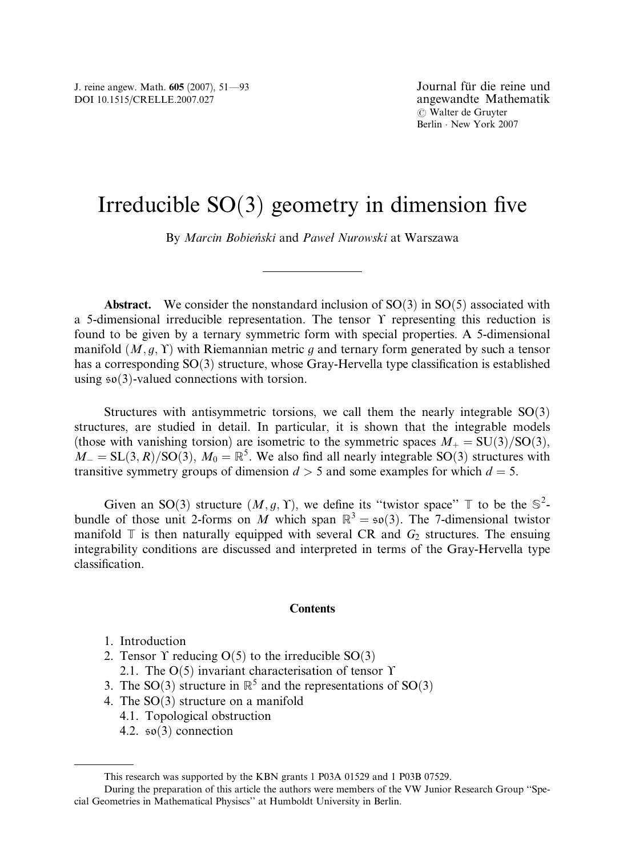# Irreducible  $SO(3)$  geometry in dimension five

By Marcin Bobieński and Paweł Nurowski at Warszawa

**Abstract.** We consider the nonstandard inclusion of  $SO(3)$  in  $SO(5)$  associated with a 5-dimensional irreducible representation. The tensor  $\Upsilon$  representing this reduction is found to be given by a ternary symmetric form with special properties. A 5-dimensional manifold  $(M, g, Y)$  with Riemannian metric g and ternary form generated by such a tensor has a corresponding  $SO(3)$  structure, whose Gray-Hervella type classification is established using  $\mathfrak{so}(3)$ -valued connections with torsion.

Structures with antisymmetric torsions, we call them the nearly integrable  $SO(3)$ structures, are studied in detail. In particular, it is shown that the integrable models (those with vanishing torsion) are isometric to the symmetric spaces  $M_{+} = SU(3)/SO(3)$ ,  $M_{-} = SL(3, R)/SO(3), M_0 = \mathbb{R}^5$ . We also find all nearly integrable SO(3) structures with transitive symmetry groups of dimension  $d > 5$  and some examples for which  $d = 5$ .

Given an SO(3) structure  $(M, g, \Upsilon)$ , we define its "twistor space"  $\mathbb T$  to be the  $\mathbb S^2$ bundle of those unit 2-forms on M which span  $\mathbb{R}^3 = \mathfrak{so}(3)$ . The 7-dimensional twistor manifold  $\mathbb T$  is then naturally equipped with several CR and  $G_2$  structures. The ensuing integrability conditions are discussed and interpreted in terms of the Gray-Hervella type classification.

#### **Contents**

- 1. Introduction
- 2. Tensor  $\Upsilon$  reducing  $O(5)$  to the irreducible  $SO(3)$ 
	- 2.1. The  $O(5)$  invariant characterisation of tensor  $\Upsilon$
- 3. The SO(3) structure in  $\mathbb{R}^5$  and the representations of SO(3)
- 4. The  $SO(3)$  structure on a manifold
	- 4.1. Topological obstruction
	- 4.2.  $\mathfrak{so}(3)$  connection

This research was supported by the KBN grants 1 P03A 01529 and 1 P03B 07529.

During the preparation of this article the authors were members of the VW Junior Research Group ''Special Geometries in Mathematical Physiscs'' at Humboldt University in Berlin.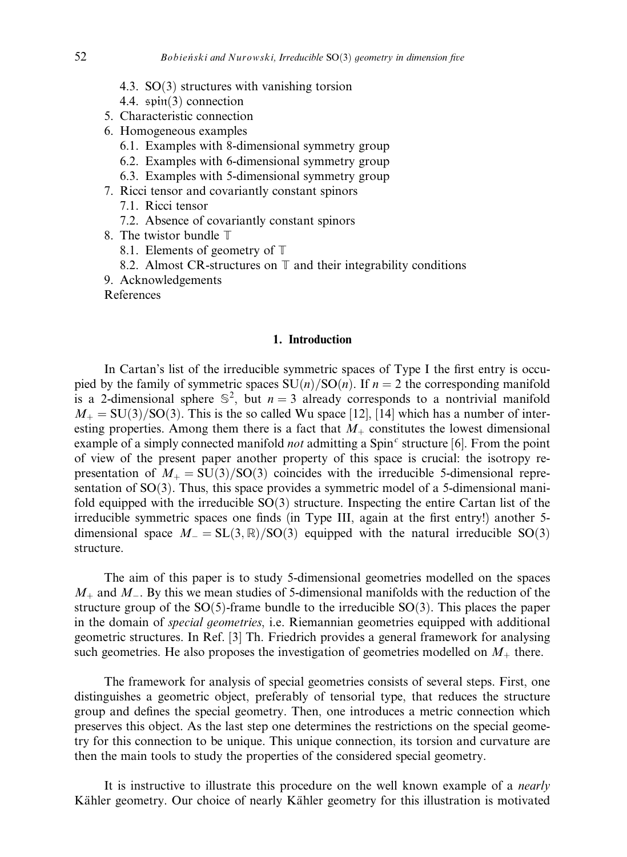- 4.3.  $SO(3)$  structures with vanishing torsion
- 4.4.  $spin(3)$  connection
- 5. Characteristic connection
- 6. Homogeneous examples
	- 6.1. Examples with 8-dimensional symmetry group
	- 6.2. Examples with 6-dimensional symmetry group
	- 6.3. Examples with 5-dimensional symmetry group
- 7. Ricci tensor and covariantly constant spinors
	- 7.1. Ricci tensor
	- 7.2. Absence of covariantly constant spinors
- 8. The twistor bundle T
	- 8.1. Elements of geometry of T
	- 8.2. Almost CR-structures on  $\mathbb T$  and their integrability conditions
- 9. Acknowledgements

References

## 1. Introduction

In Cartan's list of the irreducible symmetric spaces of Type I the first entry is occupied by the family of symmetric spaces  $SU(n)/SO(n)$ . If  $n = 2$  the corresponding manifold is a 2-dimensional sphere  $\mathbb{S}^2$ , but  $n = 3$  already corresponds to a nontrivial manifold  $M_{+} = SU(3)/SO(3)$ . This is the so called Wu space [12], [14] which has a number of interesting properties. Among them there is a fact that  $M<sub>+</sub>$  constitutes the lowest dimensional example of a simply connected manifold *not* admitting a  $Spin<sup>c</sup>$  structure [6]. From the point of view of the present paper another property of this space is crucial: the isotropy representation of  $M_{+} = SU(3)/SO(3)$  coincides with the irreducible 5-dimensional representation of  $SO(3)$ . Thus, this space provides a symmetric model of a 5-dimensional manifold equipped with the irreducible  $SO(3)$  structure. Inspecting the entire Cartan list of the irreducible symmetric spaces one finds (in Type III, again at the first entry!) another 5 dimensional space  $M = SL(3, \mathbb{R})/SO(3)$  equipped with the natural irreducible  $SO(3)$ structure.

The aim of this paper is to study 5-dimensional geometries modelled on the spaces  $M_+$  and  $M_-$ . By this we mean studies of 5-dimensional manifolds with the reduction of the structure group of the  $SO(5)$ -frame bundle to the irreducible  $SO(3)$ . This places the paper in the domain of special geometries, i.e. Riemannian geometries equipped with additional geometric structures. In Ref. [3] Th. Friedrich provides a general framework for analysing such geometries. He also proposes the investigation of geometries modelled on  $M_+$  there.

The framework for analysis of special geometries consists of several steps. First, one distinguishes a geometric object, preferably of tensorial type, that reduces the structure group and defines the special geometry. Then, one introduces a metric connection which preserves this object. As the last step one determines the restrictions on the special geometry for this connection to be unique. This unique connection, its torsion and curvature are then the main tools to study the properties of the considered special geometry.

It is instructive to illustrate this procedure on the well known example of a *nearly* Kähler geometry. Our choice of nearly Kähler geometry for this illustration is motivated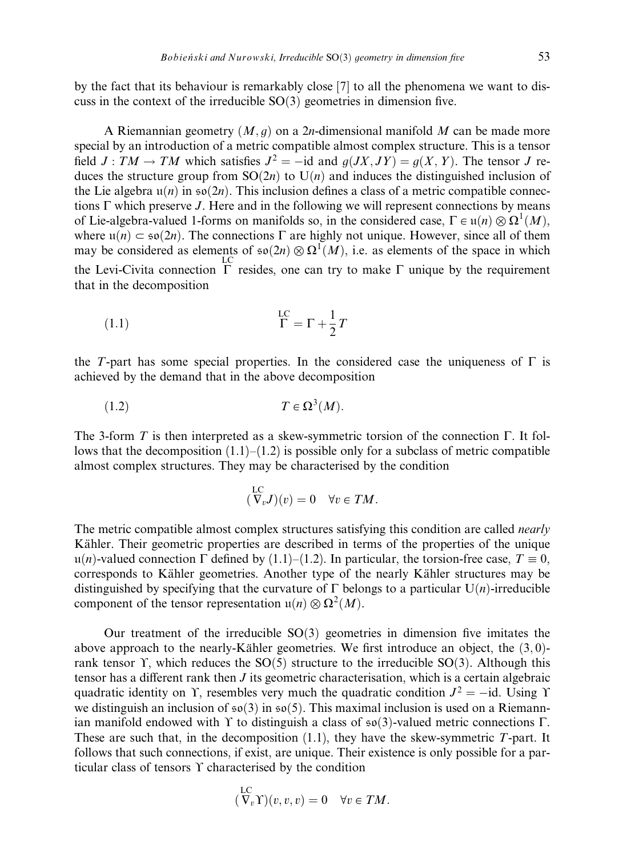by the fact that its behaviour is remarkably close [7] to all the phenomena we want to discuss in the context of the irreducible  $SO(3)$  geometries in dimension five.

A Riemannian geometry  $(M, g)$  on a 2n-dimensional manifold M can be made more special by an introduction of a metric compatible almost complex structure. This is a tensor field  $J: TM \to TM$  which satisfies  $J^2 = -id$  and  $g(JX, JY) = g(X, Y)$ . The tensor J reduces the structure group from  $SO(2n)$  to  $U(n)$  and induces the distinguished inclusion of the Lie algebra  $u(n)$  in  $\mathfrak{so}(2n)$ . This inclusion defines a class of a metric compatible connections  $\Gamma$  which preserve J. Here and in the following we will represent connections by means of Lie-algebra-valued 1-forms on manifolds so, in the considered case,  $\Gamma \in \mathfrak{u}(n) \otimes \Omega^1(M)$ , where  $u(n) \subset \mathfrak{so}(2n)$ . The connections  $\Gamma$  are highly not unique. However, since all of them may be considered as elements of  $\mathfrak{so}(2n) \otimes \Omega^1(M)$ , i.e. as elements of the space in which the Levi-Civita connection  $\Gamma$  resides, one can try to make  $\Gamma$  unique by the requirement that in the decomposition

$$
\Gamma = \Gamma + \frac{1}{2}T
$$

the T-part has some special properties. In the considered case the uniqueness of  $\Gamma$  is achieved by the demand that in the above decomposition

$$
(1.2) \t\t T \in \Omega^3(M).
$$

The 3-form  $T$  is then interpreted as a skew-symmetric torsion of the connection  $\Gamma$ . It follows that the decomposition  $(1.1)$ – $(1.2)$  is possible only for a subclass of metric compatible almost complex structures. They may be characterised by the condition

$$
(\stackrel{\mathrm{LC}}{\nabla_v}J)(v) = 0 \quad \forall v \in TM.
$$

The metric compatible almost complex structures satisfying this condition are called *nearly* Kähler. Their geometric properties are described in terms of the properties of the unique u(n)-valued connection  $\Gamma$  defined by (1.1)–(1.2). In particular, the torsion-free case,  $T \equiv 0$ , corresponds to Kähler geometries. Another type of the nearly Kähler structures may be distinguished by specifying that the curvature of  $\Gamma$  belongs to a particular  $U(n)$ -irreducible component of the tensor representation  $u(n) \otimes \Omega^2(M)$ .

Our treatment of the irreducible  $SO(3)$  geometries in dimension five imitates the above approach to the nearly-Kähler geometries. We first introduce an object, the  $(3, 0)$ rank tensor  $\Upsilon$ , which reduces the SO(5) structure to the irreducible SO(3). Although this tensor has a different rank then  $J$  its geometric characterisation, which is a certain algebraic quadratic identity on Y, resembles very much the quadratic condition  $J^2 = -id$ . Using Y we distinguish an inclusion of  $\mathfrak{so}(3)$  in  $\mathfrak{so}(5)$ . This maximal inclusion is used on a Riemannian manifold endowed with  $\Upsilon$  to distinguish a class of  $\mathfrak{so}(3)$ -valued metric connections  $\Gamma$ . These are such that, in the decomposition  $(1.1)$ , they have the skew-symmetric  $T$ -part. It follows that such connections, if exist, are unique. Their existence is only possible for a particular class of tensors  $\Upsilon$  characterised by the condition

$$
(\nabla_v \Upsilon)(v, v, v) = 0 \quad \forall v \in TM.
$$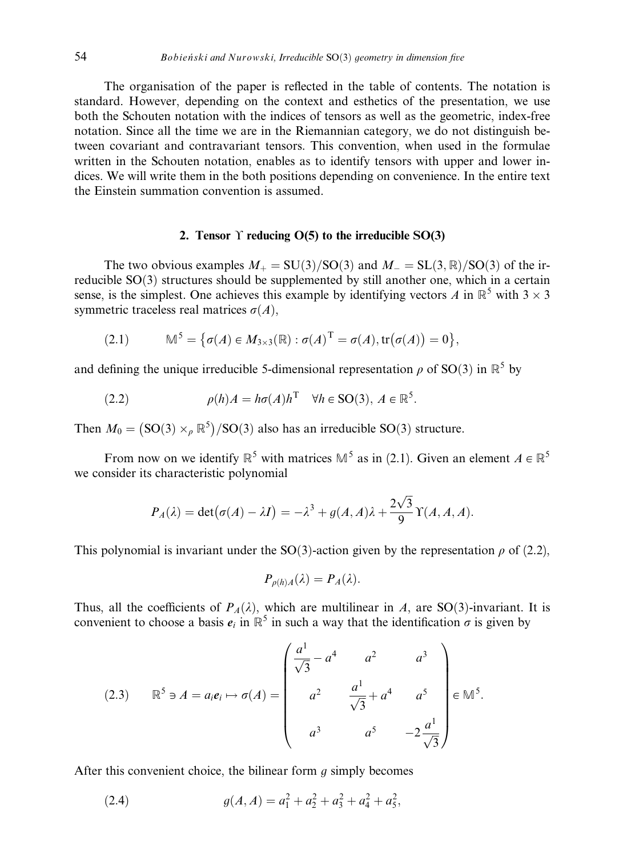The organisation of the paper is reflected in the table of contents. The notation is standard. However, depending on the context and esthetics of the presentation, we use both the Schouten notation with the indices of tensors as well as the geometric, index-free notation. Since all the time we are in the Riemannian category, we do not distinguish between covariant and contravariant tensors. This convention, when used in the formulae written in the Schouten notation, enables as to identify tensors with upper and lower indices. We will write them in the both positions depending on convenience. In the entire text the Einstein summation convention is assumed.

# 2. Tensor  $\Upsilon$  reducing  $O(5)$  to the irreducible  $SO(3)$

The two obvious examples  $M_{+} = SU(3)/SO(3)$  and  $M_{-} = SL(3,\mathbb{R})/SO(3)$  of the irreducible  $SO(3)$  structures should be supplemented by still another one, which in a certain sense, is the simplest. One achieves this example by identifying vectors A in  $\mathbb{R}^5$  with 3  $\times$  3 symmetric traceless real matrices  $\sigma(A)$ ,

(2.1) 
$$
\mathbb{M}^5 = \{ \sigma(A) \in M_{3 \times 3}(\mathbb{R}) : \sigma(A)^{\mathrm{T}} = \sigma(A), \text{tr}(\sigma(A)) = 0 \},
$$

and defining the unique irreducible 5-dimensional representation  $\rho$  of SO(3) in  $\mathbb{R}^5$  by

(2.2) 
$$
\rho(h)A = h\sigma(A)h^{\mathrm{T}} \quad \forall h \in \mathrm{SO}(3), A \in \mathbb{R}^5.
$$

Then  $M_0 = (SO(3) \times_{\rho} \mathbb{R}^5)/SO(3)$  also has an irreducible SO(3) structure.

From now on we identify  $\mathbb{R}^5$  with matrices  $\mathbb{M}^5$  as in (2.1). Given an element  $A \in \mathbb{R}^5$ we consider its characteristic polynomial

$$
P_A(\lambda) = \det(\sigma(A) - \lambda I) = -\lambda^3 + g(A, A)\lambda + \frac{2\sqrt{3}}{9} \Upsilon(A, A, A).
$$

This polynomial is invariant under the SO(3)-action given by the representation  $\rho$  of (2.2),

$$
P_{\rho(h)A}(\lambda)=P_A(\lambda).
$$

Thus, all the coefficients of  $P_A(\lambda)$ , which are multilinear in A, are SO(3)-invariant. It is convenient to choose a basis  $e_i$  in  $\mathbb{R}^5$  in such a way that the identification  $\sigma$  is given by

(2.3) 
$$
\mathbb{R}^{5} \ni A = a_{i}e_{i} \mapsto \sigma(A) = \begin{pmatrix} \frac{a^{1}}{\sqrt{3}} - a^{4} & a^{2} & a^{3} \\ a^{2} & \frac{a^{1}}{\sqrt{3}} + a^{4} & a^{5} \\ a^{3} & a^{5} & -2\frac{a^{1}}{\sqrt{3}} \end{pmatrix} \in \mathbb{M}^{5}.
$$

After this convenient choice, the bilinear form  $q$  simply becomes

(2.4) 
$$
g(A, A) = a_1^2 + a_2^2 + a_3^2 + a_4^2 + a_5^2,
$$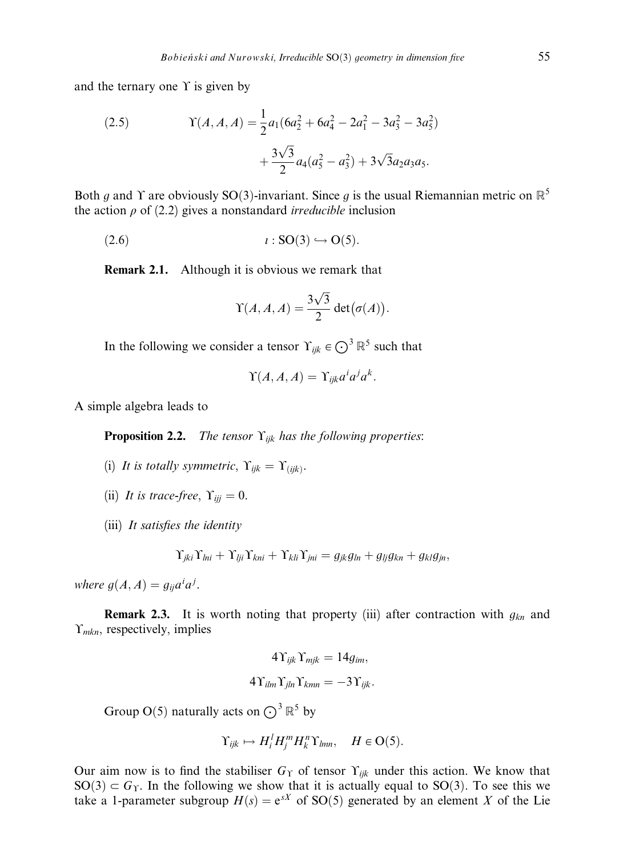and the ternary one  $\Upsilon$  is given by

(2.5) 
$$
\Upsilon(A, A, A) = \frac{1}{2}a_1(6a_2^2 + 6a_4^2 - 2a_1^2 - 3a_3^2 - 3a_5^2) + \frac{3\sqrt{3}}{2}a_4(a_5^2 - a_3^2) + 3\sqrt{3}a_2a_3a_5.
$$

Both g and Y are obviously SO(3)-invariant. Since g is the usual Riemannian metric on  $\mathbb{R}^5$ the action  $\rho$  of (2.2) gives a nonstandard *irreducible* inclusion

 $l : SO(3) \hookrightarrow O(5)$ .

Remark 2.1. Although it is obvious we remark that

$$
\Upsilon(A, A, A) = \frac{3\sqrt{3}}{2} \det(\sigma(A)).
$$

In the following we consider a tensor  $\Upsilon_{ijk} \in \bigodot^3 \mathbb{R}^5$  such that

$$
\Upsilon(A,A,A)=\Upsilon_{ijk}a^ia^ja^k.
$$

A simple algebra leads to

**Proposition 2.2.** The tensor  $\Upsilon_{ijk}$  has the following properties:

- (i) It is totally symmetric,  $\Upsilon_{ijk} = \Upsilon_{(ijk)}$ .
- (ii) It is trace-free,  $\Upsilon_{ij} = 0$ .
- (iii) It satisfies the identity

$$
\Upsilon_{jki}\Upsilon_{lni} + \Upsilon_{lji}\Upsilon_{kni} + \Upsilon_{kli}\Upsilon_{jni} = g_{jk}g_{ln} + g_{lj}g_{kn} + g_{kl}g_{jn},
$$

where  $g(A, A) = g_{ij} a^i a^j$ .

**Remark 2.3.** It is worth noting that property (iii) after contraction with  $g_{kn}$  and  $\Upsilon$ <sub>mkn</sub>, respectively, implies

$$
4\Upsilon_{ijk}\Upsilon_{mjk} = 14g_{im},
$$
  

$$
4\Upsilon_{ilm}\Upsilon_{jln}\Upsilon_{kmn} = -3\Upsilon_{ijk}.
$$

Group O(5) naturally acts on  $\bigodot^3 \mathbb{R}^5$  by

$$
\Upsilon_{ijk} \mapsto H_i^l H_j^m H_k^n \Upsilon_{lmn}, \quad H \in O(5).
$$

Our aim now is to find the stabiliser  $G<sub>T</sub>$  of tensor  $\Upsilon<sub>ijk</sub>$  under this action. We know that  $SO(3) \subset G_T$ . In the following we show that it is actually equal to  $SO(3)$ . To see this we take a 1-parameter subgroup  $H(s) = e^{sX}$  of SO(5) generated by an element X of the Lie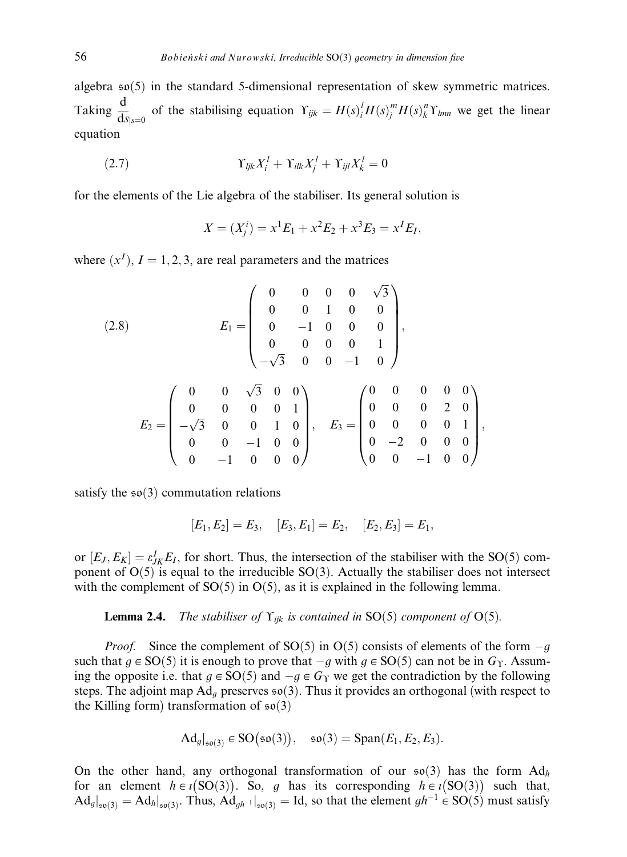algebra  $\mathfrak{so}(5)$  in the standard 5-dimensional representation of skew symmetric matrices. Taking  $\frac{d}{ds}_{s=0}$  of the stabilising equation  $\Upsilon_{ijk} = H(s)_i^l H(s)_j^m H(s)_k^n \Upsilon_{lmn}$  we get the linear equation

$$
(2.7) \t\t Y_{ijk}X_i^l + \Upsilon_{ilk}X_j^l + \Upsilon_{ijl}X_k^l = 0
$$

for the elements of the Lie algebra of the stabiliser. Its general solution is

 $X = (X_j^i) = x^1 E_1 + x^2 E_2 + x^3 E_3 = x^I E_I,$ 

where  $(x^I)$ ,  $I = 1, 2, 3$ , are real parameters and the matrices

$$
(2.8) \t E_1 = \begin{pmatrix} 0 & 0 & 0 & 0 & \sqrt{3} \\ 0 & 0 & 1 & 0 & 0 \\ 0 & -1 & 0 & 0 & 0 \\ 0 & 0 & 0 & 0 & 1 \\ -\sqrt{3} & 0 & 0 & -1 & 0 \end{pmatrix},
$$
  

$$
E_2 = \begin{pmatrix} 0 & 0 & \sqrt{3} & 0 & 0 \\ 0 & 0 & 0 & 0 & 1 \\ -\sqrt{3} & 0 & 0 & 1 & 0 \\ 0 & 0 & -1 & 0 & 0 \end{pmatrix}, \t E_3 = \begin{pmatrix} 0 & 0 & 0 & 0 & 0 \\ 0 & 0 & 0 & 2 & 0 \\ 0 & 0 & 0 & 0 & 1 \\ 0 & -2 & 0 & 0 & 0 \\ 0 & 0 & -1 & 0 & 0 \end{pmatrix},
$$

satisfy the  $\mathfrak{so}(3)$  commutation relations

$$
[E_1, E_2] = E_3, \quad [E_3, E_1] = E_2, \quad [E_2, E_3] = E_1,
$$

or  $[E_J, E_K] = \varepsilon_{JK}^I E_I$ , for short. Thus, the intersection of the stabiliser with the SO(5) component of  $O(5)$  is equal to the irreducible  $SO(3)$ . Actually the stabiliser does not intersect with the complement of  $SO(5)$  in  $O(5)$ , as it is explained in the following lemma.

**Lemma 2.4.** The stabiliser of  $\Upsilon_{ijk}$  is contained in SO(5) component of O(5).

*Proof.* Since the complement of SO(5) in O(5) consists of elements of the form  $-g$ such that  $g \in SO(5)$  it is enough to prove that  $-g$  with  $g \in SO(5)$  can not be in  $G<sub>T</sub>$ . Assuming the opposite i.e. that  $g \in SO(5)$  and  $-g \in G<sub>\Upsilon</sub>$  we get the contradiction by the following steps. The adjoint map  $Ad<sub>q</sub>$  preserves  $\mathfrak{so}(3)$ . Thus it provides an orthogonal (with respect to the Killing form) transformation of  $\mathfrak{so}(3)$ 

$$
Ad_g|_{\mathfrak{so}(3)} \in SO(\mathfrak{so}(3)), \quad \mathfrak{so}(3) = \text{Span}(E_1, E_2, E_3).
$$

On the other hand, any orthogonal transformation of our  $\mathfrak{so}(3)$  has the form  $\text{Ad}_h$ for an element  $h \in i(SO(3))$ . So, g has its corresponding  $h \in i(SO(3))$  such that,  $\text{Ad}_g|_{\mathfrak{so}(3)} = \text{Ad}_h|_{\mathfrak{so}(3)}$ . Thus,  $\text{Ad}_{gh^{-1}}|_{\mathfrak{so}(3)} = \text{Id}$ , so that the element  $gh^{-1} \in SO(5)$  must satisfy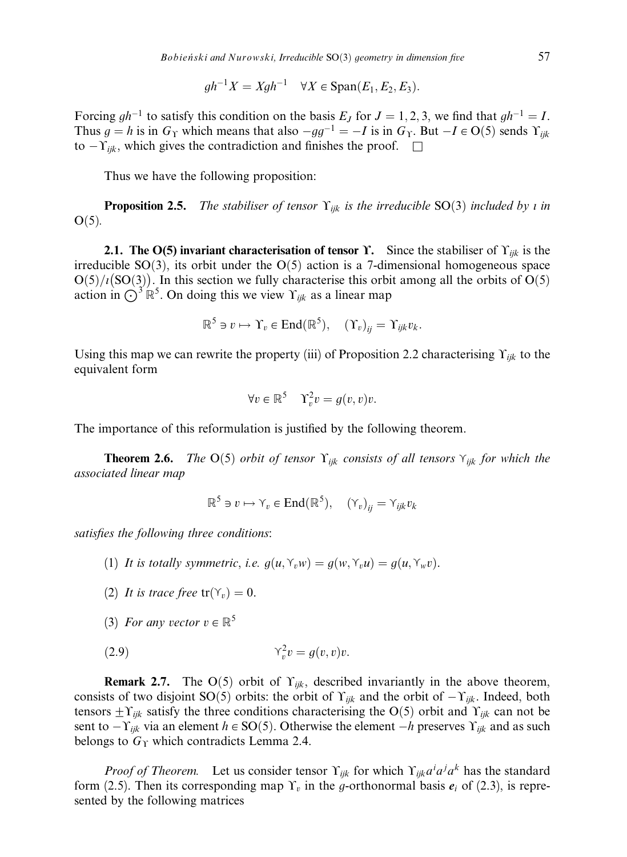$$
gh^{-1}X = Xgh^{-1} \quad \forall X \in \text{Span}(E_1, E_2, E_3).
$$

Forcing  $gh^{-1}$  to satisfy this condition on the basis  $E_J$  for  $J = 1, 2, 3$ , we find that  $gh^{-1} = I$ . Thus  $g = h$  is in  $G_Y$  which means that also  $-gg^{-1} = -I$  is in  $G_Y$ . But  $-I \in O(5)$  sends  $\Upsilon_{ijk}$ to  $-Y_{ijk}$ , which gives the contradiction and finishes the proof.  $\square$ 

Thus we have the following proposition:

**Proposition 2.5.** The stabiliser of tensor  $\Upsilon_{ijk}$  is the irreducible SO(3) included by *i* in  $O(5)$ .

**2.1.** The O(5) invariant characterisation of tensor *Y*. Since the stabiliser of  $Y_{ijk}$  is the irreducible SO(3), its orbit under the O(5) action is a 7-dimensional homogeneous space  $O(5)/i(SO(3))$ . In this section we fully characterise this orbit among all the orbits of  $O(5)$ action in  $\bigodot^3 \mathbb{R}^5$ . On doing this we view  $\Upsilon_{ijk}$  as a linear map

$$
\mathbb{R}^5 \ni v \mapsto \Upsilon_v \in \text{End}(\mathbb{R}^5), \quad (\Upsilon_v)_{ij} = \Upsilon_{ijk} v_k.
$$

Using this map we can rewrite the property (iii) of Proposition 2.2 characterising  $\Upsilon_{ijk}$  to the equivalent form

$$
\forall v \in \mathbb{R}^5 \quad \Upsilon_v^2 v = g(v, v)v.
$$

The importance of this reformulation is justified by the following theorem.

**Theorem 2.6.** The  $O(5)$  orbit of tensor  $\Upsilon_{ijk}$  consists of all tensors  $\Upsilon_{ijk}$  for which the associated linear map

$$
\mathbb{R}^5 \ni v \mapsto \Upsilon_v \in \text{End}(\mathbb{R}^5), \quad (\Upsilon_v)_{ij} = \Upsilon_{ijk} v_k
$$

satisfies the following three conditions:

- (1) It is totally symmetric, i.e.  $g(u, Y_ww) = g(w, Y_wu) = g(u, Y_wv)$ .
- (2) It is trace free  $tr(\Upsilon_v) = 0$ .
- (3) For any vector  $v \in \mathbb{R}^5$

$$
(2.9) \t\t Y_v^2 v = g(v, v)v.
$$

**Remark 2.7.** The O(5) orbit of  $\Upsilon_{ijk}$ , described invariantly in the above theorem, consists of two disjoint SO(5) orbits: the orbit of  $\Upsilon_{ijk}$  and the orbit of  $-\Upsilon_{ijk}$ . Indeed, both tensors  $\pm \Upsilon_{ijk}$  satisfy the three conditions characterising the O(5) orbit and  $\Upsilon_{ijk}$  can not be sent to  $-\Upsilon_{ijk}$  via an element  $h \in SO(5)$ . Otherwise the element  $-h$  preserves  $\Upsilon_{ijk}$  and as such belongs to  $G<sub>T</sub>$  which contradicts Lemma 2.4.

*Proof of Theorem.* Let us consider tensor  $\Upsilon_{ijk}$  for which  $\Upsilon_{ijk} a^i a^j a^k$  has the standard form (2.5). Then its corresponding map  $\Upsilon_v$  in the g-orthonormal basis  $e_i$  of (2.3), is represented by the following matrices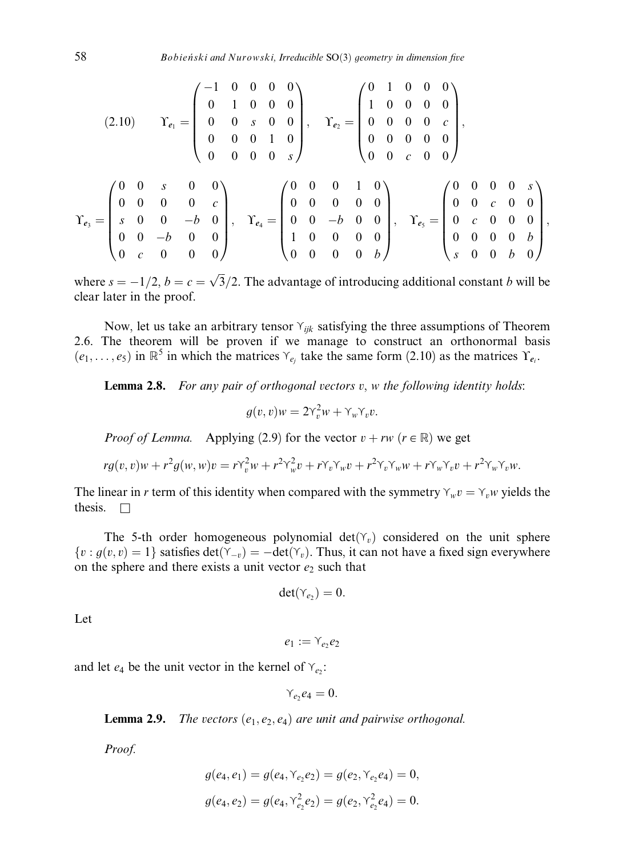$$
(2.10) \t\Gamma_{e_1} = \begin{pmatrix} -1 & 0 & 0 & 0 & 0 \\ 0 & 1 & 0 & 0 & 0 \\ 0 & 0 & s & 0 & 0 \\ 0 & 0 & 0 & 1 & 0 \\ 0 & 0 & 0 & 0 & s \end{pmatrix}, \t\Gamma_{e_2} = \begin{pmatrix} 0 & 1 & 0 & 0 & 0 \\ 1 & 0 & 0 & 0 & 0 \\ 0 & 0 & 0 & 0 & c \\ 0 & 0 & 0 & 0 & 0 \\ 0 & 0 & c & 0 & 0 \end{pmatrix},
$$

$$
\Gamma_{e_3} = \begin{pmatrix} 0 & 0 & s & 0 & 0 \\ 0 & 0 & 0 & 0 & s \\ s & 0 & 0 & -b & 0 \\ 0 & 0 & -b & 0 & 0 \\ 0 & c & 0 & 0 & 0 \end{pmatrix}, \t\Gamma_{e_4} = \begin{pmatrix} 0 & 0 & 0 & 1 & 0 \\ 0 & 0 & 0 & 0 & 0 \\ 0 & 0 & -b & 0 & 0 \\ 1 & 0 & 0 & 0 & 0 \\ 0 & 0 & 0 & 0 & b \end{pmatrix}, \t\Gamma_{e_5} = \begin{pmatrix} 0 & 0 & 0 & 0 & s \\ 0 & 0 & c & 0 & 0 \\ 0 & c & 0 & 0 & 0 \\ 0 & 0 & 0 & 0 & b \\ s & 0 & 0 & b & 0 \end{pmatrix},
$$

where  $s = -1/2$ ,  $b = c = \sqrt{3}/2$ . The advantage of introducing additional constant b will be clear later in the proof.

Now, let us take an arbitrary tensor  $Y_{ijk}$  satisfying the three assumptions of Theorem 2.6. The theorem will be proven if we manage to construct an orthonormal basis  $(e_1, \ldots, e_5)$  in  $\mathbb{R}^5$  in which the matrices  $\gamma_{e_i}$  take the same form (2.10) as the matrices  $\gamma_{e_i}$ .

**Lemma 2.8.** For any pair of orthogonal vectors  $v$ ,  $w$  the following identity holds:

$$
g(v, v)w = 2\gamma_v^2 w + \gamma_w \gamma_v v.
$$

*Proof of Lemma.* Applying (2.9) for the vector  $v + rw$  ( $r \in \mathbb{R}$ ) we get

$$
rg(v,v)w + r^2g(w,w)v = r\gamma_v^2w + r^2\gamma_w^2v + r\gamma_v\gamma_wv + r^2\gamma_v\gamma_ww + r\gamma_w\gamma_vv + r^2\gamma_w\gamma_vw.
$$

The linear in r term of this identity when compared with the symmetry  $\gamma_w v = \gamma_w v$  yields the thesis.  $\square$ 

The 5-th order homogeneous polynomial  $det(\gamma_v)$  considered on the unit sphere  $\{v : g(v, v) = 1\}$  satisfies  $\det(\Upsilon_{-v}) = -\det(\Upsilon_v)$ . Thus, it can not have a fixed sign everywhere on the sphere and there exists a unit vector  $e_2$  such that

$$
\det(\Upsilon_{e_2})=0.
$$

Let

$$
e_1:=\curlyvee_{e_2}e_2
$$

and let  $e_4$  be the unit vector in the kernel of  $\gamma_{e_2}$ :

$$
Y_{e_2}e_4=0.
$$

**Lemma 2.9.** The vectors  $(e_1, e_2, e_4)$  are unit and pairwise orthogonal.

Proof.

$$
g(e_4, e_1) = g(e_4, \Upsilon_{e_2}e_2) = g(e_2, \Upsilon_{e_2}e_4) = 0,
$$
  

$$
g(e_4, e_2) = g(e_4, \Upsilon_{e_2}^2e_2) = g(e_2, \Upsilon_{e_2}^2e_4) = 0.
$$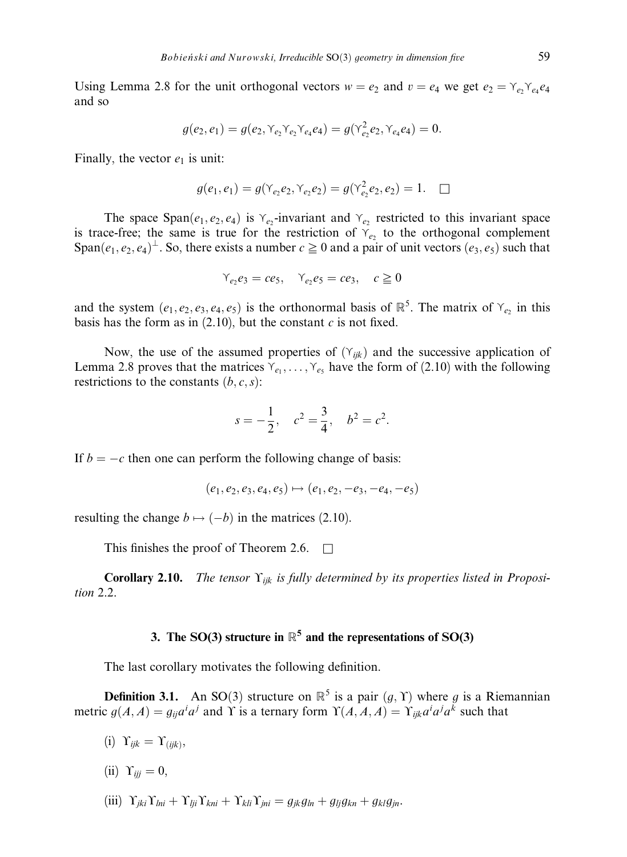Using Lemma 2.8 for the unit orthogonal vectors  $w = e_2$  and  $v = e_4$  we get  $e_2 = \gamma_{e_2} \gamma_{e_4} e_4$ and so

$$
g(e_2, e_1) = g(e_2, \Upsilon_{e_2} \Upsilon_{e_2} \Upsilon_{e_4} e_4) = g(\Upsilon_{e_2}^2 e_2, \Upsilon_{e_4} e_4) = 0.
$$

Finally, the vector  $e_1$  is unit:

$$
g(e_1, e_1) = g(\Upsilon_{e_2}e_2, \Upsilon_{e_2}e_2) = g(\Upsilon_{e_2}^2e_2, e_2) = 1. \quad \Box
$$

The space Span $(e_1, e_2, e_4)$  is  $\gamma_{e_2}$ -invariant and  $\gamma_{e_2}$  restricted to this invariant space is trace-free; the same is true for the restriction of  $Y_{e_2}$  to the orthogonal complement Span $(e_1, e_2, e_4)$ <sup> $\perp$ </sup>. So, there exists a number  $c \ge 0$  and a pair of unit vectors  $(e_3, e_5)$  such that

$$
\gamma_{e_2}e_3 = ce_5, \quad \gamma_{e_2}e_5 = ce_3, \quad c \ge 0
$$

and the system  $(e_1, e_2, e_3, e_4, e_5)$  is the orthonormal basis of  $\mathbb{R}^5$ . The matrix of  $\gamma_{e_2}$  in this basis has the form as in  $(2.10)$ , but the constant c is not fixed.

Now, the use of the assumed properties of  $(\gamma_{ijk})$  and the successive application of Lemma 2.8 proves that the matrices  $Y_{e_1}, \ldots, Y_{e_5}$  have the form of (2.10) with the following restrictions to the constants  $(b, c, s)$ :

$$
s = -\frac{1}{2}
$$
,  $c^2 = \frac{3}{4}$ ,  $b^2 = c^2$ .

If  $b = -c$  then one can perform the following change of basis:

$$
(e_1, e_2, e_3, e_4, e_5) \mapsto (e_1, e_2, -e_3, -e_4, -e_5)
$$

resulting the change  $b \mapsto (-b)$  in the matrices (2.10).

This finishes the proof of Theorem 2.6.  $\Box$ 

**Corollary 2.10.** The tensor  $\Upsilon_{ijk}$  is fully determined by its properties listed in Proposition 2.2.

# 3. The SO(3) structure in  $\mathbb{R}^5$  and the representations of SO(3)

The last corollary motivates the following definition.

**Definition 3.1.** An SO(3) structure on  $\mathbb{R}^5$  is a pair  $(g, \Upsilon)$  where g is a Riemannian metric  $g(A, A) = g_{ij} a^i a^j$  and Y is a ternary form  $\Upsilon(A, A, A) = \Upsilon_{ijk} a^i a^j a^k$  such that

- (i)  $\Upsilon_{ijk} = \Upsilon_{(iik)}$ ,
- (ii)  $\Upsilon_{ii} = 0$ ,
- (iii)  $\Upsilon_{ik} \Upsilon_{lni} + \Upsilon_{li} \Upsilon_{kni} + \Upsilon_{kli} \Upsilon_{ini} = g_{ik} g_{ln} + g_{li} g_{kn} + g_{kl} g_{in}$ .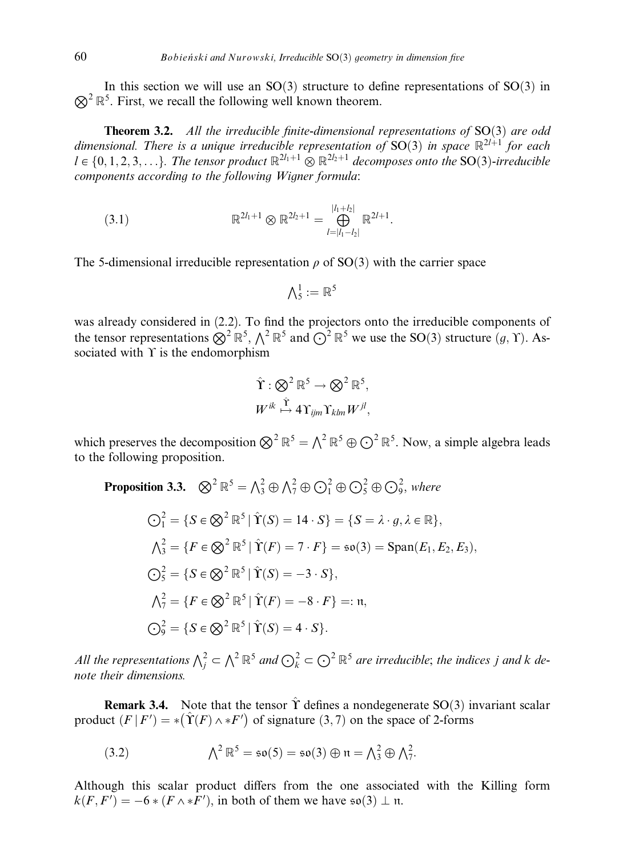$\otimes^2 \mathbb{R}^5$ . First, we recall the following well known theorem. In this section we will use an  $SO(3)$  structure to define representations of  $SO(3)$  in

**Theorem 3.2.** All the irreducible finite-dimensional representations of  $SO(3)$  are odd dimensional. There is a unique irreducible representation of SO(3) in space  $\mathbb{R}^{2l+1}$  for each  $l \in \{0, 1, 2, 3, \ldots\}$ . The tensor product  $\mathbb{R}^{2l_1+1} \otimes \mathbb{R}^{2l_2+1}$  decomposes onto the SO(3)-irreducible components according to the following Wigner formula:

$$
(3.1) \t\t \mathbb{R}^{2l_1+1} \otimes \mathbb{R}^{2l_2+1} = \bigoplus_{l=|l_1-l_2|}^{|l_1+l_2|} \mathbb{R}^{2l+1}.
$$

The 5-dimensional irreducible representation  $\rho$  of SO(3) with the carrier space

$$
\textstyle{\bigwedge}_5^1:=\mathbb{R}^5
$$

was already considered in (2.2). To find the projectors onto the irreducible components of the tensor representations  $\bigotimes^2 \mathbb{R}^5$ ,  $\bigwedge^2 \mathbb{R}^5$  and  $\bigodot^2 \mathbb{R}^5$  we use the SO(3) structure  $(g, \Upsilon)$ . Associated with  $\Upsilon$  is the endomorphism

$$
\hat{\Upsilon}: \bigotimes^2 \mathbb{R}^5 \to \bigotimes^2 \mathbb{R}^5,
$$
  

$$
W^{ik} \stackrel{\hat{\Upsilon}}{\mapsto} 4\Upsilon_{ijm}\Upsilon_{klm}W^{jl},
$$

which preserves the decomposition  $\bigotimes^2 \mathbb{R}^5 = \bigwedge^2 \mathbb{R}^5 \oplus \bigodot^2 \mathbb{R}^5$ . Now, a simple algebra leads to the following proposition.

**Proposition 3.3.** 
$$
\bigotimes^2 \mathbb{R}^5 = \bigwedge^2_3 \oplus \bigwedge^2_7 \oplus \bigodot^2_1 \oplus \bigodot^2_5 \oplus \bigodot^2_9, where
$$

$$
\bigodot^2_1 = \{ S \in \bigotimes^2 \mathbb{R}^5 \mid \hat{\Upsilon}(S) = 14 \cdot S \} = \{ S = \lambda \cdot g, \lambda \in \mathbb{R} \},
$$

$$
\bigwedge^2_3 = \{ F \in \bigotimes^2 \mathbb{R}^5 \mid \hat{\Upsilon}(F) = 7 \cdot F \} = \mathfrak{so}(3) = \text{Span}(E_1, E_2, E_3),
$$

$$
\bigodot^2_5 = \{ S \in \bigotimes^2 \mathbb{R}^5 \mid \hat{\Upsilon}(S) = -3 \cdot S \},
$$

$$
\bigwedge^2_7 = \{ F \in \bigotimes^2 \mathbb{R}^5 \mid \hat{\Upsilon}(F) = -8 \cdot F \} =: \mathfrak{n},
$$

$$
\bigodot^2_9 = \{ S \in \bigotimes^2 \mathbb{R}^5 \mid \hat{\Upsilon}(S) = 4 \cdot S \}.
$$

All the representations  $\bigwedge_j^2 \subset \bigwedge^2{\mathbb R}^5$  and  $\bigodot^2_k \subset \bigodot^2{\mathbb R}^5$  are irreducible; the indices j and k denote their dimensions.

**Remark 3.4.** Note that the tensor  $\hat{\Upsilon}$  defines a nondegenerate SO(3) invariant scalar product  $(F | F') = *(\hat{T}(F) \wedge *F')$  of signature  $(3, 7)$  on the space of 2-forms

(3.2) 
$$
\Lambda^2 \mathbb{R}^5 = \mathfrak{so}(5) = \mathfrak{so}(3) \oplus \mathfrak{n} = \Lambda_3^2 \oplus \Lambda_7^2.
$$

Although this scalar product differs from the one associated with the Killing form  $k(F, F') = -6 * (F \wedge *F')$ , in both of them we have  $\mathfrak{so}(3) \perp \mathfrak{n}$ .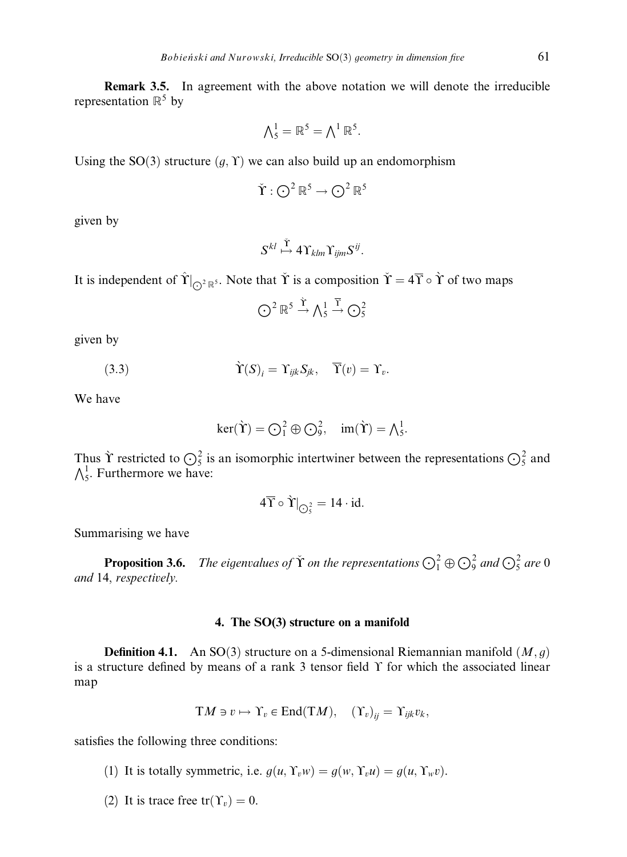Remark 3.5. In agreement with the above notation we will denote the irreducible representation  $\mathbb{R}^5$  by

$$
\Lambda_5^1 = \mathbb{R}^5 = \Lambda^1 \, \mathbb{R}^5.
$$

Using the SO(3) structure  $(g, Y)$  we can also build up an endomorphism

$$
\check{\Upsilon}:\bigodot^2{\mathbb R}^5\to\bigodot^2{\mathbb R}^5
$$

given by

$$
S^{kl}\stackrel{\check{\Upsilon}}{\mapsto} 4\Upsilon_{klm}\Upsilon_{ijm}S^{ij}.
$$

It is independent of  $\hat{\Upsilon}|_{\bigodot^2 \mathbb{R}^5}$ . Note that  $\check{\Upsilon}$  is a composition  $\check{\Upsilon} = 4\overline{\Upsilon} \circ \grave{\Upsilon}$  of two maps

$$
\bigodot^2 \mathbb{R}^5 \stackrel{\hat{\Upsilon}}{\rightarrow} \bigwedge^1_5 \stackrel{\overline{\Upsilon}}{\rightarrow} \bigodot^2_5
$$

given by

(3.3) 
$$
\hat{\Upsilon}(S)_i = \Upsilon_{ijk} S_{jk}, \quad \overline{\Upsilon}(v) = \Upsilon_v.
$$

We have

$$
\ker(\grave{\Upsilon}) = \bigodot_1^2 \oplus \bigodot_9^2, \quad \text{im}(\grave{\Upsilon}) = \bigwedge_5^1.
$$

Thus  $\Upsilon$  restricted to  $\bigodot^2$  is an isomorphic intertwiner between the representations  $\bigodot^2$  and  $\bigwedge_{5}^{1}$ . Furthermore we have:

$$
4\overline{\Upsilon} \circ \grave{\Upsilon}|_{\bigodot^2_5} = 14 \cdot id.
$$

Summarising we have

**Proposition 3.6.** The eigenvalues of  $\check{\Upsilon}$  on the representations  $\bigodot^2_1 \oplus \bigodot^2_9$  and  $\bigodot^2_5$  are 0 and 14, respectively.

# 4. The SO(3) structure on a manifold

**Definition 4.1.** An SO(3) structure on a 5-dimensional Riemannian manifold  $(M, g)$ is a structure defined by means of a rank 3 tensor field  $\Upsilon$  for which the associated linear map

$$
TM \ni v \mapsto \Upsilon_v \in End(TM), \quad (\Upsilon_v)_{ij} = \Upsilon_{ijk}v_k,
$$

satisfies the following three conditions:

- (1) It is totally symmetric, i.e.  $g(u, \Upsilon_v w) = g(w, \Upsilon_v u) = g(u, \Upsilon_w v)$ .
- (2) It is trace free  $tr(\Upsilon_v) = 0$ .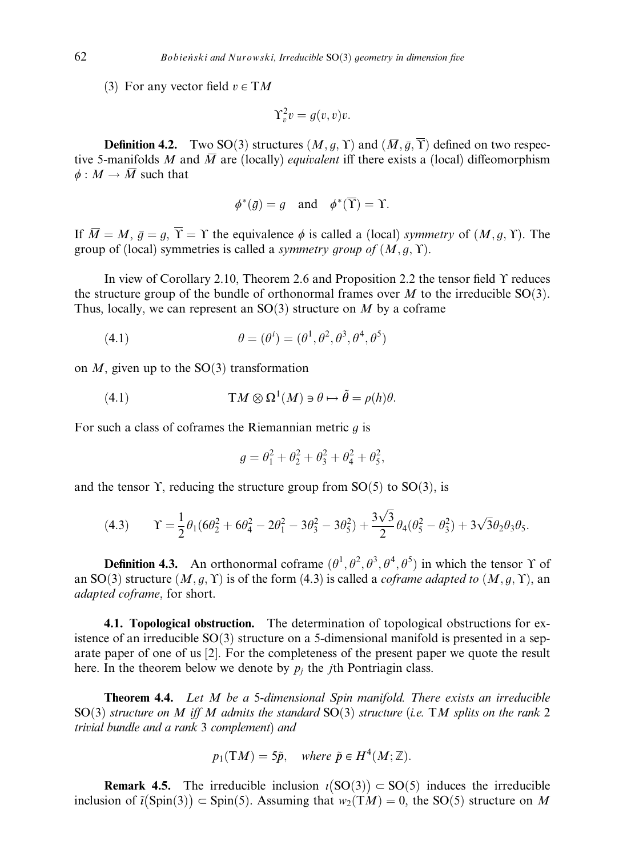(3) For any vector field  $v \in TM$ 

$$
\Upsilon_v^2 v = g(v, v)v.
$$

**Definition 4.2.** Two SO(3) structures  $(M, q, \Upsilon)$  and  $(\overline{M}, \overline{q}, \overline{\Upsilon})$  defined on two respective 5-manifolds M and  $\overline{M}$  are (locally) *equivalent* iff there exists a (local) diffeomorphism  $\phi : M \to \overline{M}$  such that

$$
\phi^*(\overline{g}) = g
$$
 and  $\phi^*(\overline{Y}) = \Upsilon$ .

If  $\overline{M} = M$ ,  $\overline{q} = q$ ,  $\overline{Y} = Y$  the equivalence  $\phi$  is called a (local) symmetry of  $(M, q, Y)$ . The group of (local) symmetries is called a *symmetry group of*  $(M, q, \Upsilon)$ .

In view of Corollary 2.10, Theorem 2.6 and Proposition 2.2 the tensor field  $\Upsilon$  reduces the structure group of the bundle of orthonormal frames over  $M$  to the irreducible SO(3). Thus, locally, we can represent an  $SO(3)$  structure on M by a coframe

(4.1) 
$$
\theta = (\theta^i) = (\theta^1, \theta^2, \theta^3, \theta^4, \theta^5)
$$

on  $M$ , given up to the SO(3) transformation

(4.1) 
$$
TM \otimes \Omega^1(M) \ni \theta \mapsto \tilde{\theta} = \rho(h)\theta.
$$

For such a class of coframes the Riemannian metric  $q$  is

$$
g = \theta_1^2 + \theta_2^2 + \theta_3^2 + \theta_4^2 + \theta_5^2,
$$

and the tensor  $\Upsilon$ , reducing the structure group from SO(5) to SO(3), is

(4.3) 
$$
\Upsilon = \frac{1}{2}\theta_1(6\theta_2^2 + 6\theta_4^2 - 2\theta_1^2 - 3\theta_3^2 - 3\theta_5^2) + \frac{3\sqrt{3}}{2}\theta_4(\theta_5^2 - \theta_3^2) + 3\sqrt{3}\theta_2\theta_3\theta_5.
$$

**Definition 4.3.** An orthonormal coframe  $(\theta^1, \theta^2, \theta^3, \theta^4, \theta^5)$  in which the tensor Y of an SO(3) structure  $(M, g, Y)$  is of the form (4.3) is called a *coframe adapted to*  $(M, g, Y)$ , an adapted coframe, for short.

4.1. Topological obstruction. The determination of topological obstructions for existence of an irreducible  $SO(3)$  structure on a 5-dimensional manifold is presented in a separate paper of one of us [2]. For the completeness of the present paper we quote the result here. In the theorem below we denote by  $p_i$  the *j*th Pontriagin class.

**Theorem 4.4.** Let M be a 5-dimensional Spin manifold. There exists an irreducible SO(3) structure on M iff M admits the standard SO(3) structure (i.e. TM splits on the rank 2 trivial bundle and a rank 3 complement) and

$$
p_1(TM) = 5\tilde{p}
$$
, where  $\tilde{p} \in H^4(M; \mathbb{Z})$ .

**Remark 4.5.** The irreducible inclusion  $i(SO(3)) \subset SO(5)$  induces the irreducible inclusion of  $\tilde{i}(\text{Spin}(3)) \subset \text{Spin}(5)$ . Assuming that  $w_2(TM) = 0$ , the SO $(5)$  structure on M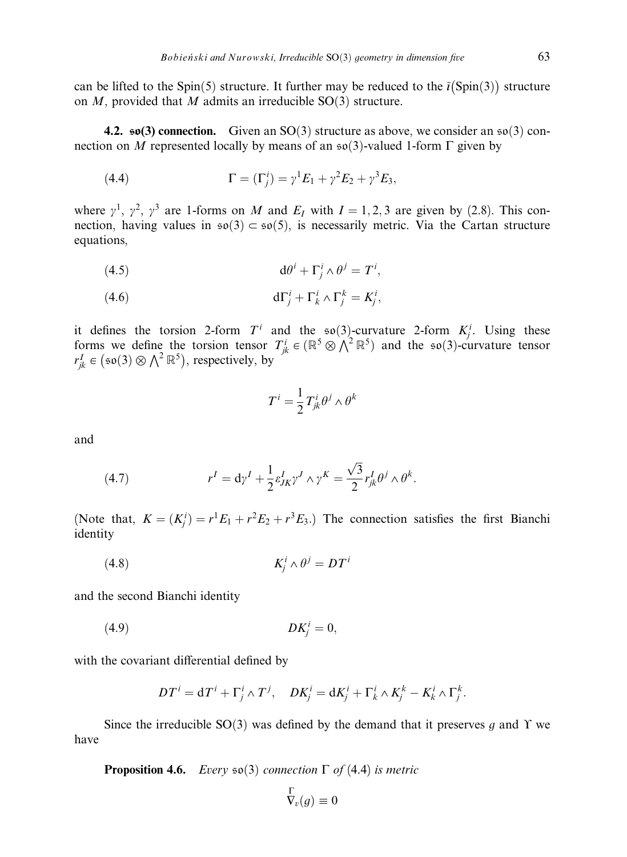can be lifted to the Spin(5) structure. It further may be reduced to the  $\tilde{i}$ (Spin(3)) structure on M, provided that M admits an irreducible  $SO(3)$  structure.

4.2.  $\mathfrak{so}(3)$  connection. Given an SO(3) structure as above, we consider an  $\mathfrak{so}(3)$  connection on M represented locally by means of an  $\mathfrak{so}(3)$ -valued 1-form  $\Gamma$  given by

(4.4) 
$$
\Gamma = (\Gamma_j^i) = \gamma^1 E_1 + \gamma^2 E_2 + \gamma^3 E_3,
$$

where  $\gamma^1$ ,  $\gamma^2$ ,  $\gamma^3$  are 1-forms on M and  $E_I$  with  $I = 1, 2, 3$  are given by (2.8). This connection, having values in  $\mathfrak{so}(3) \subset \mathfrak{so}(5)$ , is necessarily metric. Via the Cartan structure equations,

$$
(4.5) \t\t d\theta^i + \Gamma^i_j \wedge \theta^j = T^i,
$$

(4.6) 
$$
d\Gamma_j^i + \Gamma_k^i \wedge \Gamma_j^k = K_j^i,
$$

it defines the torsion 2-form  $T^i$  and the so(3)-curvature 2-form  $K_j^i$ . Using these forms we define the torsion tensor  $T_{jk}^i \in (\mathbb{R}^5 \otimes \Lambda^2 \mathbb{R}^5)$  and the so(3)-curvature tensor  $r_{jk}^I \in (\mathfrak{so}(3) \otimes \wedge^2 \mathbb{R}^5)$ , respectively, by

$$
T^i = \frac{1}{2} T^i_{jk} \theta^j \wedge \theta^k
$$

and

(4.7) 
$$
r^{I} = d\gamma^{I} + \frac{1}{2} \varepsilon_{JK}^{I} \gamma^{J} \wedge \gamma^{K} = \frac{\sqrt{3}}{2} r_{jk}^{I} \theta^{j} \wedge \theta^{k}.
$$

(Note that,  $K = (K_j^i) = r^1 E_1 + r^2 E_2 + r^3 E_3$ .) The connection satisfies the first Bianchi identity

$$
(4.8)\t\t\t K_j^i \wedge \theta^j = DT^i
$$

and the second Bianchi identity

$$
(4.9) \t\t D K_j^i = 0,
$$

with the covariant differential defined by

$$
DT^{i} = dT^{i} + \Gamma_{j}^{i} \wedge T^{j}, \quad DK_{j}^{i} = dK_{j}^{i} + \Gamma_{k}^{i} \wedge K_{j}^{k} - K_{k}^{i} \wedge \Gamma_{j}^{k}.
$$

Since the irreducible  $SO(3)$  was defined by the demand that it preserves g and  $\Upsilon$  we have

**Proposition 4.6.** Every  $\mathfrak{so}(3)$  connection  $\Gamma$  of (4.4) is metric

$$
\overline{\nabla}_v(g) \equiv 0
$$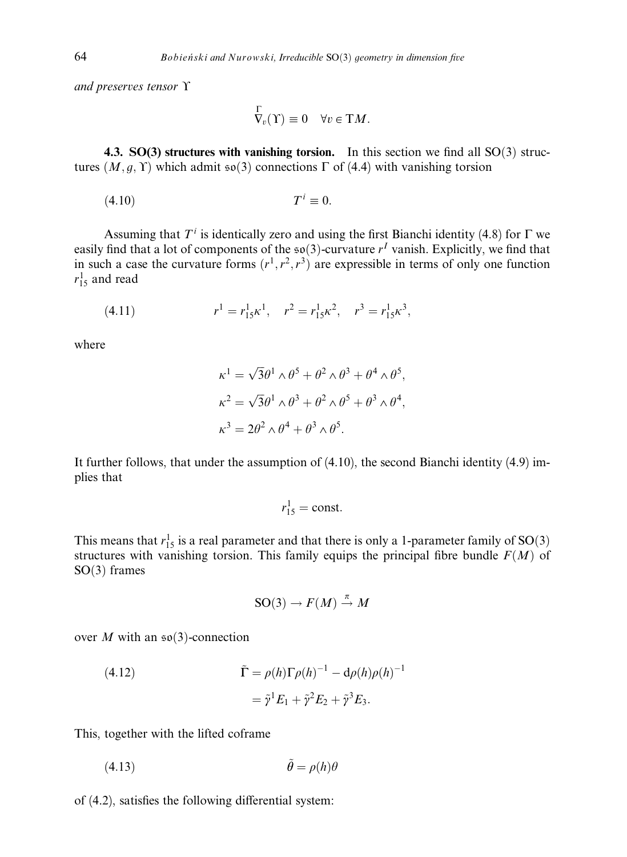and preserves tensor  $\Upsilon$ 

$$
\overline{\nabla}_v(\Upsilon) \equiv 0 \quad \forall v \in \Upsilon M.
$$

4.3.  $SO(3)$  structures with vanishing torsion. In this section we find all  $SO(3)$  structures  $(M, g, Y)$  which admit  $\mathfrak{so}(3)$  connections  $\Gamma$  of (4.4) with vanishing torsion

$$
(4.10) \t\t Ti \equiv 0.
$$

Assuming that  $T<sup>i</sup>$  is identically zero and using the first Bianchi identity (4.8) for  $\Gamma$  we easily find that a lot of components of the  $\mathfrak{so}(3)$ -curvature r<sup>I</sup> vanish. Explicitly, we find that in such a case the curvature forms  $(r^1, r^2, r^3)$  are expressible in terms of only one function  $r_{15}^1$  and read

(4.11) 
$$
r^{1} = r_{15}^{1} \kappa^{1}, \quad r^{2} = r_{15}^{1} \kappa^{2}, \quad r^{3} = r_{15}^{1} \kappa^{3},
$$

where

$$
\kappa^1 = \sqrt{3}\theta^1 \wedge \theta^5 + \theta^2 \wedge \theta^3 + \theta^4 \wedge \theta^5,
$$
  
\n
$$
\kappa^2 = \sqrt{3}\theta^1 \wedge \theta^3 + \theta^2 \wedge \theta^5 + \theta^3 \wedge \theta^4,
$$
  
\n
$$
\kappa^3 = 2\theta^2 \wedge \theta^4 + \theta^3 \wedge \theta^5.
$$

It further follows, that under the assumption of (4.10), the second Bianchi identity (4.9) implies that

$$
r_{15}^1 = \text{const.}
$$

This means that  $r_{15}^1$  is a real parameter and that there is only a 1-parameter family of SO(3) structures with vanishing torsion. This family equips the principal fibre bundle  $F(M)$  of  $SO(3)$  frames

$$
SO(3) \to F(M) \stackrel{\pi}{\to} M
$$

over M with an  $\mathfrak{so}(3)$ -connection

(4.12) 
$$
\tilde{\Gamma} = \rho(h)\Gamma\rho(h)^{-1} - d\rho(h)\rho(h)^{-1}
$$

$$
= \tilde{\gamma}^1 E_1 + \tilde{\gamma}^2 E_2 + \tilde{\gamma}^3 E_3.
$$

This, together with the lifted coframe

$$
(4.13)\qquad \qquad \tilde{\theta} = \rho(h)\theta
$$

of  $(4.2)$ , satisfies the following differential system: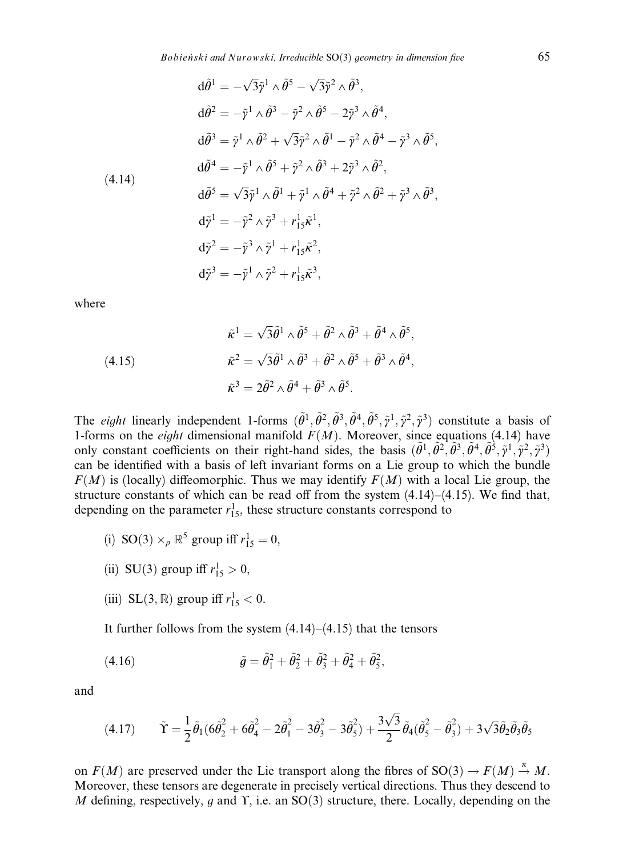$$
d\tilde{\theta}^{1} = -\sqrt{3}\tilde{\gamma}^{1} \wedge \tilde{\theta}^{5} - \sqrt{3}\tilde{\gamma}^{2} \wedge \tilde{\theta}^{3},
$$
  
\n
$$
d\tilde{\theta}^{2} = -\tilde{\gamma}^{1} \wedge \tilde{\theta}^{3} - \tilde{\gamma}^{2} \wedge \tilde{\theta}^{5} - 2\tilde{\gamma}^{3} \wedge \tilde{\theta}^{4},
$$
  
\n
$$
d\tilde{\theta}^{3} = \tilde{\gamma}^{1} \wedge \tilde{\theta}^{2} + \sqrt{3}\tilde{\gamma}^{2} \wedge \tilde{\theta}^{1} - \tilde{\gamma}^{2} \wedge \tilde{\theta}^{4} - \tilde{\gamma}^{3} \wedge \tilde{\theta}^{5},
$$
  
\n
$$
d\tilde{\theta}^{4} = -\tilde{\gamma}^{1} \wedge \tilde{\theta}^{5} + \tilde{\gamma}^{2} \wedge \tilde{\theta}^{3} + 2\tilde{\gamma}^{3} \wedge \tilde{\theta}^{2},
$$
  
\n
$$
d\tilde{\theta}^{5} = \sqrt{3}\tilde{\gamma}^{1} \wedge \tilde{\theta}^{1} + \tilde{\gamma}^{1} \wedge \tilde{\theta}^{4} + \tilde{\gamma}^{2} \wedge \tilde{\theta}^{2} + \tilde{\gamma}^{3} \wedge \tilde{\theta}^{3},
$$
  
\n
$$
d\tilde{\gamma}^{1} = -\tilde{\gamma}^{2} \wedge \tilde{\gamma}^{3} + r_{15}^{1} \tilde{\kappa}^{1},
$$
  
\n
$$
d\tilde{\gamma}^{2} = -\tilde{\gamma}^{3} \wedge \tilde{\gamma}^{1} + r_{15}^{1} \tilde{\kappa}^{2},
$$
  
\n
$$
d\tilde{\gamma}^{3} = -\tilde{\gamma}^{1} \wedge \tilde{\gamma}^{2} + r_{15}^{1} \tilde{\kappa}^{3},
$$

where

(4.15)  
\n
$$
\tilde{\kappa}^{1} = \sqrt{3}\tilde{\theta}^{1} \wedge \tilde{\theta}^{5} + \tilde{\theta}^{2} \wedge \tilde{\theta}^{3} + \tilde{\theta}^{4} \wedge \tilde{\theta}^{5},
$$
\n
$$
\tilde{\kappa}^{2} = \sqrt{3}\tilde{\theta}^{1} \wedge \tilde{\theta}^{3} + \tilde{\theta}^{2} \wedge \tilde{\theta}^{5} + \tilde{\theta}^{3} \wedge \tilde{\theta}^{4},
$$
\n
$$
\tilde{\kappa}^{3} = 2\tilde{\theta}^{2} \wedge \tilde{\theta}^{4} + \tilde{\theta}^{3} \wedge \tilde{\theta}^{5}.
$$

The *eight* linearly independent 1-forms  $(\tilde{\theta}^1, \tilde{\theta}^2, \tilde{\theta}^3, \tilde{\theta}^4, \tilde{\theta}^5, \tilde{\gamma}^1, \tilde{\gamma}^2, \tilde{\gamma}^3)$  constitute a basis of 1-forms on the *eight* dimensional manifold  $F(M)$ . Moreover, since equations (4.14) have only constant coefficients on their right-hand sides, the basis  $(\tilde{\theta}^1, \tilde{\theta}^2, \tilde{\theta}^3, \tilde{\theta}^4, \tilde{\theta}^5, \tilde{\gamma}^1, \tilde{\gamma}^2, \tilde{\gamma}^3)$ can be identified with a basis of left invariant forms on a Lie group to which the bundle  $F(M)$  is (locally) diffeomorphic. Thus we may identify  $F(M)$  with a local Lie group, the structure constants of which can be read off from the system  $(4.14)$ – $(4.15)$ . We find that, depending on the parameter  $r_{15}^1$ , these structure constants correspond to

- (i) SO(3)  $\times_p \mathbb{R}^5$  group iff  $r_{15}^1 = 0$ ,
- (ii) SU(3) group iff  $r_{15}^1 > 0$ ,
- (iii) SL(3,  $\mathbb{R}$ ) group iff  $r_{15}^1 < 0$ .

It further follows from the system (4.14)–(4.15) that the tensors

(4.16) 
$$
\tilde{g} = \tilde{\theta}_1^2 + \tilde{\theta}_2^2 + \tilde{\theta}_3^2 + \tilde{\theta}_4^2 + \tilde{\theta}_5^2,
$$

and

$$
(4.17) \qquad \tilde{\Upsilon} = \frac{1}{2}\tilde{\theta}_1(6\tilde{\theta}_2^2 + 6\tilde{\theta}_4^2 - 2\tilde{\theta}_1^2 - 3\tilde{\theta}_3^2 - 3\tilde{\theta}_5^2) + \frac{3\sqrt{3}}{2}\tilde{\theta}_4(\tilde{\theta}_5^2 - \tilde{\theta}_3^2) + 3\sqrt{3}\tilde{\theta}_2\tilde{\theta}_3\tilde{\theta}_5
$$

on  $F(M)$  are preserved under the Lie transport along the fibres of  $SO(3) \rightarrow F(M) \stackrel{\pi}{\rightarrow} M$ . Moreover, these tensors are degenerate in precisely vertical directions. Thus they descend to M defining, respectively, g and Y, i.e. an  $SO(3)$  structure, there. Locally, depending on the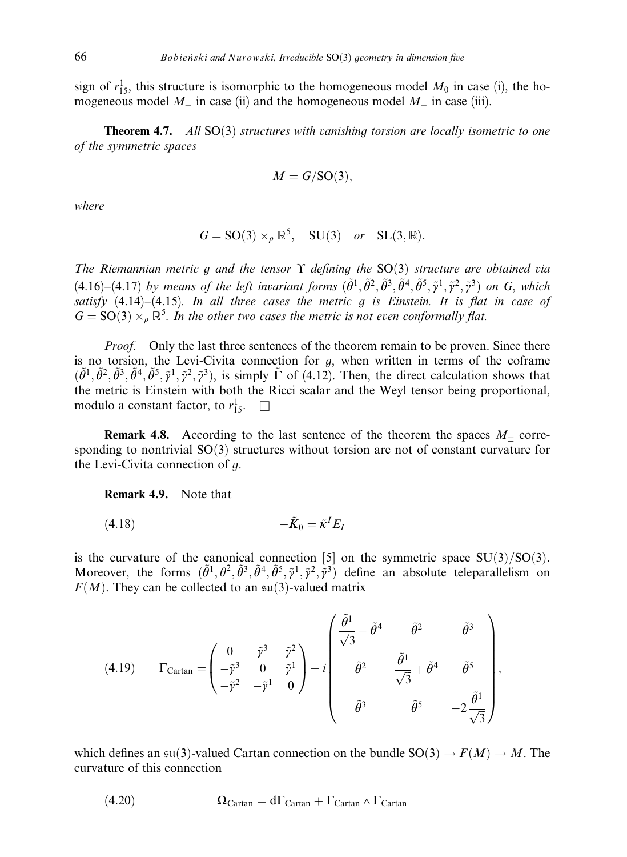sign of  $r_{15}^1$ , this structure is isomorphic to the homogeneous model  $M_0$  in case (i), the homogeneous model  $M_+$  in case (ii) and the homogeneous model  $M_-$  in case (iii).

**Theorem 4.7.** All  $SO(3)$  structures with vanishing torsion are locally isometric to one of the symmetric spaces

$$
M = G/\mathrm{SO}(3),
$$

where

$$
G = SO(3) \times_{\rho} \mathbb{R}^5, SU(3) \text{ or } SL(3, \mathbb{R}).
$$

The Riemannian metric g and the tensor  $\Upsilon$  defining the SO(3) structure are obtained via (4.16)–(4.17) by means of the left invariant forms  $(\tilde{\theta}^1, \tilde{\theta}^2, \tilde{\theta}^3, \tilde{\theta}^4, \tilde{\theta}^5, \tilde{\gamma}^1, \tilde{\gamma}^2, \tilde{\gamma}^3)$  on G, which satisfy  $(4.14)$ – $(4.15)$ . In all three cases the metric g is Einstein. It is flat in case of  $G = SO(3) \times_{\rho} \mathbb{R}^5$ . In the other two cases the metric is not even conformally flat.

*Proof.* Only the last three sentences of the theorem remain to be proven. Since there is no torsion, the Levi-Civita connection for  $g$ , when written in terms of the coframe  $(\tilde{\theta}^1, \tilde{\theta}^2, \tilde{\theta}^3, \tilde{\theta}^4, \tilde{\theta}^5, \tilde{\gamma}^1, \tilde{\gamma}^2, \tilde{\gamma}^3)$ , is simply  $\tilde{\Gamma}$  of (4.12). Then, the direct calculation shows that the metric is Einstein with both the Ricci scalar and the Weyl tensor being proportional, modulo a constant factor, to  $r_{15}^1$ .  $\Box$ 

**Remark 4.8.** According to the last sentence of the theorem the spaces  $M_{\pm}$  corresponding to nontrivial  $SO(3)$  structures without torsion are not of constant curvature for the Levi-Civita connection of g.

Remark 4.9. Note that

$$
(4.18) \t-\tilde{K}_0 = \tilde{\kappa}^I E_I
$$

is the curvature of the canonical connection [5] on the symmetric space  $SU(3)/SO(3)$ . Moreover, the forms  $(\tilde{\theta}^1, \theta^2, \tilde{\theta}^3, \tilde{\theta}^4, \tilde{\theta}^5, \tilde{\gamma}^1, \tilde{\gamma}^2, \tilde{\gamma}^3)$  define an absolute teleparallelism on  $F(M)$ . They can be collected to an  $\mathfrak{su}(3)$ -valued matrix

(4.19) 
$$
\Gamma_{\text{Cartan}} = \begin{pmatrix} 0 & \tilde{\gamma}^3 & \tilde{\gamma}^2 \\ -\tilde{\gamma}^3 & 0 & \tilde{\gamma}^1 \\ -\tilde{\gamma}^2 & -\tilde{\gamma}^1 & 0 \end{pmatrix} + i \begin{pmatrix} \frac{\tilde{\theta}^1}{\sqrt{3}} - \tilde{\theta}^4 & \tilde{\theta}^2 & \tilde{\theta}^3 \\ \tilde{\theta}^2 & \frac{\tilde{\theta}^1}{\sqrt{3}} + \tilde{\theta}^4 & \tilde{\theta}^5 \\ \tilde{\theta}^3 & \tilde{\theta}^5 & -2\frac{\tilde{\theta}^1}{\sqrt{3}} \end{pmatrix},
$$

which defines an su(3)-valued Cartan connection on the bundle  $SO(3) \rightarrow F(M) \rightarrow M$ . The curvature of this connection

(4.20) 
$$
\Omega_{Cartan} = d\Gamma_{Cartan} + \Gamma_{Cartan} \wedge \Gamma_{Cartan}
$$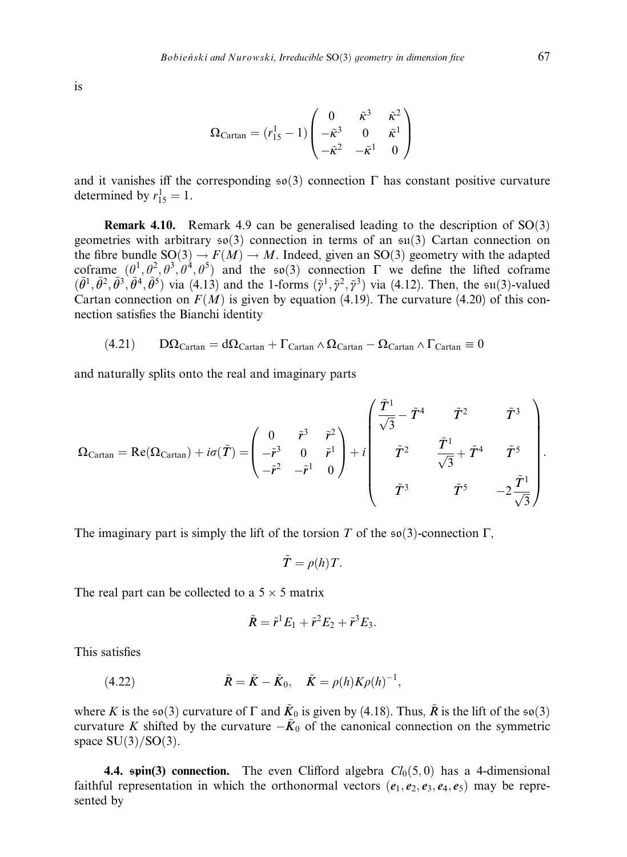is

$$
\Omega_{\text{Cartan}} = (r_{15}^1 - 1) \begin{pmatrix} 0 & \tilde{\kappa}^3 & \tilde{\kappa}^2 \\ -\tilde{\kappa}^3 & 0 & \tilde{\kappa}^1 \\ -\tilde{\kappa}^2 & -\tilde{\kappa}^1 & 0 \end{pmatrix}
$$

and it vanishes iff the corresponding  $\mathfrak{so}(3)$  connection  $\Gamma$  has constant positive curvature determined by  $r_{15}^1 = 1$ .

**Remark 4.10.** Remark 4.9 can be generalised leading to the description of  $SO(3)$ geometries with arbitrary  $\mathfrak{so}(3)$  connection in terms of an  $\mathfrak{su}(3)$  Cartan connection on the fibre bundle  $SO(3) \rightarrow F(M) \rightarrow M$ . Indeed, given an  $SO(3)$  geometry with the adapted coframe  $(\theta^1, \theta^2, \theta^3, \theta^4, \theta^5)$  and the so(3) connection  $\Gamma$  we define the lifted coframe  $(\tilde{\theta}^1, \tilde{\theta}^2, \tilde{\theta}^3, \tilde{\theta}^4, \tilde{\theta}^5)$  via  $(4.13)$  and the 1-forms  $(\tilde{\gamma}^1, \tilde{\gamma}^2, \tilde{\gamma}^3)$  via (4.12). Then, the su(3)-valued Cartan connection on  $F(M)$  is given by equation (4.19). The curvature (4.20) of this connection satisfies the Bianchi identity

$$
(4.21)\qquad D\Omega_{Cartan}=d\Omega_{Cartan}+\Gamma_{Cartan}\wedge\Omega_{Cartan}-\Omega_{Cartan}\wedge\Gamma_{Cartan}\equiv 0
$$

and naturally splits onto the real and imaginary parts

$$
\Omega_{\text{Cartan}} = \text{Re}(\Omega_{\text{Cartan}}) + i\sigma(\tilde{T}) = \begin{pmatrix} 0 & \tilde{r}^3 & \tilde{r}^2 \\ -\tilde{r}^3 & 0 & \tilde{r}^1 \\ -\tilde{r}^2 & -\tilde{r}^1 & 0 \end{pmatrix} + i \begin{pmatrix} \tilde{T}^1 & \tilde{T}^2 & \tilde{T}^3 \\ \tilde{T}^2 & \tilde{T}^1 & \tilde{T}^5 \\ \tilde{T}^3 & \tilde{T}^5 & -2\frac{\tilde{T}^1}{\sqrt{3}} \end{pmatrix}.
$$

The imaginary part is simply the lift of the torsion T of the  $\mathfrak{so}(3)$ -connection  $\Gamma$ ,

$$
\tilde{T} = \rho(h) T.
$$

The real part can be collected to a  $5 \times 5$  matrix

$$
\tilde{R} = \tilde{r}^1 E_1 + \tilde{r}^2 E_2 + \tilde{r}^3 E_3.
$$

This satisfies

(4.22) 
$$
\tilde{R} = \tilde{K} - \tilde{K}_0, \quad \tilde{K} = \rho(h)K\rho(h)^{-1},
$$

where K is the  $\mathfrak{so}(3)$  curvature of  $\Gamma$  and  $\tilde{K}_0$  is given by (4.18). Thus,  $\tilde{R}$  is the lift of the  $\mathfrak{so}(3)$ curvature K shifted by the curvature  $-\tilde{K}_0$  of the canonical connection on the symmetric space  $SU(3)/SO(3)$ .

**4.4. spin(3) connection.** The even Clifford algebra  $Cl_0(5,0)$  has a 4-dimensional faithful representation in which the orthonormal vectors  $(e_1, e_2, e_3, e_4, e_5)$  may be represented by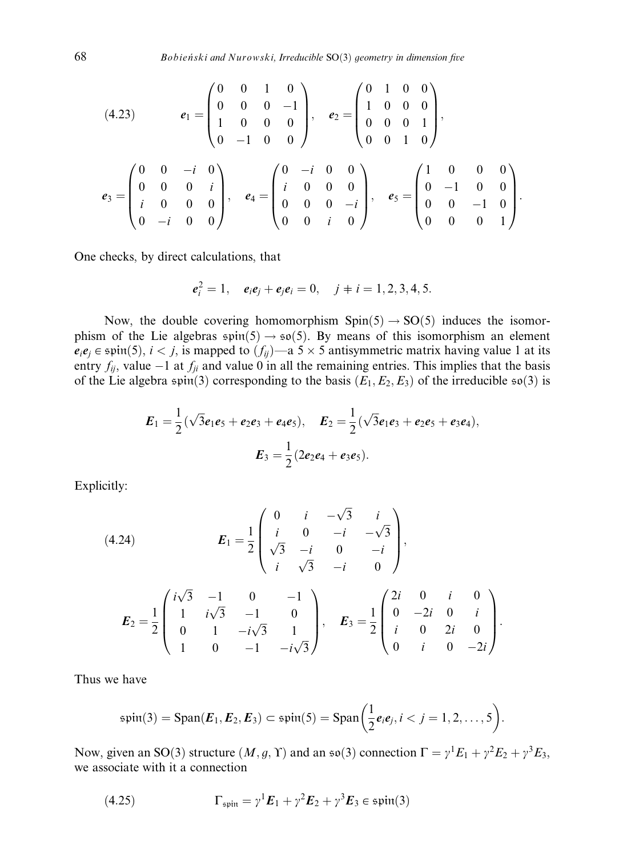$$
(4.23) \t e_1 = \begin{pmatrix} 0 & 0 & 1 & 0 \\ 0 & 0 & 0 & -1 \\ 1 & 0 & 0 & 0 \\ 0 & -1 & 0 & 0 \end{pmatrix}, \t e_2 = \begin{pmatrix} 0 & 1 & 0 & 0 \\ 1 & 0 & 0 & 0 \\ 0 & 0 & 0 & 1 \\ 0 & 0 & 1 & 0 \end{pmatrix},
$$

$$
e_3 = \begin{pmatrix} 0 & 0 & -i & 0 \\ 0 & 0 & 0 & i \\ i & 0 & 0 & 0 \\ 0 & -i & 0 & 0 \end{pmatrix}, \t e_4 = \begin{pmatrix} 0 & -i & 0 & 0 \\ i & 0 & 0 & 0 \\ 0 & 0 & 0 & -i \\ 0 & 0 & i & 0 \end{pmatrix}, \t e_5 = \begin{pmatrix} 1 & 0 & 0 & 0 \\ 0 & -1 & 0 & 0 \\ 0 & 0 & -1 & 0 \\ 0 & 0 & 0 & 1 \end{pmatrix}.
$$

One checks, by direct calculations, that

$$
e_i^2 = 1
$$
,  $e_i e_j + e_j e_i = 0$ ,  $j \neq i = 1, 2, 3, 4, 5$ .

Now, the double covering homomorphism  $Spin(5) \rightarrow SO(5)$  induces the isomorphism of the Lie algebras  $\text{spin}(5) \rightarrow \text{so}(5)$ . By means of this isomorphism an element  $e_i e_j \in \text{spin}(5)$ ,  $i < j$ , is mapped to  $(f_{ij})$ —a 5  $\times$  5 antisymmetric matrix having value 1 at its entry  $f_{ij}$ , value  $-1$  at  $f_{ji}$  and value 0 in all the remaining entries. This implies that the basis of the Lie algebra spin(3) corresponding to the basis  $(E_1, E_2, E_3)$  of the irreducible so(3) is

$$
E_1 = \frac{1}{2}(\sqrt{3}e_1e_5 + e_2e_3 + e_4e_5), \quad E_2 = \frac{1}{2}(\sqrt{3}e_1e_3 + e_2e_5 + e_3e_4),
$$

$$
E_3 = \frac{1}{2}(2e_2e_4 + e_3e_5).
$$

Explicitly:

(4.24) 
$$
E_1 = \frac{1}{2} \begin{pmatrix} 0 & i & -\sqrt{3} & i \\ i & 0 & -i & -\sqrt{3} \\ \sqrt{3} & -i & 0 & -i \\ i & \sqrt{3} & -i & 0 \end{pmatrix},
$$

$$
E_2 = \frac{1}{2} \begin{pmatrix} i\sqrt{3} & -1 & 0 & -1 \\ 1 & i\sqrt{3} & -1 & 0 \\ 0 & 1 & -i\sqrt{3} & 1 \\ 1 & 0 & -1 & -i\sqrt{3} \end{pmatrix}, \quad E_3 = \frac{1}{2} \begin{pmatrix} 2i & 0 & i & 0 \\ 0 & -2i & 0 & i \\ i & 0 & 2i & 0 \\ 0 & i & 0 & -2i \end{pmatrix}.
$$

Thus we have

$$
\mathfrak{spin}(3)=\text{Span}(\boldsymbol{E}_1,\boldsymbol{E}_2,\boldsymbol{E}_3)\subset\mathfrak{spin}(5)=\text{Span}\bigg(\frac{1}{2}e_ie_j,i
$$

Now, given an SO(3) structure  $(M, g, \Upsilon)$  and an so(3) connection  $\Gamma = \gamma^1 E_1 + \gamma^2 E_2 + \gamma^3 E_3$ , we associate with it a connection

(4.25) 
$$
\Gamma_{\text{spin}} = \gamma^1 \boldsymbol{E}_1 + \gamma^2 \boldsymbol{E}_2 + \gamma^3 \boldsymbol{E}_3 \in \text{spin}(3)
$$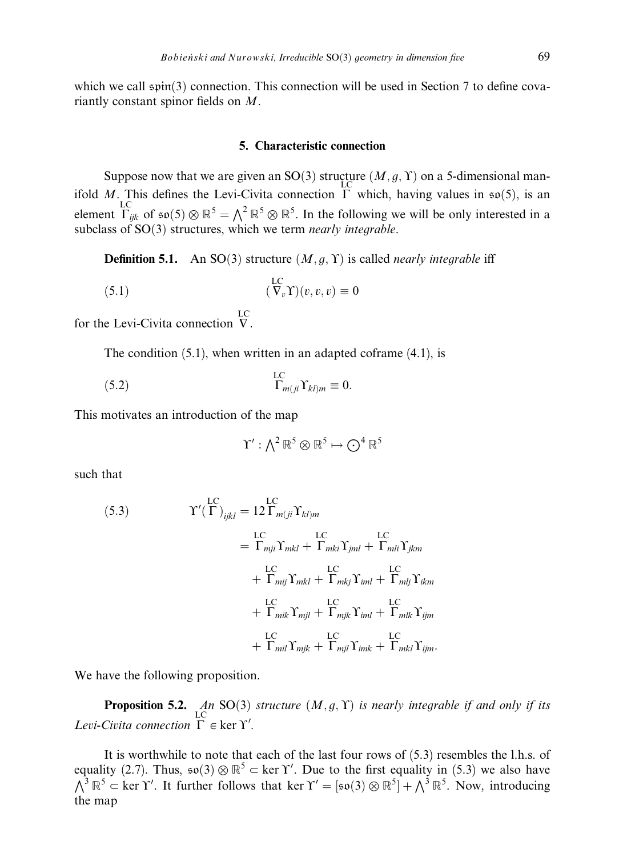which we call  $spin(3)$  connection. This connection will be used in Section 7 to define covariantly constant spinor fields on M.

#### 5. Characteristic connection

Suppose now that we are given an SO(3) structure  $(M, g, \Upsilon)$  on a 5-dimensional manifold M. This defines the Levi-Civita connection  $\Gamma$  which, having values in  $\mathfrak{so}(5)$ , is an element  $\Gamma_{ijk}^{\text{LC}}$  of  $\mathfrak{so}(5) \otimes \mathbb{R}^5 = \bigwedge^2 \mathbb{R}^5 \otimes \mathbb{R}^5$ . In the following we will be only interested in a subclass of  $SO(3)$  structures, which we term nearly integrable.

**Definition 5.1.** An SO(3) structure  $(M, q, \Upsilon)$  is called *nearly integrable* iff

(5.1) 
$$
(\nabla_v \Upsilon)(v, v, v) \equiv 0
$$

for the Levi-Civita connection  $\nabla$ . LC

The condition  $(5.1)$ , when written in an adapted coframe  $(4.1)$ , is

(5.2) 
$$
\Gamma_{m(ji} \Upsilon_{kl)m} \equiv 0.
$$

This motivates an introduction of the map

$$
\Upsilon':\textstyle\bigwedge^2{\mathbb R}^5\otimes{\mathbb R}^5\mapsto{\bigodot^4}{\mathbb R}^5
$$

such that

(5.3) 
$$
Y'(\Gamma)_{ijkl} = 12 \Gamma_{m(ji} Y_{kl)m}
$$

$$
= \Gamma_{mji} \Gamma_{mkl} + \Gamma_{mki} \Gamma_{jml} + \Gamma_{mli} \Gamma_{jkm}
$$

$$
+ \Gamma_{mij} \Gamma_{mkl} + \Gamma_{mkj} \Gamma_{iml} + \Gamma_{mlj} \Gamma_{ikm}
$$

$$
+ \Gamma_{mik} \Gamma_{mjl} + \Gamma_{mjk} \Gamma_{iml} + \Gamma_{mlk} \Gamma_{ijm}
$$

$$
+ \Gamma_{mik} \Gamma_{mjl} + \Gamma_{mjk} \Gamma_{iml} + \Gamma_{mkl} \Gamma_{ijm}
$$
LC
$$
+ \Gamma_{mil} \Gamma_{mjk} + \Gamma_{mjl} \Gamma_{imk} + \Gamma_{mkl} \Gamma_{ijm}.
$$

We have the following proposition.

**Proposition 5.2.** An SO(3) structure  $(M, g, \Upsilon)$  is nearly integrable if and only if its Levi-Civita connection  $\Gamma \in \text{ker } \Upsilon'$ .

It is worthwhile to note that each of the last four rows of (5.3) resembles the l.h.s. of equality (2.7). Thus,  $\mathfrak{so}(3) \otimes \mathbb{R}^5 \subset \text{ker } \Upsilon'$ . Due to the first equality in (5.3) we also have  $\Lambda^3 \mathbb{R}^5$   $\subset$  ker Y'. It further follows that ker  $\Upsilon' = [\mathfrak{so}(3) \otimes \mathbb{R}^5] + \Lambda^3 \mathbb{R}^5$ . Now, introducing the map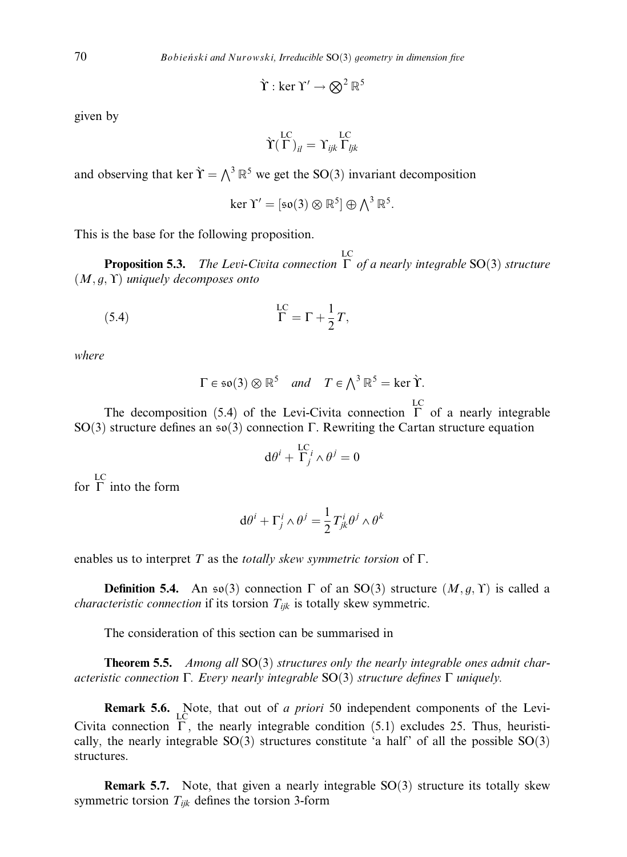$$
\hat{\Upsilon}: \ker \Upsilon' \to \bigotimes^2 \mathbb{R}^5
$$

given by

$$
\grave{\Upsilon}^{LC}(\Gamma)_{il} = \Upsilon_{ijk}^{LC} \Gamma_{ljk}
$$

and observing that ker  $\hat{\Upsilon} = \bigwedge^3 \mathbb{R}^5$  we get the SO(3) invariant decomposition

$$
\ker \Upsilon' = [\mathfrak{so}(3) \otimes \mathbb{R}^5] \oplus \textstyle\bigwedge^3 \mathbb{R}^5.
$$

This is the base for the following proposition.

**Proposition 5.3.** The Levi-Civita connection  $\Gamma$  of a nearly integrable SO(3) structure  $(M, g, \Upsilon)$  uniquely decomposes onto

(5.4) 
$$
\Gamma = \Gamma + \frac{1}{2}T,
$$

where

$$
\Gamma \in \mathfrak{so}(3) \otimes \mathbb{R}^5
$$
 and  $T \in \Lambda^3 \mathbb{R}^5 = \ker \Upsilon$ .

The decomposition (5.4) of the Levi-Civita connection  $\Gamma$  of a nearly integrable SO(3) structure defines an  $\mathfrak{so}(3)$  connection  $\Gamma$ . Rewriting the Cartan structure equation

$$
\mathrm{d}\theta^i + \frac{\mathrm{LC}}{\Gamma_j} i \wedge \theta^j = 0
$$

for  $\Gamma$  into the form

$$
\mathrm{d}\theta^i + \Gamma^i_j \wedge \theta^j = \frac{1}{2} T^i_{jk} \theta^j \wedge \theta^k
$$

enables us to interpret T as the *totally skew symmetric torsion* of  $\Gamma$ .

**Definition 5.4.** An  $\mathfrak{so}(3)$  connection  $\Gamma$  of an SO(3) structure  $(M, g, \Upsilon)$  is called a *characteristic connection* if its torsion  $T_{ijk}$  is totally skew symmetric.

The consideration of this section can be summarised in

**Theorem 5.5.** Among all  $SO(3)$  structures only the nearly integrable ones admit characteristic connection  $\Gamma$ . Every nearly integrable SO(3) structure defines  $\Gamma$  uniquely.

**Remark 5.6.** Note, that out of *a priori* 50 independent components of the Levi-Civita connection  $\Gamma$ , the nearly integrable condition (5.1) excludes 25. Thus, heuristically, the nearly integrable  $SO(3)$  structures constitute 'a half' of all the possible  $SO(3)$ structures.

**Remark 5.7.** Note, that given a nearly integrable  $SO(3)$  structure its totally skew symmetric torsion  $T_{ijk}$  defines the torsion 3-form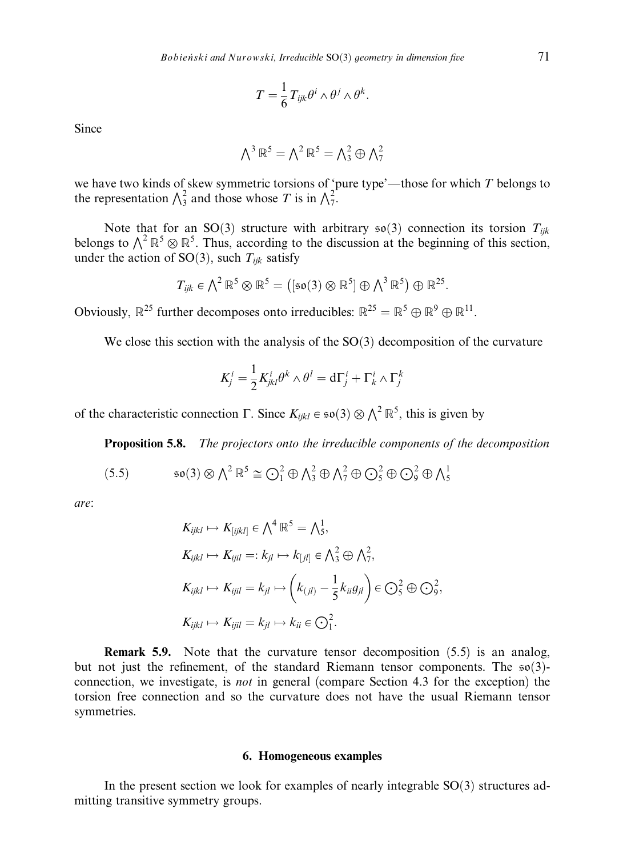$$
T=\frac{1}{6}T_{ijk}\theta^i\wedge\theta^j\wedge\theta^k.
$$

Since

$$
\textstyle{\bigwedge}^3\,\mathbb{R}^5=\textstyle{\bigwedge}^2\,\mathbb{R}^5=\textstyle{\bigwedge}^2_3\oplus\textstyle{\bigwedge}^2_7
$$

we have two kinds of skew symmetric torsions of 'pure type'—those for which  $T$  belongs to the representation  $\bigwedge_{3}^{2}$  and those whose T is in  $\bigwedge_{7}^{2}$ .

Note that for an SO(3) structure with arbitrary  $\mathfrak{so}(3)$  connection its torsion  $T_{ijk}$ belongs to  $\bigwedge^2 \mathbb{R}^5 \otimes \mathbb{R}^5$ . Thus, according to the discussion at the beginning of this section, under the action of SO(3), such  $T_{ijk}$  satisfy

$$
T_{ijk} \in \bigwedge^2 \mathbb{R}^5 \otimes \mathbb{R}^5 = ([\mathfrak{so}(3) \otimes \mathbb{R}^5] \oplus \bigwedge^3 \mathbb{R}^5) \oplus \mathbb{R}^{25}.
$$

Obviously,  $\mathbb{R}^{25}$  further decomposes onto irreducibles:  $\mathbb{R}^{25} = \mathbb{R}^5 \oplus \mathbb{R}^9 \oplus \mathbb{R}^{11}$ .

We close this section with the analysis of the  $SO(3)$  decomposition of the curvature

$$
K_j^i = \frac{1}{2} K_{jkl}^i \theta^k \wedge \theta^l = d\Gamma_j^i + \Gamma_k^i \wedge \Gamma_j^k
$$

of the characteristic connection  $\Gamma$ . Since  $K_{ijkl} \in \mathfrak{so}(3) \otimes \Lambda^2 \mathbb{R}^5$ , this is given by

Proposition 5.8. The projectors onto the irreducible components of the decomposition

(5.5) 
$$
\mathfrak{so}(3) \otimes \Lambda^2 \mathbb{R}^5 \cong \bigodot_1^2 \oplus \Lambda_3^2 \oplus \Lambda_7^2 \oplus \bigodot_5^2 \oplus \bigodot_9^2 \oplus \Lambda_5^1
$$

are:

$$
K_{ijkl} \mapsto K_{[ijkl]} \in \bigwedge^4 \mathbb{R}^5 = \bigwedge^1_5,
$$
  
\n
$$
K_{ijkl} \mapsto K_{ijil} =: k_{jl} \mapsto k_{[jl]} \in \bigwedge^2_3 \oplus \bigwedge^2_7,
$$
  
\n
$$
K_{ijkl} \mapsto K_{ijil} = k_{jl} \mapsto \left( k_{(jl)} - \frac{1}{5} k_{ii} g_{jl} \right) \in \bigodot^2_5 \oplus \bigodot^2_9,
$$
  
\n
$$
K_{ijkl} \mapsto K_{ijil} = k_{jl} \mapsto k_{ii} \in \bigodot^2_1.
$$

Remark 5.9. Note that the curvature tensor decomposition (5.5) is an analog, but not just the refinement, of the standard Riemann tensor components. The  $\mathfrak{so}(3)$ connection, we investigate, is not in general (compare Section 4.3 for the exception) the torsion free connection and so the curvature does not have the usual Riemann tensor symmetries.

## 6. Homogeneous examples

In the present section we look for examples of nearly integrable  $SO(3)$  structures admitting transitive symmetry groups.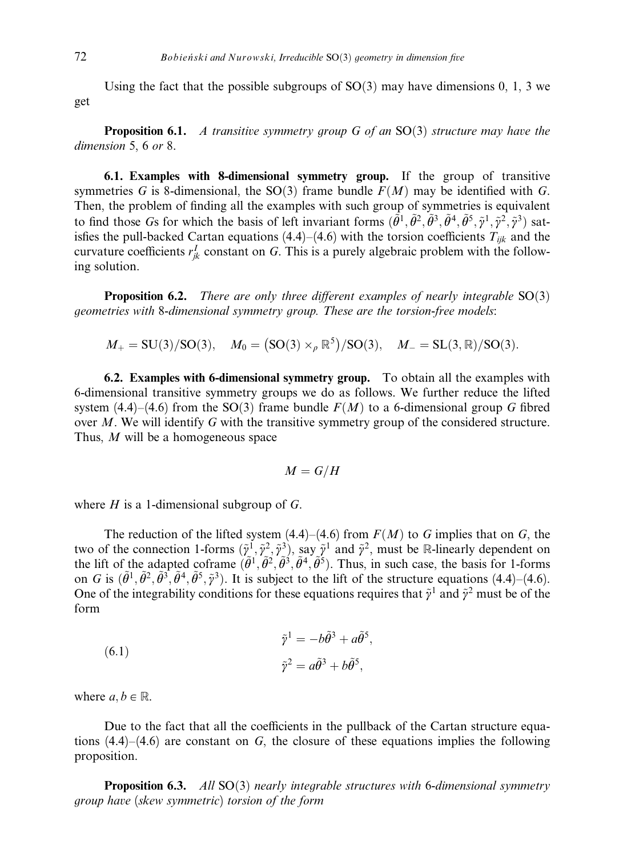Using the fact that the possible subgroups of  $SO(3)$  may have dimensions 0, 1, 3 we get

**Proposition 6.1.** A transitive symmetry group G of an  $SO(3)$  structure may have the dimension 5, 6 or 8.

6.1. Examples with 8-dimensional symmetry group. If the group of transitive symmetries G is 8-dimensional, the SO(3) frame bundle  $F(M)$  may be identified with G. Then, the problem of finding all the examples with such group of symmetries is equivalent to find those Gs for which the basis of left invariant forms  $(\tilde{\theta}^1, \tilde{\theta}^2, \tilde{\theta}^3, \tilde{\theta}^4, \tilde{\theta}^5, \tilde{y}^1, \tilde{y}^2, \tilde{y}^3)$  satisfies the pull-backed Cartan equations (4.4)–(4.6) with the torsion coefficients  $T_{ijk}$  and the curvature coefficients  $r_{jk}^I$  constant on G. This is a purely algebraic problem with the following solution.

**Proposition 6.2.** There are only three different examples of nearly integrable  $SO(3)$ geometries with 8-dimensional symmetry group. These are the torsion-free models:

 $M_{+} = SU(3)/SO(3), \quad M_{0} = (SO(3) \times_{\rho} \mathbb{R}^{5})/SO(3), \quad M_{-} = SL(3, \mathbb{R})/SO(3).$ 

6.2. Examples with 6-dimensional symmetry group. To obtain all the examples with 6-dimensional transitive symmetry groups we do as follows. We further reduce the lifted system (4.4)–(4.6) from the SO(3) frame bundle  $F(M)$  to a 6-dimensional group G fibred over M. We will identify G with the transitive symmetry group of the considered structure. Thus, M will be a homogeneous space

$$
M=G/H
$$

where  $H$  is a 1-dimensional subgroup of  $G$ .

The reduction of the lifted system  $(4.4)$ – $(4.6)$  from  $F(M)$  to G implies that on G, the two of the connection 1-forms  $(\tilde{y}^1, \tilde{y}^2, \tilde{y}^3)$ , say  $\tilde{y}^1$  and  $\tilde{y}^2$ , must be R-linearly dependent on the lift of the adapted coframe  $(\tilde{\theta}^1, \tilde{\theta}^2, \tilde{\theta}^3, \tilde{\theta}^4, \tilde{\theta}^5)$ . Thus, in such case, the basis for 1-forms on G is  $(\tilde{\theta}^1, \tilde{\theta}^2, \tilde{\theta}^3, \tilde{\theta}^4, \tilde{\theta}^5, \tilde{\gamma}^3)$ . It is subject to the lift of the structure equations (4.4)–(4.6). One of the integrability conditions for these equations requires that  $\tilde{\gamma}^1$  and  $\tilde{\gamma}^2$  must be of the form

(6.1) 
$$
\tilde{\gamma}^1 = -b\tilde{\theta}^3 + a\tilde{\theta}^5,
$$

$$
\tilde{\gamma}^2 = a\tilde{\theta}^3 + b\tilde{\theta}^5,
$$

where  $a, b \in \mathbb{R}$ .

Due to the fact that all the coefficients in the pullback of the Cartan structure equations  $(4.4)$ – $(4.6)$  are constant on G, the closure of these equations implies the following proposition.

**Proposition 6.3.** All  $SO(3)$  nearly integrable structures with 6-dimensional symmetry group have (skew symmetric) torsion of the form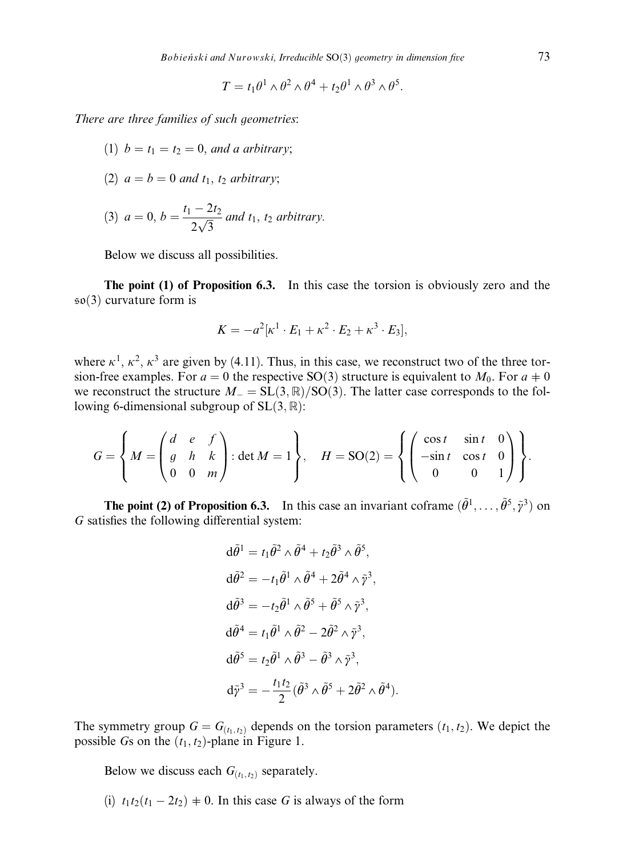$$
T = t_1 \theta^1 \wedge \theta^2 \wedge \theta^4 + t_2 \theta^1 \wedge \theta^3 \wedge \theta^5.
$$

There are three families of such geometries:

- (1)  $b = t_1 = t_2 = 0$ , and a arbitrary;
- (2)  $a = b = 0$  and  $t<sub>1</sub>$ ,  $t<sub>2</sub>$  arbitrary;

(3) 
$$
a = 0, b = \frac{t_1 - 2t_2}{2\sqrt{3}}
$$
 and  $t_1, t_2$  arbitrary.

Below we discuss all possibilities.

The point (1) of Proposition 6.3. In this case the torsion is obviously zero and the  $\mathfrak{so}(3)$  curvature form is

$$
K=-a^2[\kappa^1\cdot E_1+\kappa^2\cdot E_2+\kappa^3\cdot E_3],
$$

where  $\kappa^1$ ,  $\kappa^2$ ,  $\kappa^3$  are given by (4.11). Thus, in this case, we reconstruct two of the three torsion-free examples. For  $a = 0$  the respective SO(3) structure is equivalent to  $M_0$ . For  $a \neq 0$ we reconstruct the structure  $M_{-} = SL(3, \mathbb{R})/SO(3)$ . The latter case corresponds to the following 6-dimensional subgroup of  $SL(3, \mathbb{R})$ :

$$
G = \left\{ M = \begin{pmatrix} d & e & f \\ g & h & k \\ 0 & 0 & m \end{pmatrix} : \det M = 1 \right\}, \quad H = SO(2) = \left\{ \begin{pmatrix} \cos t & \sin t & 0 \\ -\sin t & \cos t & 0 \\ 0 & 0 & 1 \end{pmatrix} \right\}.
$$

**The point (2) of Proposition 6.3.** In this case an invariant coframe  $(\tilde{\theta}^1, \ldots, \tilde{\theta}^5, \tilde{\gamma}^3)$  on  $G$  satisfies the following differential system:

$$
d\tilde{\theta}^1 = t_1 \tilde{\theta}^2 \wedge \tilde{\theta}^4 + t_2 \tilde{\theta}^3 \wedge \tilde{\theta}^5,
$$
  
\n
$$
d\tilde{\theta}^2 = -t_1 \tilde{\theta}^1 \wedge \tilde{\theta}^4 + 2\tilde{\theta}^4 \wedge \tilde{\gamma}^3,
$$
  
\n
$$
d\tilde{\theta}^3 = -t_2 \tilde{\theta}^1 \wedge \tilde{\theta}^5 + \tilde{\theta}^5 \wedge \tilde{\gamma}^3,
$$
  
\n
$$
d\tilde{\theta}^4 = t_1 \tilde{\theta}^1 \wedge \tilde{\theta}^2 - 2\tilde{\theta}^2 \wedge \tilde{\gamma}^3,
$$
  
\n
$$
d\tilde{\theta}^5 = t_2 \tilde{\theta}^1 \wedge \tilde{\theta}^3 - \tilde{\theta}^3 \wedge \tilde{\gamma}^3,
$$
  
\n
$$
d\tilde{\gamma}^3 = -\frac{t_1 t_2}{2} (\tilde{\theta}^3 \wedge \tilde{\theta}^5 + 2\tilde{\theta}^2 \wedge \tilde{\theta}^4).
$$

The symmetry group  $G = G_{(t_1,t_2)}$  depends on the torsion parameters  $(t_1, t_2)$ . We depict the possible Gs on the  $(t_1, t_2)$ -plane in Figure 1.

Below we discuss each  $G_{(t_1,t_2)}$  separately.

(i)  $t_1t_2(t_1 - 2t_2) \neq 0$ . In this case G is always of the form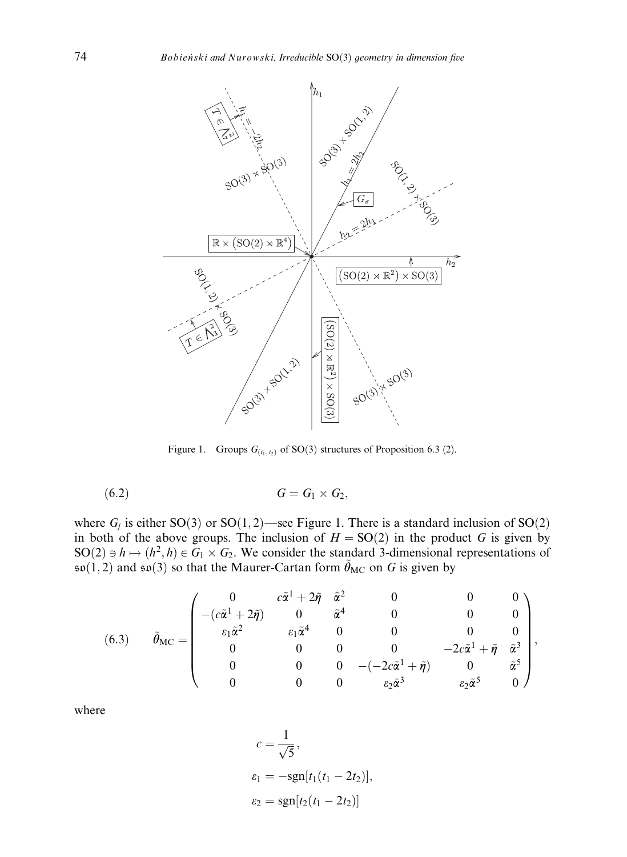

Figure 1. Groups  $G_{(t_1, t_2)}$  of SO(3) structures of Proposition 6.3 (2).

$$
(6.2) \tG = G_1 \times G_2,
$$

where  $G_i$  is either SO(3) or SO(1,2)—see Figure 1. There is a standard inclusion of SO(2) in both of the above groups. The inclusion of  $H = SO(2)$  in the product G is given by SO(2)  $\Rightarrow$   $h \mapsto (h^2, h) \in G_1 \times G_2$ . We consider the standard 3-dimensional representations of  $\mathfrak{so}(1,2)$  and  $\mathfrak{so}(3)$  so that the Maurer-Cartan form  $\tilde{\theta}_{MC}$  on G is given by

(6.3) 
$$
\tilde{\theta}_{MC} = \begin{pmatrix}\n0 & c\tilde{\alpha}^1 + 2\tilde{\eta} & \tilde{\alpha}^2 & 0 & 0 & 0 \\
-cc\tilde{\alpha}^1 + 2\tilde{\eta} & 0 & \tilde{\alpha}^4 & 0 & 0 & 0 \\
\epsilon_1 \tilde{\alpha}^2 & \epsilon_1 \tilde{\alpha}^4 & 0 & 0 & 0 & 0 \\
0 & 0 & 0 & 0 & -2c\tilde{\alpha}^1 + \tilde{\eta} & \tilde{\alpha}^3 \\
0 & 0 & 0 & -(-2c\tilde{\alpha}^1 + \tilde{\eta}) & 0 & \tilde{\alpha}^5 \\
0 & 0 & 0 & \epsilon_2 \tilde{\alpha}^3 & \epsilon_2 \tilde{\alpha}^5 & 0\n\end{pmatrix},
$$

where

$$
c = \frac{1}{\sqrt{5}},
$$
  
\n
$$
\varepsilon_1 = -\text{sgn}[t_1(t_1 - 2t_2)],
$$
  
\n
$$
\varepsilon_2 = \text{sgn}[t_2(t_1 - 2t_2)]
$$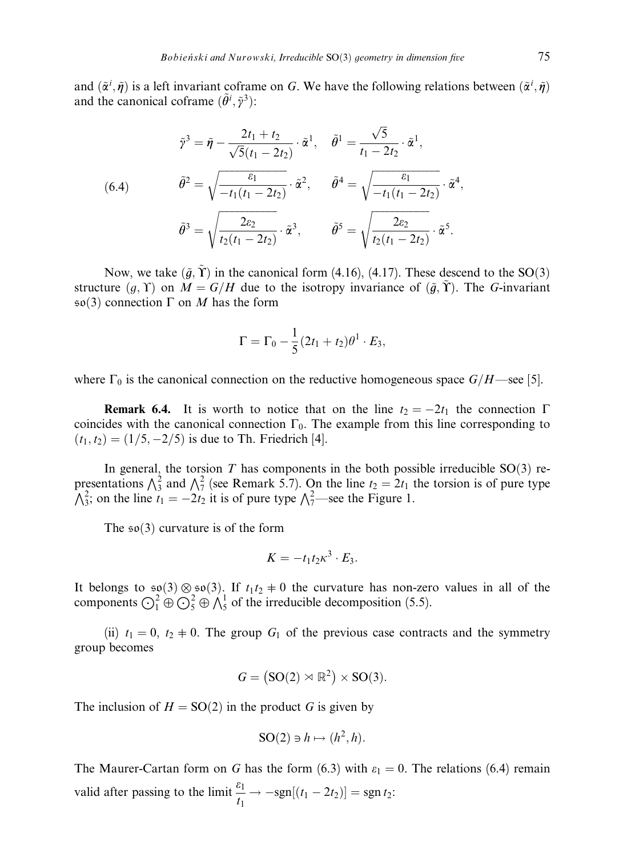and  $(\tilde{\alpha}^i, \tilde{\eta})$  is a left invariant coframe on G. We have the following relations between  $(\tilde{\alpha}^i, \tilde{\eta})$ and the canonical coframe  $(\tilde{\theta}^i, \tilde{\gamma}^3)$ :

$$
\tilde{\gamma}^3 = \tilde{\eta} - \frac{2t_1 + t_2}{\sqrt{5}(t_1 - 2t_2)} \cdot \tilde{\alpha}^1, \quad \tilde{\theta}^1 = \frac{\sqrt{5}}{t_1 - 2t_2} \cdot \tilde{\alpha}^1,
$$
\n
$$
\tilde{\theta}^2 = \sqrt{\frac{\varepsilon_1}{-t_1(t_1 - 2t_2)}} \cdot \tilde{\alpha}^2, \quad \tilde{\theta}^4 = \sqrt{\frac{\varepsilon_1}{-t_1(t_1 - 2t_2)}} \cdot \tilde{\alpha}^4,
$$
\n
$$
\tilde{\theta}^3 = \sqrt{\frac{2\varepsilon_2}{t_2(t_1 - 2t_2)}} \cdot \tilde{\alpha}^3, \quad \tilde{\theta}^5 = \sqrt{\frac{2\varepsilon_2}{t_2(t_1 - 2t_2)}} \cdot \tilde{\alpha}^5.
$$

Now, we take  $(\tilde{g}, \Upsilon)$  in the canonical form (4.16), (4.17). These descend to the SO(3) structure  $(g, \Upsilon)$  on  $M = G/H$  due to the isotropy invariance of  $(\tilde{g}, \tilde{\Upsilon})$ . The G-invariant  $\mathfrak{so}(3)$  connection  $\Gamma$  on M has the form

$$
\Gamma = \Gamma_0 - \frac{1}{5}(2t_1 + t_2)\theta^1 \cdot E_3,
$$

where  $\Gamma_0$  is the canonical connection on the reductive homogeneous space  $G/H$ —see [5].

**Remark 6.4.** It is worth to notice that on the line  $t_2 = -2t_1$  the connection  $\Gamma$ coincides with the canonical connection  $\Gamma_0$ . The example from this line corresponding to  $(t_1, t_2) = (1/5, -2/5)$  is due to Th. Friedrich [4].

In general, the torsion  $T$  has components in the both possible irreducible  $SO(3)$  representations  $\bigwedge_{3}^{2}$  and  $\bigwedge_{7}^{2}$  (see Remark 5.7). On the line  $t_2 = 2t_1$  the torsion is of pure type  $\bigwedge_{3}^{2}$ ; on the line  $t_1 = -2t_2$  it is of pure type  $\bigwedge_{7}^{2}$ —see the Figure 1.

The  $\mathfrak{so}(3)$  curvature is of the form

$$
K=-t_1t_2\kappa^3\cdot E_3.
$$

It belongs to  $\mathfrak{so}(3) \otimes \mathfrak{so}(3)$ . If  $t_1t_2 \neq 0$  the curvature has non-zero values in all of the components  $\bigodot_1^2 \oplus \bigodot_5^2 \oplus \bigwedge_5^1$  of the irreducible decomposition (5.5).

(ii)  $t_1 = 0$ ,  $t_2 \neq 0$ . The group  $G_1$  of the previous case contracts and the symmetry group becomes

$$
G = (\text{SO}(2) \rtimes \mathbb{R}^2) \times \text{SO}(3).
$$

The inclusion of  $H = SO(2)$  in the product G is given by

$$
SO(2) \ni h \mapsto (h^2, h).
$$

The Maurer-Cartan form on G has the form (6.3) with  $\varepsilon_1 = 0$ . The relations (6.4) remain valid after passing to the limit  $\frac{\varepsilon_1}{\varepsilon_1}$  $\frac{S_1}{t_1} \to -\text{sgn}[(t_1 - 2t_2)] = \text{sgn } t_2$ :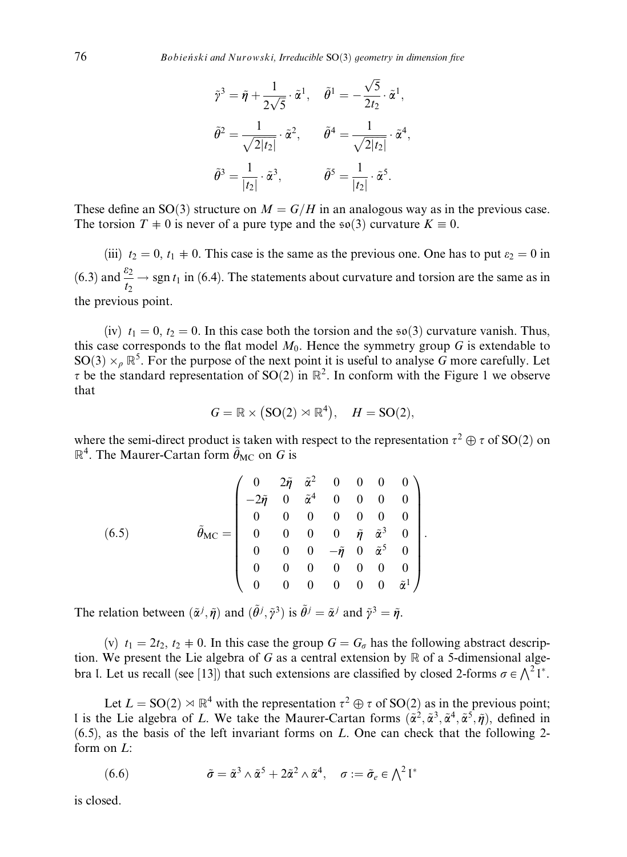$$
\tilde{p}^3 = \tilde{\eta} + \frac{1}{2\sqrt{5}} \cdot \tilde{\alpha}^1, \quad \tilde{\theta}^1 = -\frac{\sqrt{5}}{2t_2} \cdot \tilde{\alpha}^1,
$$
  

$$
\tilde{\theta}^2 = \frac{1}{\sqrt{2|t_2|}} \cdot \tilde{\alpha}^2, \qquad \tilde{\theta}^4 = \frac{1}{\sqrt{2|t_2|}} \cdot \tilde{\alpha}^4,
$$
  

$$
\tilde{\theta}^3 = \frac{1}{|t_2|} \cdot \tilde{\alpha}^3, \qquad \tilde{\theta}^5 = \frac{1}{|t_2|} \cdot \tilde{\alpha}^5.
$$

These define an SO(3) structure on  $M = G/H$  in an analogous way as in the previous case. The torsion  $T \neq 0$  is never of a pure type and the  $\mathfrak{so}(3)$  curvature  $K \equiv 0$ .

(iii)  $t_2 = 0$ ,  $t_1 \neq 0$ . This case is the same as the previous one. One has to put  $\varepsilon_2 = 0$  in (6.3) and  $\frac{\varepsilon_2}{\varepsilon_1}$  $\frac{dz}{dz}$   $\rightarrow$  sgn t<sub>1</sub> in (6.4). The statements about curvature and torsion are the same as in the previous point.

(iv)  $t_1 = 0$ ,  $t_2 = 0$ . In this case both the torsion and the  $\mathfrak{so}(3)$  curvature vanish. Thus, this case corresponds to the flat model  $M_0$ . Hence the symmetry group G is extendable to SO(3)  $\times_p \mathbb{R}^5$ . For the purpose of the next point it is useful to analyse G more carefully. Let  $\tau$  be the standard representation of SO(2) in  $\mathbb{R}^2$ . In conform with the Figure 1 we observe that

$$
G = \mathbb{R} \times (\text{SO}(2) \rtimes \mathbb{R}^4), \quad H = \text{SO}(2),
$$

where the semi-direct product is taken with respect to the representation  $\tau^2 \oplus \tau$  of SO(2) on  $\mathbb{R}^4$ . The Maurer-Cartan form  $\tilde{\theta}_{MC}$  on G is

(6.5) 
$$
\tilde{\theta}_{MC} = \begin{pmatrix}\n0 & 2\tilde{\eta} & \tilde{\alpha}^2 & 0 & 0 & 0 & 0 \\
-2\tilde{\eta} & 0 & \tilde{\alpha}^4 & 0 & 0 & 0 & 0 \\
0 & 0 & 0 & 0 & 0 & 0 & 0 \\
0 & 0 & 0 & 0 & \tilde{\eta} & \tilde{\alpha}^3 & 0 \\
0 & 0 & 0 & -\tilde{\eta} & 0 & \tilde{\alpha}^5 & 0 \\
0 & 0 & 0 & 0 & 0 & 0 & 0 \\
0 & 0 & 0 & 0 & 0 & 0 & \tilde{\alpha}^1\n\end{pmatrix}.
$$

The relation between  $(\tilde{\alpha}^j, \tilde{\eta})$  and  $(\tilde{\theta}^j, \tilde{\gamma}^3)$  is  $\tilde{\theta}^j = \tilde{\alpha}^j$  and  $\tilde{\gamma}^3 = \tilde{\eta}$ .

(v)  $t_1 = 2t_2$ ,  $t_2 \neq 0$ . In this case the group  $G = G_{\sigma}$  has the following abstract description. We present the Lie algebra of G as a central extension by  $\mathbb R$  of a 5-dimensional algebra l. Let us recall (see [13]) that such extensions are classified by closed 2-forms  $\sigma \in \bigwedge^2 I^*$ .

Let  $L = SO(2) \rtimes \mathbb{R}^4$  with the representation  $\tau^2 \oplus \tau$  of  $SO(2)$  as in the previous point; l is the Lie algebra of L. We take the Maurer-Cartan forms  $(\tilde{\alpha}^2, \tilde{\alpha}^3, \tilde{\alpha}^4, \tilde{\alpha}^5, \tilde{\eta})$ , defined in  $(6.5)$ , as the basis of the left invariant forms on L. One can check that the following 2form on L:

(6.6) 
$$
\tilde{\sigma} = \tilde{\alpha}^3 \wedge \tilde{\alpha}^5 + 2\tilde{\alpha}^2 \wedge \tilde{\alpha}^4, \quad \sigma := \tilde{\sigma}_e \in \bigwedge^2 \mathfrak{l}^*
$$

is closed.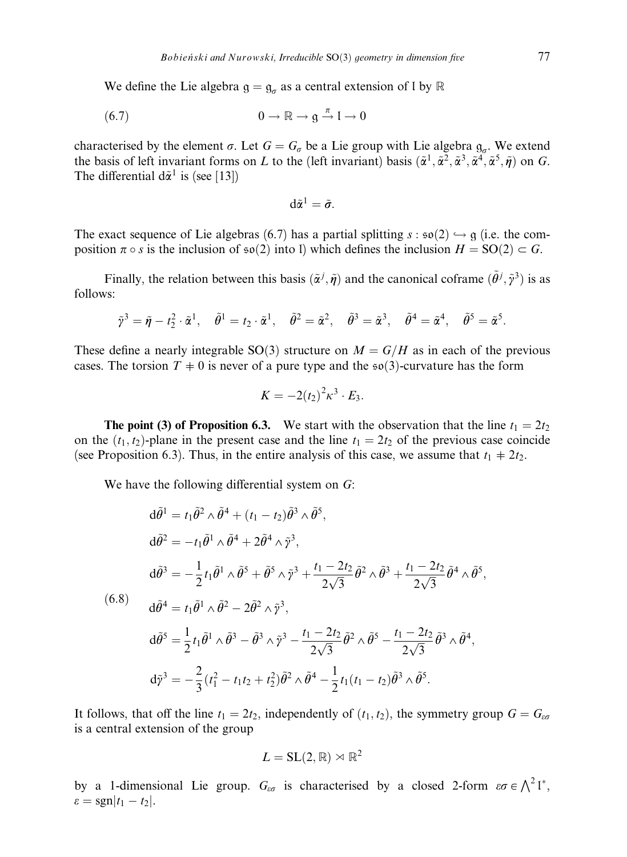We define the Lie algebra  $g = g_a$  as a central extension of l by  $\mathbb R$ 

$$
(6.7) \t\t 0 \to \mathbb{R} \to \mathfrak{g} \stackrel{\pi}{\to} \mathfrak{l} \to 0
$$

characterised by the element  $\sigma$ . Let  $G = G_{\sigma}$  be a Lie group with Lie algebra  $g_{\sigma}$ . We extend the basis of left invariant forms on L to the (left invariant) basis  $(\tilde{\alpha}^1, \tilde{\alpha}^2, \tilde{\alpha}^3, \tilde{\alpha}^4, \tilde{\alpha}^5, \tilde{\eta})$  on G. The differential  $d\tilde{\alpha}^1$  is (see [13])

$$
d\tilde{\alpha}^1=\tilde{\sigma}.
$$

The exact sequence of Lie algebras (6.7) has a partial splitting  $s : \mathfrak{so}(2) \hookrightarrow \mathfrak{g}$  (i.e. the composition  $\pi \circ s$  is the inclusion of  $\mathfrak{so}(2)$  into l) which defines the inclusion  $H = SO(2) \subset G$ .

Finally, the relation between this basis  $(\tilde{\alpha}^j, \tilde{\eta})$  and the canonical coframe  $(\tilde{\theta}^j, \tilde{\gamma}^3)$  is as follows:

$$
\tilde{\gamma}^3 = \tilde{\eta} - t_2^2 \cdot \tilde{\alpha}^1, \quad \tilde{\theta}^1 = t_2 \cdot \tilde{\alpha}^1, \quad \tilde{\theta}^2 = \tilde{\alpha}^2, \quad \tilde{\theta}^3 = \tilde{\alpha}^3, \quad \tilde{\theta}^4 = \tilde{\alpha}^4, \quad \tilde{\theta}^5 = \tilde{\alpha}^5.
$$

These define a nearly integrable SO(3) structure on  $M = G/H$  as in each of the previous cases. The torsion  $T \neq 0$  is never of a pure type and the so(3)-curvature has the form

$$
K=-2(t_2)^2\kappa^3\cdot E_3.
$$

**The point (3) of Proposition 6.3.** We start with the observation that the line  $t_1 = 2t_2$ on the  $(t_1, t_2)$ -plane in the present case and the line  $t_1 = 2t_2$  of the previous case coincide (see Proposition 6.3). Thus, in the entire analysis of this case, we assume that  $t_1 + 2t_2$ .

We have the following differential system on  $G$ :

$$
d\tilde{\theta}^{1} = t_{1}\tilde{\theta}^{2} \wedge \tilde{\theta}^{4} + (t_{1} - t_{2})\tilde{\theta}^{3} \wedge \tilde{\theta}^{5},
$$
  
\n
$$
d\tilde{\theta}^{2} = -t_{1}\tilde{\theta}^{1} \wedge \tilde{\theta}^{4} + 2\tilde{\theta}^{4} \wedge \tilde{\gamma}^{3},
$$
  
\n
$$
d\tilde{\theta}^{3} = -\frac{1}{2}t_{1}\tilde{\theta}^{1} \wedge \tilde{\theta}^{5} + \tilde{\theta}^{5} \wedge \tilde{\gamma}^{3} + \frac{t_{1} - 2t_{2}}{2\sqrt{3}}\tilde{\theta}^{2} \wedge \tilde{\theta}^{3} + \frac{t_{1} - 2t_{2}}{2\sqrt{3}}\tilde{\theta}^{4} \wedge \tilde{\theta}^{5},
$$
  
\n(6.8)  
\n
$$
d\tilde{\theta}^{4} = t_{1}\tilde{\theta}^{1} \wedge \tilde{\theta}^{2} - 2\tilde{\theta}^{2} \wedge \tilde{\gamma}^{3},
$$
  
\n
$$
d\tilde{\theta}^{5} = \frac{1}{2}t_{1}\tilde{\theta}^{1} \wedge \tilde{\theta}^{3} - \tilde{\theta}^{3} \wedge \tilde{\gamma}^{3} - \frac{t_{1} - 2t_{2}}{2\sqrt{3}}\tilde{\theta}^{2} \wedge \tilde{\theta}^{5} - \frac{t_{1} - 2t_{2}}{2\sqrt{3}}\tilde{\theta}^{3} \wedge \tilde{\theta}^{4},
$$
  
\n
$$
d\tilde{\gamma}^{3} = -\frac{2}{3}(t_{1}^{2} - t_{1}t_{2} + t_{2}^{2})\tilde{\theta}^{2} \wedge \tilde{\theta}^{4} - \frac{1}{2}t_{1}(t_{1} - t_{2})\tilde{\theta}^{3} \wedge \tilde{\theta}^{5}.
$$

It follows, that off the line  $t_1 = 2t_2$ , independently of  $(t_1, t_2)$ , the symmetry group  $G = G_{\text{eq}}$ is a central extension of the group

$$
L=\mathrm{SL}(2,\mathbb{R})\rtimes\mathbb{R}^2
$$

by a 1-dimensional Lie group.  $G_{\varepsilon\sigma}$  is characterised by a closed 2-form  $\varepsilon\sigma \in \bigwedge^2 V^*$ ,  $\varepsilon = \text{sgn}|t_1 - t_2|$ .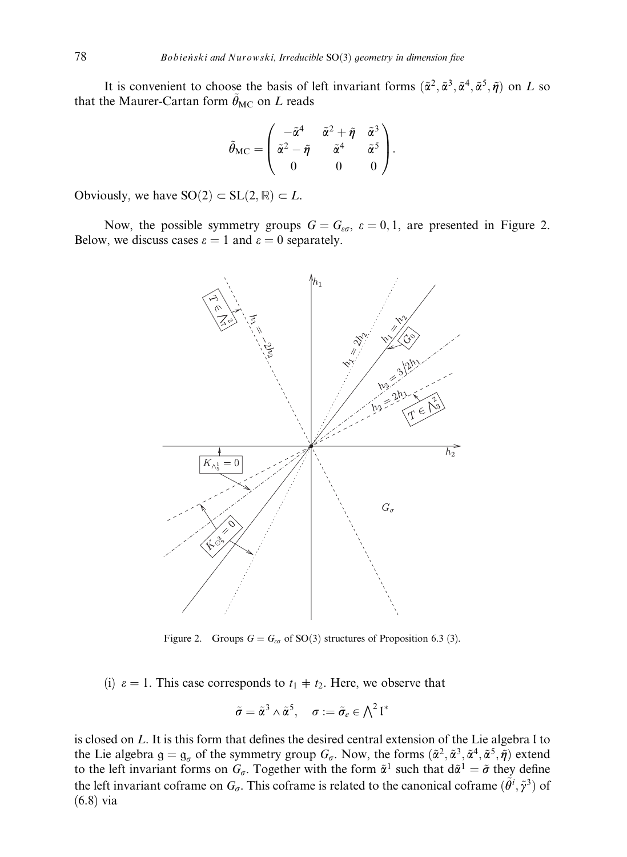It is convenient to choose the basis of left invariant forms  $(\tilde{\alpha}^2, \tilde{\alpha}^3, \tilde{\alpha}^4, \tilde{\alpha}^5, \tilde{\eta})$  on L so that the Maurer-Cartan form  $\tilde{\theta}_{MC}$  on L reads

$$
\tilde{\theta}_{\mathrm{MC}} = \begin{pmatrix} -\tilde{\alpha}^4 & \tilde{\alpha}^2 + \tilde{\eta} & \tilde{\alpha}^3 \\ \tilde{\alpha}^2 - \tilde{\eta} & \tilde{\alpha}^4 & \tilde{\alpha}^5 \\ 0 & 0 & 0 \end{pmatrix}.
$$

Obviously, we have  $SO(2) \subset SL(2, \mathbb{R}) \subset L$ .

Now, the possible symmetry groups  $G = G_{\epsilon\sigma}$ ,  $\varepsilon = 0, 1$ , are presented in Figure 2. Below, we discuss cases  $\varepsilon = 1$  and  $\varepsilon = 0$  separately.



Figure 2. Groups  $G = G<sub>eq</sub>$  of SO(3) structures of Proposition 6.3 (3).

(i)  $\varepsilon = 1$ . This case corresponds to  $t_1 \neq t_2$ . Here, we observe that

$$
\tilde{\sigma} = \tilde{\alpha}^3 \wedge \tilde{\alpha}^5, \quad \sigma := \tilde{\sigma}_e \in \bigwedge^2 \mathfrak{l}^*
$$

is closed on L. It is this form that defines the desired central extension of the Lie algebra l to the Lie algebra  $g = g_{\sigma}$  of the symmetry group  $G_{\sigma}$ . Now, the forms  $(\tilde{\alpha}^2, \tilde{\alpha}^3, \tilde{\alpha}^4, \tilde{\alpha}^5, \tilde{\eta})$  extend to the left invariant forms on  $G_{\sigma}$ . Together with the form  $\tilde{\alpha}^1$  such that  $d\tilde{\alpha}^1 = \tilde{\sigma}$  they define the left invariant coframe on  $G_{\sigma}$ . This coframe is related to the canonical coframe  $(\tilde{\theta}^i, \tilde{\gamma}^3)$  of (6.8) via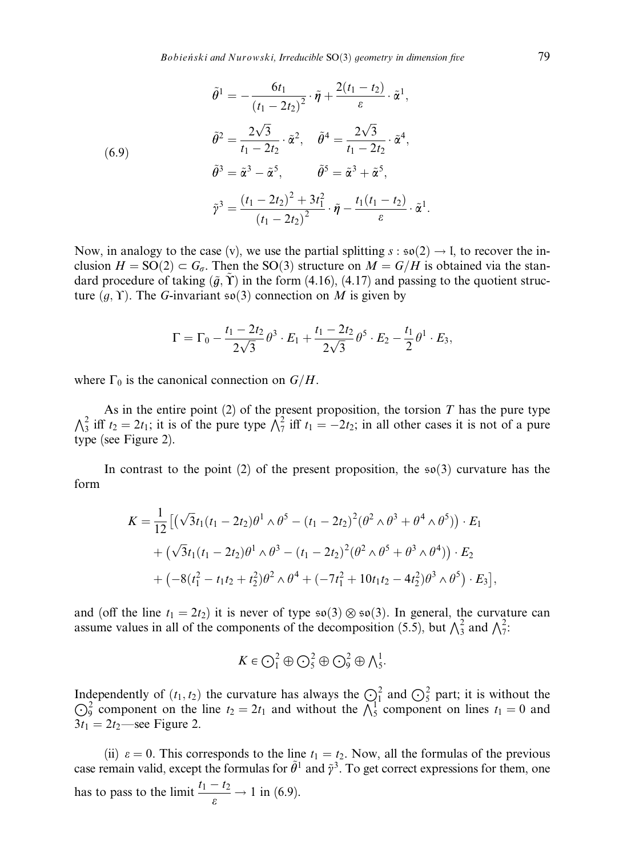$$
\tilde{\theta}^{1} = -\frac{6t_1}{(t_1 - 2t_2)^2} \cdot \tilde{\eta} + \frac{2(t_1 - t_2)}{\varepsilon} \cdot \tilde{\alpha}^{1},
$$
\n
$$
\tilde{\theta}^{2} = \frac{2\sqrt{3}}{t_1 - 2t_2} \cdot \tilde{\alpha}^{2}, \quad \tilde{\theta}^{4} = \frac{2\sqrt{3}}{t_1 - 2t_2} \cdot \tilde{\alpha}^{4},
$$
\n
$$
\tilde{\theta}^{3} = \tilde{\alpha}^{3} - \tilde{\alpha}^{5}, \qquad \tilde{\theta}^{5} = \tilde{\alpha}^{3} + \tilde{\alpha}^{5},
$$
\n
$$
\tilde{\gamma}^{3} = \frac{(t_1 - 2t_2)^2 + 3t_1^2}{(t_1 - 2t_2)^2} \cdot \tilde{\eta} - \frac{t_1(t_1 - t_2)}{\varepsilon} \cdot \tilde{\alpha}^{1}.
$$

Now, in analogy to the case (v), we use the partial splitting  $s : \mathfrak{so}(2) \to I$ , to recover the inclusion  $H = SO(2) \subset G_{\sigma}$ . Then the SO(3) structure on  $M = G/H$  is obtained via the standard procedure of taking  $(\tilde{g}, \Upsilon)$  in the form (4.16), (4.17) and passing to the quotient structure  $(g, \Upsilon)$ . The G-invariant so(3) connection on M is given by

$$
\Gamma = \Gamma_0 - \frac{t_1 - 2t_2}{2\sqrt{3}} \theta^3 \cdot E_1 + \frac{t_1 - 2t_2}{2\sqrt{3}} \theta^5 \cdot E_2 - \frac{t_1}{2} \theta^1 \cdot E_3,
$$

where  $\Gamma_0$  is the canonical connection on  $G/H$ .

As in the entire point (2) of the present proposition, the torsion T has the pure type  $\Lambda_3^2$  iff  $t_2 = 2t_1$ ; it is of the pure type  $\Lambda_7^2$  iff  $t_1 = -2t_2$ ; in all other cases it is not of a pure type (see Figure 2).

In contrast to the point (2) of the present proposition, the  $\mathfrak{so}(3)$  curvature has the form

$$
K = \frac{1}{12} \left[ \left( \sqrt{3} t_1 (t_1 - 2t_2) \theta^1 \wedge \theta^5 - (t_1 - 2t_2)^2 (\theta^2 \wedge \theta^3 + \theta^4 \wedge \theta^5) \right) \cdot E_1 \right. \\ + \left. \left( \sqrt{3} t_1 (t_1 - 2t_2) \theta^1 \wedge \theta^3 - (t_1 - 2t_2)^2 (\theta^2 \wedge \theta^5 + \theta^3 \wedge \theta^4) \right) \cdot E_2 \right. \\ + \left. \left( -8 (t_1^2 - t_1 t_2 + t_2^2) \theta^2 \wedge \theta^4 + (-7t_1^2 + 10t_1 t_2 - 4t_2^2) \theta^3 \wedge \theta^5 \right) \cdot E_3 \right],
$$

and (off the line  $t_1 = 2t_2$ ) it is never of type  $\mathfrak{so}(3) \otimes \mathfrak{so}(3)$ . In general, the curvature can assume values in all of the components of the decomposition (5.5), but  $\bigwedge_{i=1}^3$  and  $\bigwedge_{i=1}^2$ 

$$
K\in \bigodot^2_1\oplus\bigodot^2_5\oplus\bigodot^2_9\oplus\bigwedge^1_5.
$$

Independently of  $(t_1, t_2)$  the curvature has always the  $\bigodot_1^2$  and  $\bigodot_5^2$  part; it is without the  $\bigodot_9^2$  component on lines  $t_1 = 0$  and  $\bigodot_9^2$  component on lines  $t_1 = 0$  and  $3t_1 = 2t_2$ —see Figure 2.

(ii)  $\varepsilon = 0$ . This corresponds to the line  $t_1 = t_2$ . Now, all the formulas of the previous case remain valid, except the formulas for  $\tilde{\theta}^1$  and  $\tilde{y}^3$ . To get correct expressions for them, one has to pass to the limit  $\frac{t_1 - t_2}{\varepsilon} \to 1$  in (6.9).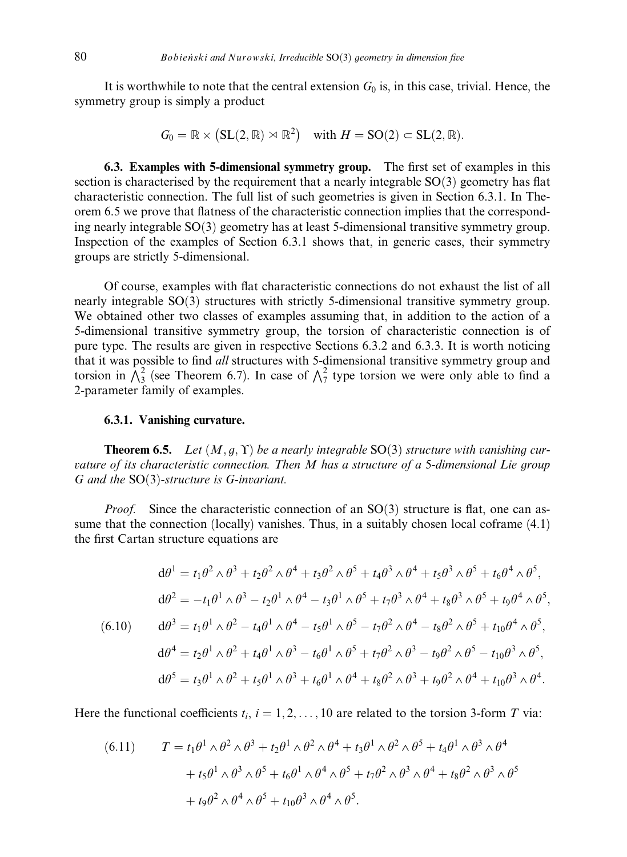It is worthwhile to note that the central extension  $G_0$  is, in this case, trivial. Hence, the symmetry group is simply a product

$$
G_0 = \mathbb{R} \times (\mathrm{SL}(2, \mathbb{R}) \rtimes \mathbb{R}^2) \quad \text{with } H = \mathrm{SO}(2) \subset \mathrm{SL}(2, \mathbb{R}).
$$

6.3. Examples with 5-dimensional symmetry group. The first set of examples in this section is characterised by the requirement that a nearly integrable  $SO(3)$  geometry has flat characteristic connection. The full list of such geometries is given in Section 6.3.1. In Theorem 6.5 we prove that flatness of the characteristic connection implies that the corresponding nearly integrable SO(3) geometry has at least 5-dimensional transitive symmetry group. Inspection of the examples of Section 6.3.1 shows that, in generic cases, their symmetry groups are strictly 5-dimensional.

Of course, examples with flat characteristic connections do not exhaust the list of all nearly integrable  $SO(3)$  structures with strictly 5-dimensional transitive symmetry group. We obtained other two classes of examples assuming that, in addition to the action of a 5-dimensional transitive symmetry group, the torsion of characteristic connection is of pure type. The results are given in respective Sections 6.3.2 and 6.3.3. It is worth noticing that it was possible to find all structures with 5-dimensional transitive symmetry group and torsion in  $\sqrt{3}$  (see Theorem 6.7). In case of  $\sqrt{7}$  type torsion we were only able to find a 2-parameter family of examples.

## 6.3.1. Vanishing curvature.

**Theorem 6.5.** Let  $(M, g, \Upsilon)$  be a nearly integrable SO(3) structure with vanishing curvature of its characteristic connection. Then M has a structure of a 5-dimensional Lie group G and the  $SO(3)$ -structure is G-invariant.

*Proof.* Since the characteristic connection of an  $SO(3)$  structure is flat, one can assume that the connection (locally) vanishes. Thus, in a suitably chosen local coframe  $(4.1)$ the first Cartan structure equations are

$$
d\theta^{1} = t_{1}\theta^{2} \wedge \theta^{3} + t_{2}\theta^{2} \wedge \theta^{4} + t_{3}\theta^{2} \wedge \theta^{5} + t_{4}\theta^{3} \wedge \theta^{4} + t_{5}\theta^{3} \wedge \theta^{5} + t_{6}\theta^{4} \wedge \theta^{5},
$$
  
\n
$$
d\theta^{2} = -t_{1}\theta^{1} \wedge \theta^{3} - t_{2}\theta^{1} \wedge \theta^{4} - t_{3}\theta^{1} \wedge \theta^{5} + t_{7}\theta^{3} \wedge \theta^{4} + t_{8}\theta^{3} \wedge \theta^{5} + t_{9}\theta^{4} \wedge \theta^{5},
$$
  
\n(6.10) 
$$
d\theta^{3} = t_{1}\theta^{1} \wedge \theta^{2} - t_{4}\theta^{1} \wedge \theta^{4} - t_{5}\theta^{1} \wedge \theta^{5} - t_{7}\theta^{2} \wedge \theta^{4} - t_{8}\theta^{2} \wedge \theta^{5} + t_{10}\theta^{4} \wedge \theta^{5},
$$
  
\n
$$
d\theta^{4} = t_{2}\theta^{1} \wedge \theta^{2} + t_{4}\theta^{1} \wedge \theta^{3} - t_{6}\theta^{1} \wedge \theta^{5} + t_{7}\theta^{2} \wedge \theta^{3} - t_{9}\theta^{2} \wedge \theta^{5} - t_{10}\theta^{3} \wedge \theta^{5},
$$
  
\n
$$
d\theta^{5} = t_{3}\theta^{1} \wedge \theta^{2} + t_{5}\theta^{1} \wedge \theta^{3} + t_{6}\theta^{1} \wedge \theta^{4} + t_{8}\theta^{2} \wedge \theta^{3} + t_{9}\theta^{2} \wedge \theta^{4} + t_{10}\theta^{3} \wedge \theta^{4}.
$$

Here the functional coefficients  $t_i$ ,  $i = 1, 2, ..., 10$  are related to the torsion 3-form T via:

(6.11) 
$$
T = t_1 \theta^1 \wedge \theta^2 \wedge \theta^3 + t_2 \theta^1 \wedge \theta^2 \wedge \theta^4 + t_3 \theta^1 \wedge \theta^2 \wedge \theta^5 + t_4 \theta^1 \wedge \theta^3 \wedge \theta^4 + t_5 \theta^1 \wedge \theta^3 \wedge \theta^5 + t_6 \theta^1 \wedge \theta^4 \wedge \theta^5 + t_7 \theta^2 \wedge \theta^3 \wedge \theta^4 + t_8 \theta^2 \wedge \theta^3 \wedge \theta^5 + t_9 \theta^2 \wedge \theta^4 \wedge \theta^5 + t_{10} \theta^3 \wedge \theta^4 \wedge \theta^5.
$$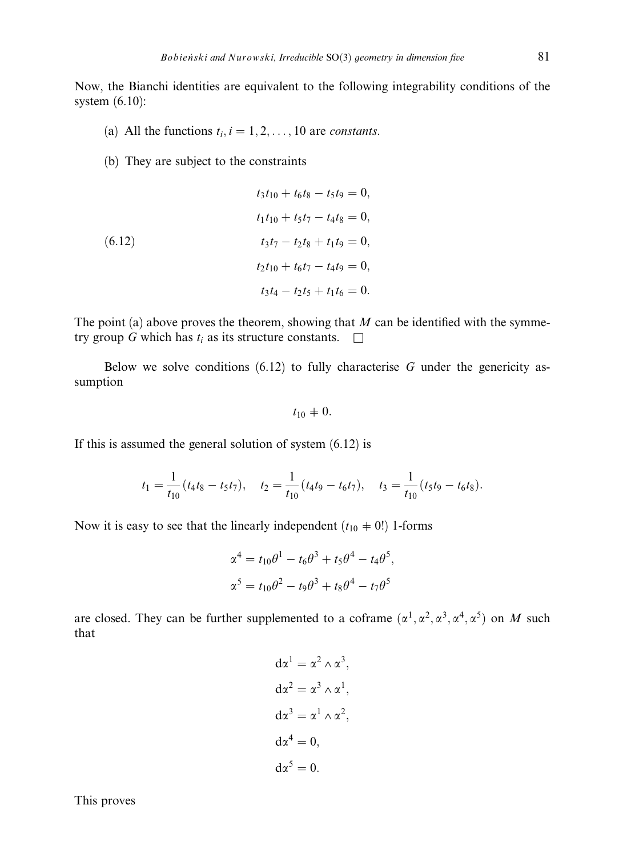Now, the Bianchi identities are equivalent to the following integrability conditions of the system (6.10):

- (a) All the functions  $t_i$ ,  $i = 1, 2, ..., 10$  are *constants*.
- (b) They are subject to the constraints

(6.12)  
\n
$$
t_3t_{10} + t_6t_8 - t_5t_9 = 0,
$$
\n
$$
t_1t_{10} + t_5t_7 - t_4t_8 = 0,
$$
\n
$$
t_3t_7 - t_2t_8 + t_1t_9 = 0,
$$
\n
$$
t_2t_{10} + t_6t_7 - t_4t_9 = 0,
$$
\n
$$
t_3t_4 - t_2t_5 + t_1t_6 = 0.
$$

The point (a) above proves the theorem, showing that  $M$  can be identified with the symmetry group G which has  $t_i$  as its structure constants.  $\Box$ 

Below we solve conditions  $(6.12)$  to fully characterise G under the genericity assumption

 $t_{10} + 0.$ 

If this is assumed the general solution of system (6.12) is

$$
t_1 = \frac{1}{t_{10}}(t_4t_8 - t_5t_7), \quad t_2 = \frac{1}{t_{10}}(t_4t_9 - t_6t_7), \quad t_3 = \frac{1}{t_{10}}(t_5t_9 - t_6t_8).
$$

Now it is easy to see that the linearly independent  $(t_{10} \neq 0!)$  1-forms

$$
\alpha^{4} = t_{10}\theta^{1} - t_{6}\theta^{3} + t_{5}\theta^{4} - t_{4}\theta^{5},
$$
  

$$
\alpha^{5} = t_{10}\theta^{2} - t_{9}\theta^{3} + t_{8}\theta^{4} - t_{7}\theta^{5}
$$

are closed. They can be further supplemented to a coframe  $(\alpha^1, \alpha^2, \alpha^3, \alpha^4, \alpha^5)$  on M such that

$$
d\alpha^{1} = \alpha^{2} \wedge \alpha^{3},
$$
  
\n
$$
d\alpha^{2} = \alpha^{3} \wedge \alpha^{1},
$$
  
\n
$$
d\alpha^{3} = \alpha^{1} \wedge \alpha^{2},
$$
  
\n
$$
d\alpha^{4} = 0,
$$
  
\n
$$
d\alpha^{5} = 0.
$$

This proves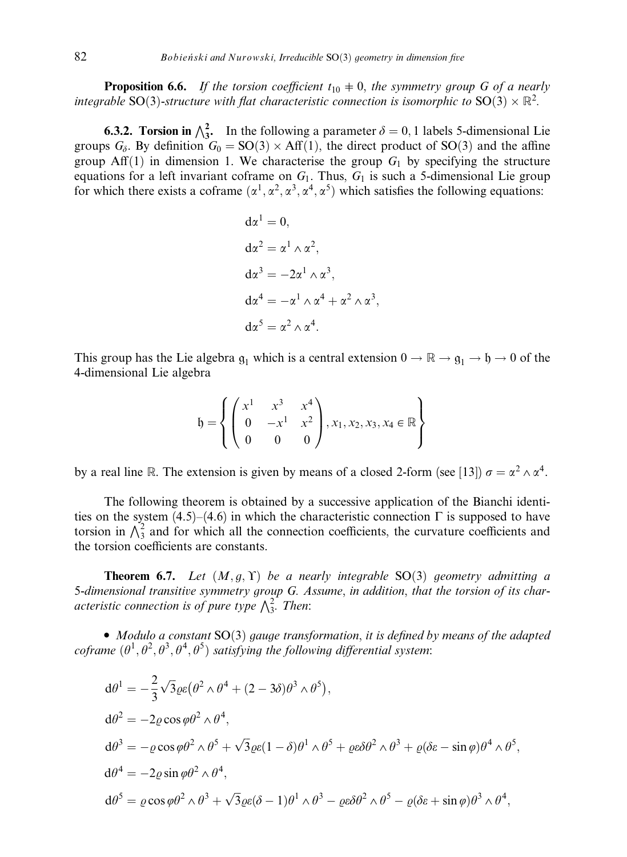**Proposition 6.6.** If the torsion coefficient  $t_{10} \neq 0$ , the symmetry group G of a nearly integrable SO(3)-structure with flat characteristic connection is isomorphic to SO(3)  $\times$   $\mathbb{R}^2$ .

**6.3.2. Torsion in**  $\bigwedge_{3}^{2}$ . In the following a parameter  $\delta = 0, 1$  labels 5-dimensional Lie groups  $G_{\delta}$ . By definition  $G_0 = SO(3) \times Aff(1)$ , the direct product of SO(3) and the affine group Aff(1) in dimension 1. We characterise the group  $G_1$  by specifying the structure equations for a left invariant coframe on  $G_1$ . Thus,  $G_1$  is such a 5-dimensional Lie group for which there exists a coframe  $(\alpha^1, \alpha^2, \alpha^3, \alpha^4, \alpha^5)$  which satisfies the following equations:

$$
d\alpha^{1} = 0,
$$
  
\n
$$
d\alpha^{2} = \alpha^{1} \wedge \alpha^{2},
$$
  
\n
$$
d\alpha^{3} = -2\alpha^{1} \wedge \alpha^{3},
$$
  
\n
$$
d\alpha^{4} = -\alpha^{1} \wedge \alpha^{4} + \alpha^{2} \wedge \alpha^{3},
$$
  
\n
$$
d\alpha^{5} = \alpha^{2} \wedge \alpha^{4}.
$$

This group has the Lie algebra  $g_1$  which is a central extension  $0 \to \mathbb{R} \to g_1 \to \mathfrak{h} \to 0$  of the 4-dimensional Lie algebra

$$
\mathfrak{h} = \left\{ \begin{pmatrix} x^1 & x^3 & x^4 \\ 0 & -x^1 & x^2 \\ 0 & 0 & 0 \end{pmatrix}, x_1, x_2, x_3, x_4 \in \mathbb{R} \right\}
$$

by a real line R. The extension is given by means of a closed 2-form (see [13])  $\sigma = \alpha^2 \wedge \alpha^4$ .

The following theorem is obtained by a successive application of the Bianchi identities on the system (4.5)–(4.6) in which the characteristic connection  $\Gamma$  is supposed to have torsion in  $\Lambda_3^2$  and for which all the connection coefficients, the curvature coefficients and the torsion coefficients are constants.

**Theorem 6.7.** Let  $(M, g, \Upsilon)$  be a nearly integrable SO(3) geometry admitting a 5-dimensional transitive symmetry group G. Assume, in addition, that the torsion of its char- $\frac{1}{2}$  attentional transitive symmetry group S.  $\frac{1}{2}$  acteristic connection is of pure type  $\frac{1}{2}$ . Then:

• Modulo a constant  $SO(3)$  gauge transformation, it is defined by means of the adapted coframe  $(\theta^1, \theta^2, \theta^3, \theta^4, \theta^5)$  satisfying the following differential system:

$$
d\theta^{1} = -\frac{2}{3}\sqrt{3}\varrho\varepsilon(\theta^{2} \wedge \theta^{4} + (2 - 3\delta)\theta^{3} \wedge \theta^{5}),
$$
  
\n
$$
d\theta^{2} = -2\varrho\cos\varphi\theta^{2} \wedge \theta^{4},
$$
  
\n
$$
d\theta^{3} = -\varrho\cos\varphi\theta^{2} \wedge \theta^{5} + \sqrt{3}\varrho\varepsilon(1 - \delta)\theta^{1} \wedge \theta^{5} + \varrho\varepsilon\delta\theta^{2} \wedge \theta^{3} + \varrho(\delta\varepsilon - \sin\varphi)\theta^{4} \wedge \theta^{5},
$$
  
\n
$$
d\theta^{4} = -2\varrho\sin\varphi\theta^{2} \wedge \theta^{4},
$$
  
\n
$$
d\theta^{5} = \varrho\cos\varphi\theta^{2} \wedge \theta^{3} + \sqrt{3}\varrho\varepsilon(\delta - 1)\theta^{1} \wedge \theta^{3} - \varrho\varepsilon\delta\theta^{2} \wedge \theta^{5} - \varrho(\delta\varepsilon + \sin\varphi)\theta^{3} \wedge \theta^{4},
$$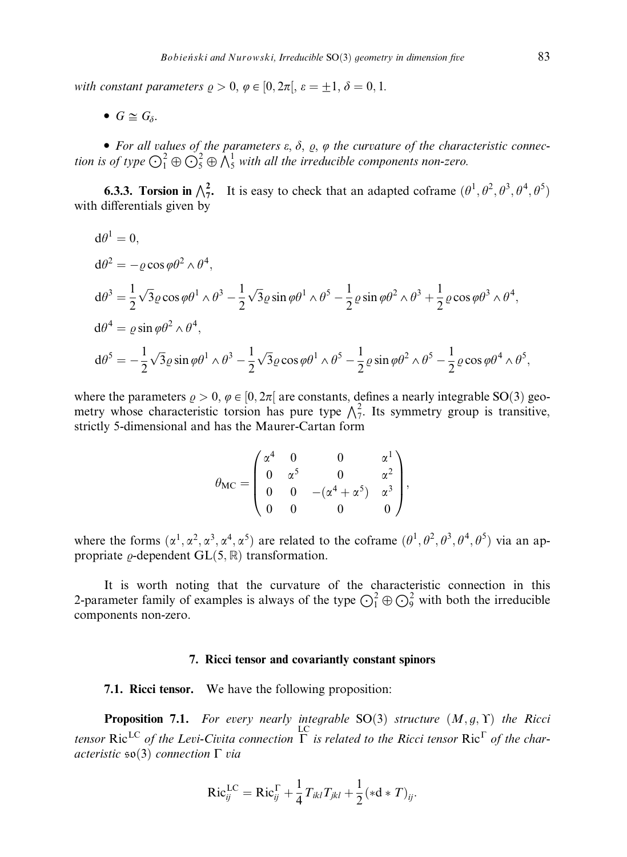with constant parameters  $\rho > 0$ ,  $\varphi \in [0, 2\pi]$ ,  $\varepsilon = \pm 1$ ,  $\delta = 0, 1$ .

•  $G \cong G_{\delta}$ .

• For all values of the parameters  $\varepsilon$ ,  $\delta$ ,  $\rho$ ,  $\varphi$  the curvature of the characteristic connection is of type  $\bigodot^2_1 \oplus \bigodot^2_5 \oplus \bigwedge^1_5$  with all the irreducible components non-zero.

**6.3.3. Torsion in**  $\bigwedge_{7}^{2}$ . It is easy to check that an adapted coframe  $(\theta^1, \theta^2, \theta^3, \theta^4, \theta^5)$ with differentials given by

$$
d\theta^{1} = 0,
$$
  
\n
$$
d\theta^{2} = -\varrho \cos \varphi \theta^{2} \wedge \theta^{4},
$$
  
\n
$$
d\theta^{3} = \frac{1}{2} \sqrt{3} \varrho \cos \varphi \theta^{1} \wedge \theta^{3} - \frac{1}{2} \sqrt{3} \varrho \sin \varphi \theta^{1} \wedge \theta^{5} - \frac{1}{2} \varrho \sin \varphi \theta^{2} \wedge \theta^{3} + \frac{1}{2} \varrho \cos \varphi \theta^{3} \wedge \theta^{4},
$$
  
\n
$$
d\theta^{4} = \varrho \sin \varphi \theta^{2} \wedge \theta^{4},
$$
  
\n
$$
d\theta^{5} = -\frac{1}{2} \sqrt{3} \varrho \sin \varphi \theta^{1} \wedge \theta^{3} - \frac{1}{2} \sqrt{3} \varrho \cos \varphi \theta^{1} \wedge \theta^{5} - \frac{1}{2} \varrho \sin \varphi \theta^{2} \wedge \theta^{5} - \frac{1}{2} \varrho \cos \varphi \theta^{4} \wedge \theta^{5},
$$

where the parameters  $\rho > 0$ ,  $\varphi \in [0, 2\pi]$  are constants, defines a nearly integrable SO(3) geometry whose characteristic torsion has pure type  $\sqrt{\frac{2}{7}}$ . Its symmetry group is transitive, strictly 5-dimensional and has the Maurer-Cartan form

$$
\theta_{MC} = \begin{pmatrix} \alpha^4 & 0 & 0 & \alpha^1 \\ 0 & \alpha^5 & 0 & \alpha^2 \\ 0 & 0 & -(\alpha^4 + \alpha^5) & \alpha^3 \\ 0 & 0 & 0 & 0 \end{pmatrix},
$$

where the forms  $(\alpha^1, \alpha^2, \alpha^3, \alpha^4, \alpha^5)$  are related to the coframe  $(\theta^1, \theta^2, \theta^3, \theta^4, \theta^5)$  via an appropriate  $\rho$ -dependent GL $(5, \mathbb{R})$  transformation.

It is worth noting that the curvature of the characteristic connection in this 2-parameter family of examples is always of the type  $\bigodot^2_1 \oplus \bigodot^2_2$  with both the irreducible components non-zero.

#### 7. Ricci tensor and covariantly constant spinors

7.1. Ricci tensor. We have the following proposition:

**Proposition 7.1.** For every nearly integrable  $SO(3)$  structure  $(M, g, \Upsilon)$  the Ricci tensor Ric<sup>LC</sup> of the Levi-Civita connection  $\Gamma$  is related to the Ricci tensor Ric<sup>T</sup> of the characteristic  $\mathfrak{so}(3)$  connection  $\Gamma$  via

$$
\mathrm{Ric}_{ij}^{\mathrm{LC}} = \mathrm{Ric}_{ij}^{\Gamma} + \frac{1}{4} T_{ikl} T_{jkl} + \frac{1}{2} (*d * T)_{ij}.
$$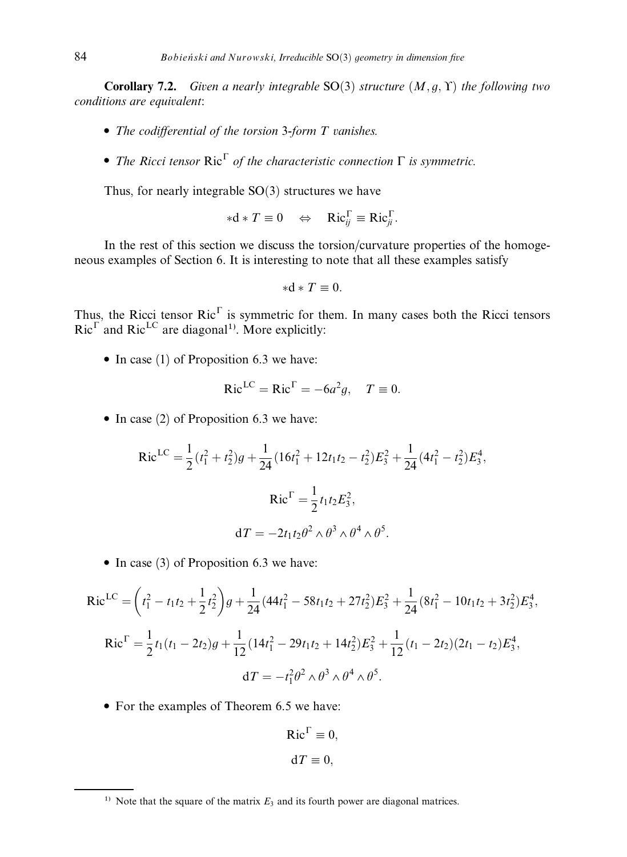**Corollary 7.2.** Given a nearly integrable  $SO(3)$  structure  $(M, g, \Upsilon)$  the following two conditions are equivalent:

- The codifferential of the torsion 3-form  $T$  vanishes.
- The Ricci tensor  $\text{Ric}^{\Gamma}$  of the characteristic connection  $\Gamma$  is symmetric.

Thus, for nearly integrable  $SO(3)$  structures we have

$$
*d*T \equiv 0 \quad \Leftrightarrow \quad \mathrm{Ric}_{ij}^{\Gamma} \equiv \mathrm{Ric}_{ji}^{\Gamma}.
$$

In the rest of this section we discuss the torsion/curvature properties of the homogeneous examples of Section 6. It is interesting to note that all these examples satisfy

$$
\ast \mathrm{d} \ast T \equiv 0.
$$

Thus, the Ricci tensor  $Ric^{\Gamma}$  is symmetric for them. In many cases both the Ricci tensors  $Ric^{\Gamma}$  and  $Ric^{\text{LC}}$  are diagonal<sup>1)</sup>. More explicitly:

 $\bullet$  In case (1) of Proposition 6.3 we have:

$$
Ric^{LC} = Ric^{\Gamma} = -6a^2g, \quad T \equiv 0.
$$

 $\bullet$  In case (2) of Proposition 6.3 we have:

$$
\text{Ric}^{\text{LC}} = \frac{1}{2} (t_1^2 + t_2^2) g + \frac{1}{24} (16t_1^2 + 12t_1t_2 - t_2^2) E_3^2 + \frac{1}{24} (4t_1^2 - t_2^2) E_3^4,
$$
\n
$$
\text{Ric}^{\text{T}} = \frac{1}{2} t_1 t_2 E_3^2,
$$
\n
$$
\text{d}T = -2t_1 t_2 \theta^2 \wedge \theta^3 \wedge \theta^4 \wedge \theta^5.
$$

 $\bullet$  In case (3) of Proposition 6.3 we have:

$$
\text{Ric}^{\text{LC}} = \left(t_1^2 - t_1 t_2 + \frac{1}{2} t_2^2\right)g + \frac{1}{24} (44t_1^2 - 58t_1 t_2 + 27t_2^2)E_3^2 + \frac{1}{24} (8t_1^2 - 10t_1 t_2 + 3t_2^2)E_3^4,
$$
\n
$$
\text{Ric}^{\Gamma} = \frac{1}{2} t_1 (t_1 - 2t_2)g + \frac{1}{12} (14t_1^2 - 29t_1 t_2 + 14t_2^2)E_3^2 + \frac{1}{12} (t_1 - 2t_2)(2t_1 - t_2)E_3^4,
$$
\n
$$
\text{d}T = -t_1^2 \theta^2 \wedge \theta^3 \wedge \theta^4 \wedge \theta^5.
$$

• For the examples of Theorem 6.5 we have:

$$
Ric^{\Gamma} \equiv 0,
$$
  

$$
dT \equiv 0,
$$

<sup>&</sup>lt;sup>1)</sup> Note that the square of the matrix  $E_3$  and its fourth power are diagonal matrices.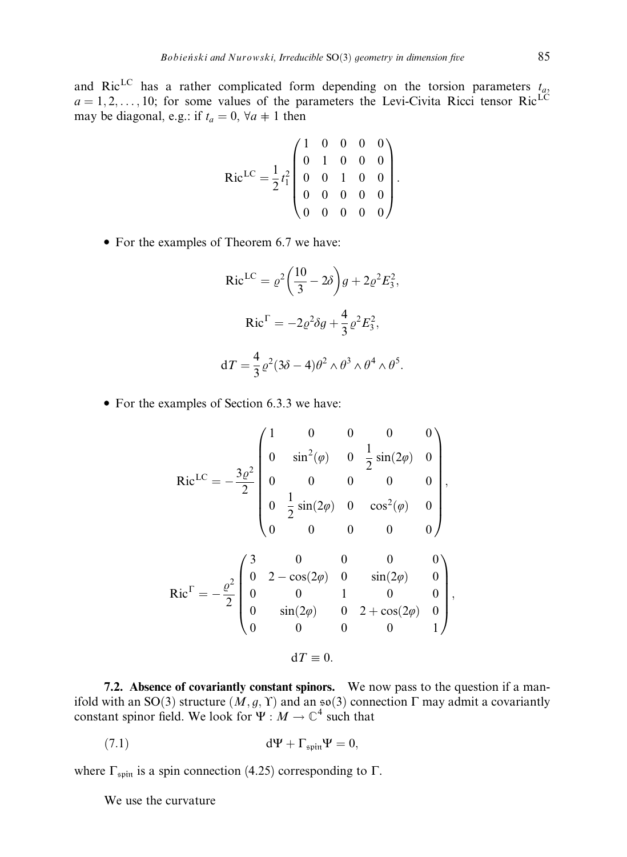and Ric<sup>LC</sup> has a rather complicated form depending on the torsion parameters  $t_a$ ,  $a = 1, 2, \ldots, 10$ ; for some values of the parameters the Levi-Civita Ricci tensor Ric<sup>LC</sup> may be diagonal, e.g.: if  $t_a = 0$ ,  $\forall a \neq 1$  then

$$
Ric^{LC} = \frac{1}{2}t_1^2 \begin{pmatrix} 1 & 0 & 0 & 0 & 0 \\ 0 & 1 & 0 & 0 & 0 \\ 0 & 0 & 1 & 0 & 0 \\ 0 & 0 & 0 & 0 & 0 \\ 0 & 0 & 0 & 0 & 0 \end{pmatrix}.
$$

For the examples of Theorem 6.7 we have:

$$
\text{Ric}^{\text{LC}} = \rho^2 \left(\frac{10}{3} - 2\delta\right) g + 2\varrho^2 E_3^2,
$$
\n
$$
\text{Ric}^{\Gamma} = -2\varrho^2 \delta g + \frac{4}{3} \varrho^2 E_3^2,
$$
\n
$$
\text{d}T = \frac{4}{3} \varrho^2 (3\delta - 4)\theta^2 \wedge \theta^3 \wedge \theta^4 \wedge \theta^5.
$$

• For the examples of Section 6.3.3 we have:

$$
\text{Ric}^{\text{LC}} = -\frac{3\varrho^2}{2} \begin{pmatrix} 1 & 0 & 0 & 0 & 0 \\ 0 & \sin^2(\varphi) & 0 & \frac{1}{2}\sin(2\varphi) & 0 \\ 0 & 0 & 0 & 0 & 0 \\ 0 & \frac{1}{2}\sin(2\varphi) & 0 & \cos^2(\varphi) & 0 \\ 0 & 0 & 0 & 0 & 0 \end{pmatrix},
$$

$$
\text{Ric}^{\Gamma} = -\frac{\varrho^2}{2} \begin{pmatrix} 3 & 0 & 0 & 0 & 0 \\ 0 & 2 - \cos(2\varphi) & 0 & \sin(2\varphi) & 0 \\ 0 & 0 & 1 & 0 & 0 \\ 0 & \sin(2\varphi) & 0 & 2 + \cos(2\varphi) & 0 \\ 0 & 0 & 0 & 0 & 1 \end{pmatrix},
$$

$$
\text{d}T \equiv 0.
$$

7.2. Absence of covariantly constant spinors. We now pass to the question if a manifold with an SO(3) structure  $(M, g, Y)$  and an  $\mathfrak{so}(3)$  connection  $\Gamma$  may admit a covariantly constant spinor field. We look for  $\Psi : M \to \mathbb{C}^4$  such that

$$
d\Psi + \Gamma_{\text{spin}} \Psi = 0,
$$

where  $\Gamma_{spin}$  is a spin connection (4.25) corresponding to  $\Gamma$ .

We use the curvature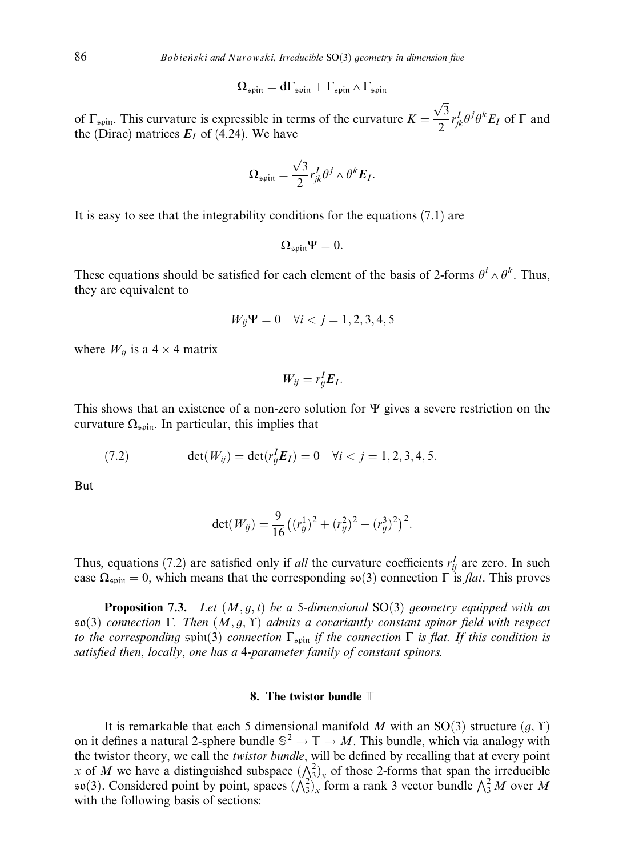$$
\Omega_{\mathfrak{spin}} = d\Gamma_{\mathfrak{spin}} + \Gamma_{\mathfrak{spin}} \wedge \Gamma_{\mathfrak{spin}}
$$

of  $\Gamma_{spin}$ . This curvature is expressible in terms of the curvature  $K =$  $\overline{\overline{3}}$ p  $\frac{\partial^2}{\partial s} r_{jk}^I \theta^j \theta^k E_I$  of  $\Gamma$  and the (Dirac) matrices  $E_I$  of (4.24). We have

$$
\Omega_{\text{spin}} = \frac{\sqrt{3}}{2} r_{jk}^I \theta^j \wedge \theta^k E_I.
$$

It is easy to see that the integrability conditions for the equations (7.1) are

$$
\Omega_{\mathfrak{spin}} \Psi = 0.
$$

These equations should be satisfied for each element of the basis of 2-forms  $\theta^i \wedge \theta^k$ . Thus, they are equivalent to

$$
W_{ij}\Psi = 0 \quad \forall i < j = 1, 2, 3, 4, 5
$$

where  $W_{ij}$  is a 4  $\times$  4 matrix

$$
W_{ij}=r_{ij}^I\bm{E}_I.
$$

This shows that an existence of a non-zero solution for  $\Psi$  gives a severe restriction on the curvature  $\Omega_{spin}$ . In particular, this implies that

(7.2) 
$$
\det(W_{ij}) = \det(r_{ij}^I \mathbf{E}_I) = 0 \quad \forall i < j = 1, 2, 3, 4, 5.
$$

But

$$
\det(W_{ij}) = \frac{9}{16} \left( (r_{ij}^1)^2 + (r_{ij}^2)^2 + (r_{ij}^3)^2 \right)^2.
$$

Thus, equations (7.2) are satisfied only if *all* the curvature coefficients  $r_{ij}^I$  are zero. In such case  $\Omega_{\text{spin}} = 0$ , which means that the corresponding so(3) connection  $\Gamma$  is *flat*. This proves

**Proposition 7.3.** Let  $(M, q, t)$  be a 5-dimensional SO(3) geometry equipped with an  $\mathfrak{so}(3)$  connection  $\Gamma$ . Then  $(M, g, \Upsilon)$  admits a covariantly constant spinor field with respect to the corresponding  $\sin(3)$  connection  $\Gamma_{\text{spin}}$  if the connection  $\Gamma$  is flat. If this condition is satisfied then, locally, one has a 4-parameter family of constant spinors.

## 8. The twistor bundle T

It is remarkable that each 5 dimensional manifold M with an SO(3) structure  $(g, \Upsilon)$ on it defines a natural 2-sphere bundle  $\mathbb{S}^2 \to \mathbb{T} \to M$ . This bundle, which via analogy with the twistor theory, we call the twistor bundle, will be defined by recalling that at every point x of M we have a distinguished subspace  $(\Lambda_3^2)_x$  of those 2-forms that span the irreducible so 3). Considered point by point, spaces  $(\lambda_3^2)_x$  form a rank 3 vector bundle  $\lambda_3^2 M$  over M with the following basis of sections: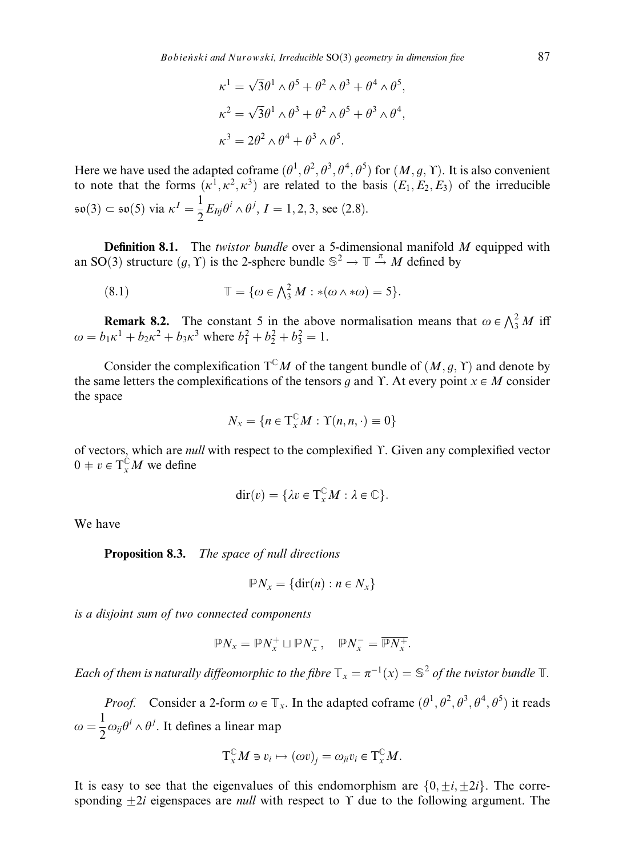$$
\kappa^1 = \sqrt{3}\theta^1 \wedge \theta^5 + \theta^2 \wedge \theta^3 + \theta^4 \wedge \theta^5,
$$
  
\n
$$
\kappa^2 = \sqrt{3}\theta^1 \wedge \theta^3 + \theta^2 \wedge \theta^5 + \theta^3 \wedge \theta^4,
$$
  
\n
$$
\kappa^3 = 2\theta^2 \wedge \theta^4 + \theta^3 \wedge \theta^5.
$$

Here we have used the adapted coframe  $(\theta^1, \theta^2, \theta^3, \theta^4, \theta^5)$  for  $(M, g, \Upsilon)$ . It is also convenient to note that the forms  $(\kappa^1, \kappa^2, \kappa^3)$  are related to the basis  $(E_1, E_2, E_3)$  of the irreducible  $\mathfrak{so}(3) \subset \mathfrak{so}(5)$  via  $\kappa^I = \frac{1}{2} E_{Iij} \theta^i \wedge \theta^j, I = 1, 2, 3$ , see (2.8).

**Definition 8.1.** The twistor bundle over a 5-dimensional manifold  $M$  equipped with an SO(3) structure  $(g, Y)$  is the 2-sphere bundle  $\mathbb{S}^2 \to \mathbb{T} \stackrel{\pi}{\to} M$  defined by

(8.1) 
$$
\mathbb{T} = \{ \omega \in \bigwedge_{3}^{2} M : *(\omega \wedge * \omega) = 5 \}.
$$

**Remark 8.2.** The constant 5 in the above normalisation means that  $\omega \in \bigwedge^2_3 M$  iff  $\omega = b_1 \kappa^1 + b_2 \kappa^2 + b_3 \kappa^3$  where  $b_1^2 + b_2^2 + b_3^2 = 1$ .

Consider the complexification  $T^{\mathbb{C}}M$  of the tangent bundle of  $(M, q, Y)$  and denote by the same letters the complexifications of the tensors q and  $\Upsilon$ . At every point  $x \in M$  consider the space

$$
N_x = \{ n \in T_x^{\mathbb{C}} M : \Upsilon(n, n, \cdot) \equiv 0 \}
$$

of vectors, which are *null* with respect to the complexified  $\Upsilon$ . Given any complexified vector  $0 \neq v \in T^{\mathbb{C}}_{x}M$  we define

$$
\mathrm{dir}(v) = \{\lambda v \in \mathrm{T}_{\mathrm{x}}^{\mathbb{C}} M : \lambda \in \mathbb{C}\}.
$$

We have

Proposition 8.3. The space of null directions

$$
PN_x = \{ \text{dir}(n) : n \in N_x \}
$$

is a disjoint sum of two connected components

$$
\mathbb{P} N_x = \mathbb{P} N_x^+ \sqcup \mathbb{P} N_x^-, \quad \mathbb{P} N_x^- = \overline{\mathbb{P} N_x^+}.
$$

Each of them is naturally diffeomorphic to the fibre  $\mathbb{T}_x = \pi^{-1}(x) = \mathbb{S}^2$  of the twistor bundle  $\mathbb{T}$ .

*Proof.* Consider a 2-form  $\omega \in \mathbb{T}_x$ . In the adapted coframe  $(\theta^1, \theta^2, \theta^3, \theta^4, \theta^5)$  it reads  $\omega = \frac{1}{2} \omega_{ij} \theta^i \wedge \theta^j$ . It defines a linear map

$$
\mathrm{T}_{x}^{\mathbb{C}}M\ni v_{i}\mapsto (\omega v)_{j}=\omega_{ji}v_{i}\in \mathrm{T}_{x}^{\mathbb{C}}M.
$$

It is easy to see that the eigenvalues of this endomorphism are  $\{0,\pm i,\pm 2i\}$ . The corresponding  $\pm 2i$  eigenspaces are *null* with respect to  $\Upsilon$  due to the following argument. The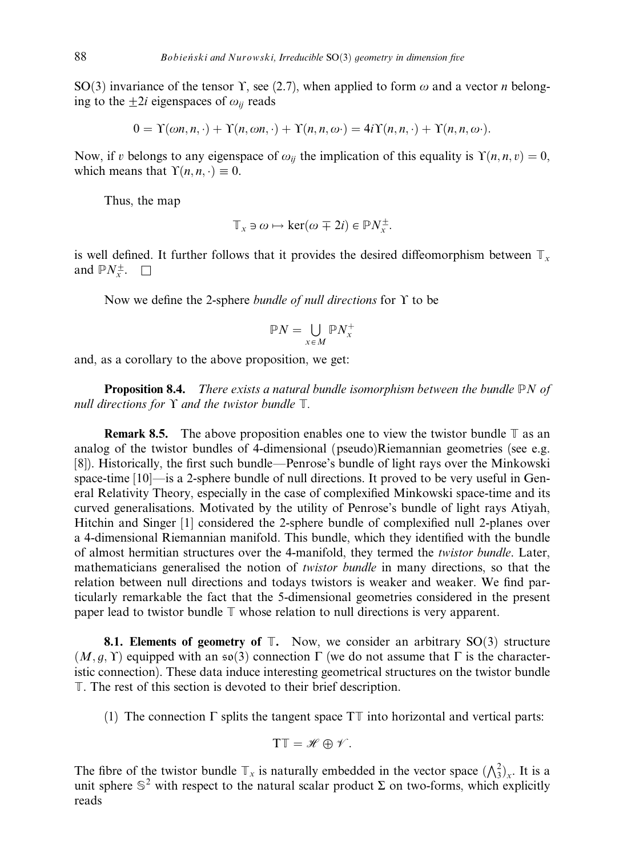SO(3) invariance of the tensor Y, see (2.7), when applied to form  $\omega$  and a vector *n* belonging to the  $+2i$  eigenspaces of  $\omega_{ii}$  reads

$$
0 = \Upsilon(\omega n, n, \cdot) + \Upsilon(n, \omega n, \cdot) + \Upsilon(n, n, \omega) = 4i\Upsilon(n, n, \cdot) + \Upsilon(n, n, \omega).
$$

Now, if v belongs to any eigenspace of  $\omega_{ii}$  the implication of this equality is  $\Upsilon(n, n, v) = 0$ , which means that  $\Upsilon(n, n, \cdot) \equiv 0$ .

Thus, the map

$$
\mathbb{T}_x \ni \omega \mapsto \ker(\omega \mp 2i) \in \mathbb{P}N_x^{\pm}.
$$

is well defined. It further follows that it provides the desired diffeomorphism between  $\mathbb{T}_x$ and  $\mathbb{P}N_{x}^{\pm}$ .  $\Box$ 

Now we define the 2-sphere bundle of null directions for  $\Upsilon$  to be

$$
\mathbb{P}N=\bigcup_{x\in M}\mathbb{P}N_x^+
$$

and, as a corollary to the above proposition, we get:

**Proposition 8.4.** There exists a natural bundle isomorphism between the bundle  $\mathbb{P}N$  of null directions for  $\Upsilon$  and the twistor bundle  $\mathbb{T}$ .

**Remark 8.5.** The above proposition enables one to view the twistor bundle  $\mathbb{T}$  as an analog of the twistor bundles of 4-dimensional (pseudo)Riemannian geometries (see e.g. [8]). Historically, the first such bundle—Penrose's bundle of light rays over the Minkowski space-time [10]—is a 2-sphere bundle of null directions. It proved to be very useful in General Relativity Theory, especially in the case of complexified Minkowski space-time and its curved generalisations. Motivated by the utility of Penrose's bundle of light rays Atiyah, Hitchin and Singer [1] considered the 2-sphere bundle of complexified null 2-planes over a 4-dimensional Riemannian manifold. This bundle, which they identified with the bundle of almost hermitian structures over the 4-manifold, they termed the twistor bundle. Later, mathematicians generalised the notion of twistor bundle in many directions, so that the relation between null directions and todays twistors is weaker and weaker. We find particularly remarkable the fact that the 5-dimensional geometries considered in the present paper lead to twistor bundle  $\mathbb T$  whose relation to null directions is very apparent.

**8.1. Elements of geometry of**  $\mathbb{T}$ **.** Now, we consider an arbitrary SO(3) structure  $(M, g, Y)$  equipped with an  $\mathfrak{so}(3)$  connection  $\Gamma$  (we do not assume that  $\Gamma$  is the characteristic connection). These data induce interesting geometrical structures on the twistor bundle T. The rest of this section is devoted to their brief description.

(1) The connection  $\Gamma$  splits the tangent space  $T\mathbb T$  into horizontal and vertical parts:

$$
T\mathbb{T}=\mathscr{H}\oplus\mathscr{V}.
$$

The fibre of the twistor bundle  $\mathbb{T}_x$  is naturally embedded in the vector space  $(\bigwedge_3^2)_x$ . It is a unit sphere  $\mathbb{S}^2$  with respect to the natural scalar product  $\Sigma$  on two-forms, which explicitly reads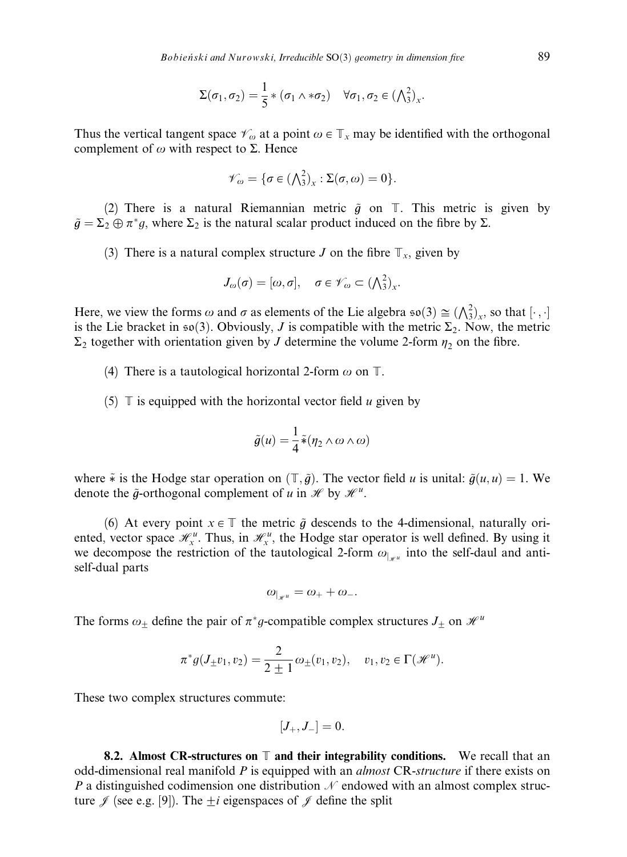$$
\Sigma(\sigma_1,\sigma_2)=\frac{1}{5}*(\sigma_1\wedge *\sigma_2)\quad \forall \sigma_1,\sigma_2\in(\bigwedge\nolimits_3^2)_x.
$$

Thus the vertical tangent space  $\mathscr{V}_{\omega}$  at a point  $\omega \in \mathbb{T}_x$  may be identified with the orthogonal complement of  $\omega$  with respect to  $\Sigma$ . Hence

$$
\mathscr{V}_{\omega} = \{ \sigma \in (\bigwedge_{3}^{2})_{x} : \Sigma(\sigma, \omega) = 0 \}.
$$

(2) There is a natural Riemannian metric  $\tilde{q}$  on  $\mathbb{T}$ . This metric is given by  $\tilde{g} = \Sigma_2 \oplus \pi^* g$ , where  $\Sigma_2$  is the natural scalar product induced on the fibre by  $\Sigma$ .

(3) There is a natural complex structure *J* on the fibre  $\mathbb{T}_x$ , given by

$$
J_{\omega}(\sigma)=[\omega,\sigma], \quad \sigma\in\mathscr{V}_{\omega}\subset(\textstyle{\bigwedge}^2_3)_x.
$$

Here, we view the forms  $\omega$  and  $\sigma$  as elements of the Lie algebra  $\mathfrak{so}(3) \cong (\bigwedge_{3}^{2})_{x}$ , so that  $[\cdot, \cdot]$ is the Lie bracket in  $\mathfrak{so}(3)$ . Obviously, J is compatible with the metric  $\Sigma_2$ . Now, the metric  $\Sigma_2$  together with orientation given by J determine the volume 2-form  $\eta_2$  on the fibre.

(4) There is a tautological horizontal 2-form  $\omega$  on  $\mathbb{T}$ .

(5)  $\mathbb T$  is equipped with the horizontal vector field u given by

$$
\tilde{g}(u) = \frac{1}{4} \tilde{\ast} (\eta_2 \wedge \omega \wedge \omega)
$$

where  $\tilde{*}$  is the Hodge star operation on  $(\mathbb{T}, \tilde{g})$ . The vector field u is unital:  $\tilde{g}(u, u) = 1$ . We denote the  $\tilde{g}$ -orthogonal complement of u in  $\mathcal{H}$  by  $\mathcal{H}^u$ .

(6) At every point  $x \in \mathbb{T}$  the metric  $\tilde{g}$  descends to the 4-dimensional, naturally oriented, vector space  $\mathcal{H}_x^u$ . Thus, in  $\mathcal{H}_x^u$ , the Hodge star operator is well defined. By using it we decompose the restriction of the tautological 2-form  $\omega_{\vert_{\mathcal{H}^u}}$  into the self-daul and antiself-dual parts

$$
\omega_{|_{\mathscr{H}^u}} = \omega_+ + \omega_-.
$$

The forms  $\omega_{\pm}$  define the pair of  $\pi^*g$ -compatible complex structures  $J_{\pm}$  on  $\mathcal{H}^u$ 

$$
\pi^* g(J_{\pm}v_1, v_2) = \frac{2}{2 \pm 1} \omega_{\pm}(v_1, v_2), \quad v_1, v_2 \in \Gamma(\mathcal{H}^u).
$$

These two complex structures commute:

$$
\left[ J_{+},J_{-}\right] =0.
$$

8.2. Almost CR-structures on  $\mathbb T$  and their integrability conditions. We recall that an odd-dimensional real manifold  $P$  is equipped with an *almost* CR-structure if there exists on P a distinguished codimension one distribution  $\mathcal N$  endowed with an almost complex structure  $\mathscr J$  (see e.g. [9]). The  $\pm i$  eigenspaces of  $\mathscr J$  define the split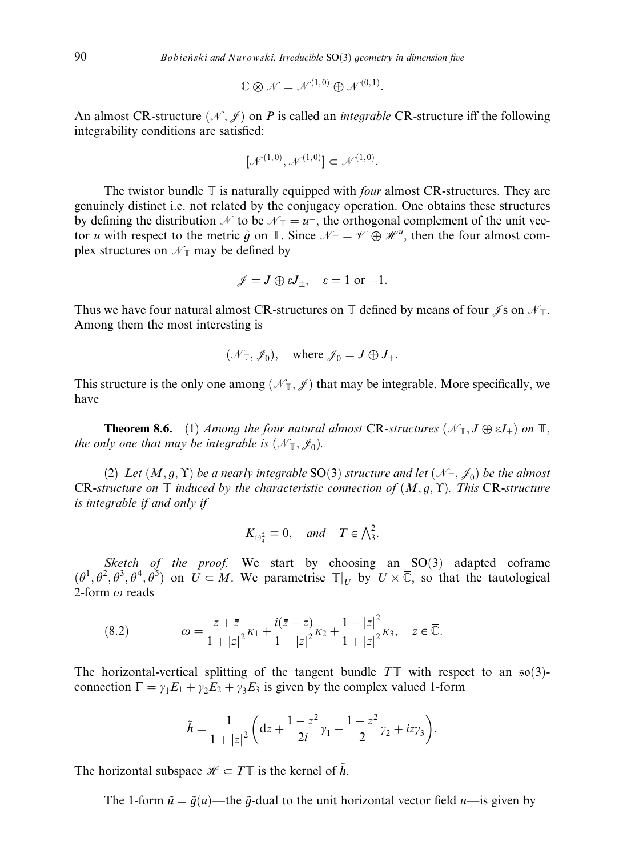$$
\mathbb{C} \otimes \mathcal{N} = \mathcal{N}^{(1,0)} \oplus \mathcal{N}^{(0,1)}.
$$

An almost CR-structure  $(\mathcal{N}, \mathcal{J})$  on P is called an *integrable* CR-structure iff the following integrability conditions are satisfied:

$$
[\mathcal{N}^{(1,0)}, \mathcal{N}^{(1,0)}] \subset \mathcal{N}^{(1,0)}.
$$

The twistor bundle  $\mathbb T$  is naturally equipped with *four* almost CR-structures. They are genuinely distinct i.e. not related by the conjugacy operation. One obtains these structures by defining the distribution  $\mathcal N$  to be  $\mathcal N_{\mathbb T} = u^{\perp}$ , the orthogonal complement of the unit vector u with respect to the metric  $\tilde{g}$  on  $\mathbb{T}$ . Since  $\mathcal{N}_{\mathbb{T}} = \mathcal{V} \oplus \mathcal{H}^u$ , then the four almost complex structures on  $\mathcal{N}_{\mathbb{T}}$  may be defined by

$$
\mathscr{J} = J \oplus \varepsilon J_{\pm}, \quad \varepsilon = 1 \text{ or } -1.
$$

Thus we have four natural almost CR-structures on  $\mathbb T$  defined by means of four  $\mathscr J$ s on  $\mathscr N_{\mathbb T}$ . Among them the most interesting is

$$
(\mathcal{N}_{\mathbb{T}}, \mathcal{J}_0),
$$
 where  $\mathcal{J}_0 = J \oplus J_+.$ 

This structure is the only one among  $(\mathcal{N}_T, \mathcal{J})$  that may be integrable. More specifically, we have

**Theorem 8.6.** (1) Among the four natural almost CR-structures  $(\mathcal{N}_{T}, J \oplus \varepsilon J_+)$  on  $T$ , the only one that may be integrable is  $(\mathcal{N}_{T}, \mathcal{J}_{0})$ .

(2) Let  $(M, g, \Upsilon)$  be a nearly integrable SO(3) structure and let  $(\mathcal{N}_{\mathbb{T}}, \mathcal{J}_0)$  be the almost CR-structure on  $\mathbb T$  induced by the characteristic connection of  $(M, q, \Upsilon)$ . This CR-structure is integrable if and only if

$$
K_{\odot_9^2} \equiv 0, \quad \text{and} \quad T \in \bigwedge_3^2.
$$

Sketch of the proof. We start by choosing an  $SO(3)$  adapted coframe  $(\theta^1, \theta^2, \theta^3, \theta^4, \theta^5)$  on  $U \subset M$ . We parametrise  $\mathbb{T}|_U$  by  $U \times \overline{\mathbb{C}}$ , so that the tautological 2-form  $\omega$  reads

(8.2) 
$$
\omega = \frac{z + \bar{z}}{1 + |z|^2} \kappa_1 + \frac{i(\bar{z} - z)}{1 + |z|^2} \kappa_2 + \frac{1 - |z|^2}{1 + |z|^2} \kappa_3, \quad z \in \overline{\mathbb{C}}.
$$

The horizontal-vertical splitting of the tangent bundle  $T\mathbb{T}$  with respect to an  $\mathfrak{so}(3)$ connection  $\Gamma = \gamma_1 E_1 + \gamma_2 E_2 + \gamma_3 E_3$  is given by the complex valued 1-form

$$
\tilde{h} = \frac{1}{1+|z|^2} \left( dz + \frac{1-z^2}{2i} \gamma_1 + \frac{1+z^2}{2} \gamma_2 + iz \gamma_3 \right).
$$

The horizontal subspace  $\mathcal{H} \subset T\mathbb{T}$  is the kernel of h.

The 1-form  $\tilde{u} = \tilde{g}(u)$ —the  $\tilde{g}$ -dual to the unit horizontal vector field  $u$ —is given by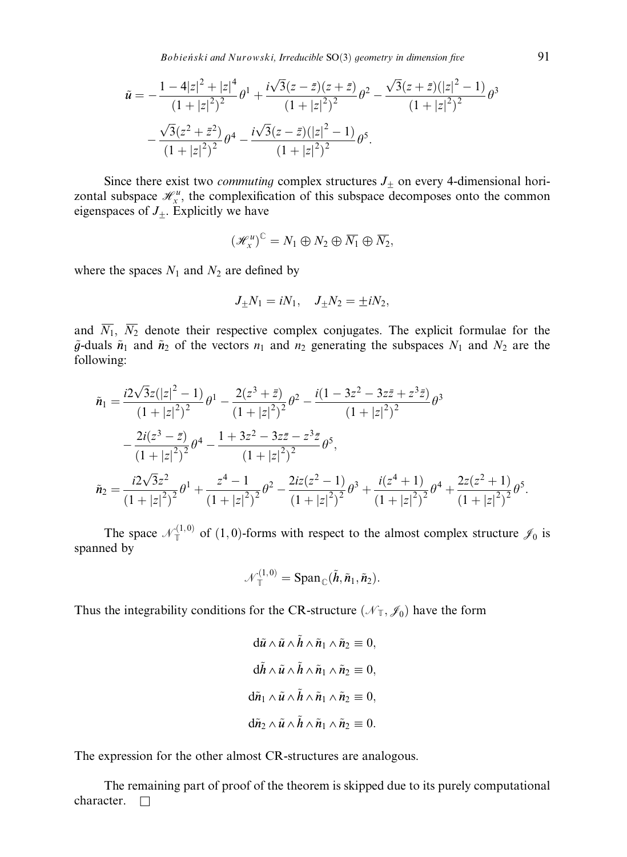Bobieński and Nurowski, Irreducible  $SO(3)$  geometry in dimension five  $91$ 

$$
\tilde{u} = -\frac{1 - 4|z|^2 + |z|^4}{(1 + |z|^2)^2} \theta^1 + \frac{i\sqrt{3}(z - \bar{z})(z + \bar{z})}{(1 + |z|^2)^2} \theta^2 - \frac{\sqrt{3}(z + \bar{z})(|z|^2 - 1)}{(1 + |z|^2)^2} \theta^3 - \frac{\sqrt{3}(z^2 + \bar{z}^2)}{(1 + |z|^2)^2} \theta^4 - \frac{i\sqrt{3}(z - \bar{z})(|z|^2 - 1)}{(1 + |z|^2)^2} \theta^5.
$$

Since there exist two *commuting* complex structures  $J_{\pm}$  on every 4-dimensional horizontal subspace  $\mathcal{H}_x^u$ , the complexification of this subspace decomposes onto the common eigenspaces of  $J_{+}$ . Explicitly we have

$$
\left(\mathscr{H}_x^u\right)^{\mathbb{C}}=N_1\oplus N_2\oplus \overline{N_1}\oplus \overline{N_2},
$$

where the spaces  $N_1$  and  $N_2$  are defined by

$$
J_{\pm}N_1 = iN_1, \quad J_{\pm}N_2 = \pm iN_2,
$$

and  $\overline{N_1}$ ,  $\overline{N_2}$  denote their respective complex conjugates. The explicit formulae for the  $\tilde{g}$ -duals  $\tilde{n}_1$  and  $\tilde{n}_2$  of the vectors  $n_1$  and  $n_2$  generating the subspaces  $N_1$  and  $N_2$  are the following:

$$
\tilde{n}_1 = \frac{i2\sqrt{3}z(|z|^2 - 1)}{(1 + |z|^2)^2} \theta^1 - \frac{2(z^3 + \bar{z})}{(1 + |z|^2)^2} \theta^2 - \frac{i(1 - 3z^2 - 3z\bar{z} + z^3\bar{z})}{(1 + |z|^2)^2} \theta^3 \n- \frac{2i(z^3 - \bar{z})}{(1 + |z|^2)^2} \theta^4 - \frac{1 + 3z^2 - 3z\bar{z} - z^3\bar{z}}{(1 + |z|^2)^2} \theta^5, \n\tilde{n}_2 = \frac{i2\sqrt{3}z^2}{(1 + |z|^2)^2} \theta^1 + \frac{z^4 - 1}{(1 + |z|^2)^2} \theta^2 - \frac{2iz(z^2 - 1)}{(1 + |z|^2)^2} \theta^3 + \frac{i(z^4 + 1)}{(1 + |z|^2)^2} \theta^4 + \frac{2z(z^2 + 1)}{(1 + |z|^2)^2} \theta^5.
$$

The space  $\mathcal{N}_{\mathbb{T}}^{(1,0)}$  of  $(1,0)$ -forms with respect to the almost complex structure  $\mathcal{J}_0$  is spanned by

$$
\mathcal{N}_{\mathbb{T}}^{(1,0)} = \mathrm{Span}_{\mathbb{C}}(\tilde{h}, \tilde{n}_1, \tilde{n}_2).
$$

Thus the integrability conditions for the CR-structure ( $\mathcal{N}_T$ ,  $\mathcal{J}_0$ ) have the form

$$
\begin{aligned}\n\mathrm{d}\tilde{u} \wedge \tilde{u} \wedge \tilde{h} \wedge \tilde{n}_1 \wedge \tilde{n}_2 &\equiv 0, \\
\mathrm{d}\tilde{h} \wedge \tilde{u} \wedge \tilde{h} \wedge \tilde{n}_1 \wedge \tilde{n}_2 &\equiv 0, \\
\mathrm{d}\tilde{n}_1 \wedge \tilde{u} \wedge \tilde{h} \wedge \tilde{n}_1 \wedge \tilde{n}_2 &\equiv 0, \\
\mathrm{d}\tilde{n}_2 \wedge \tilde{u} \wedge \tilde{h} \wedge \tilde{n}_1 \wedge \tilde{n}_2 &\equiv 0.\n\end{aligned}
$$

The expression for the other almost CR-structures are analogous.

The remaining part of proof of the theorem is skipped due to its purely computational character.  $\Box$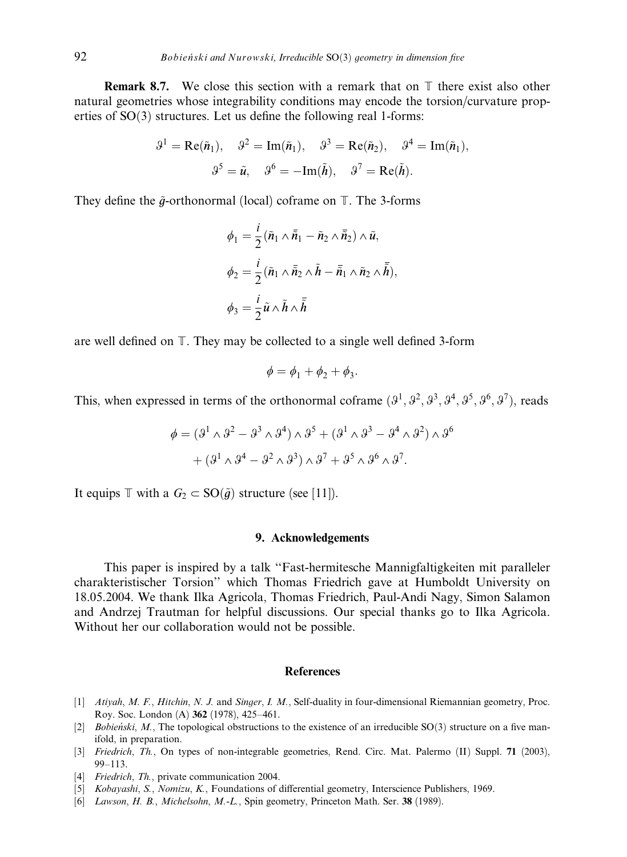**Remark 8.7.** We close this section with a remark that on  $\mathbb T$  there exist also other natural geometries whose integrability conditions may encode the torsion/curvature properties of  $SO(3)$  structures. Let us define the following real 1-forms:

$$
\vartheta^1 = \text{Re}(\tilde{n}_1), \quad \vartheta^2 = \text{Im}(\tilde{n}_1), \quad \vartheta^3 = \text{Re}(\tilde{n}_2), \quad \vartheta^4 = \text{Im}(\tilde{n}_1),
$$

$$
\vartheta^5 = \tilde{u}, \quad \vartheta^6 = -\text{Im}(\tilde{h}), \quad \vartheta^7 = \text{Re}(\tilde{h}).
$$

They define the  $\tilde{q}$ -orthonormal (local) coframe on  $\mathbb{T}$ . The 3-forms

$$
\phi_1 = \frac{i}{2} (\tilde{n}_1 \wedge \overline{\tilde{n}}_1 - \tilde{n}_2 \wedge \overline{\tilde{n}}_2) \wedge \tilde{u},
$$
  

$$
\phi_2 = \frac{i}{2} (\tilde{n}_1 \wedge \overline{\tilde{n}}_2 \wedge \tilde{h} - \overline{\tilde{n}}_1 \wedge \tilde{n}_2 \wedge \overline{\tilde{h}}),
$$
  

$$
\phi_3 = \frac{i}{2} \tilde{u} \wedge \tilde{h} \wedge \overline{\tilde{h}}
$$

are well defined on T. They may be collected to a single well defined 3-form

$$
\phi = \phi_1 + \phi_2 + \phi_3.
$$

This, when expressed in terms of the orthonormal coframe  $(3^1, 3^2, 3^3, 3^4, 3^5, 3^6, 3^7)$ , reads

$$
\phi = (3^1 \wedge 3^2 - 3^3 \wedge 3^4) \wedge 3^5 + (3^1 \wedge 3^3 - 3^4 \wedge 3^2) \wedge 3^6
$$

$$
+ (3^1 \wedge 3^4 - 3^2 \wedge 3^3) \wedge 3^7 + 3^5 \wedge 3^6 \wedge 3^7.
$$

It equips  $\mathbb T$  with a  $G_2 \subset \text{SO}(\tilde{g})$  structure (see [11]).

## 9. Acknowledgements

This paper is inspired by a talk ''Fast-hermitesche Mannigfaltigkeiten mit paralleler charakteristischer Torsion'' which Thomas Friedrich gave at Humboldt University on 18.05.2004. We thank Ilka Agricola, Thomas Friedrich, Paul-Andi Nagy, Simon Salamon and Andrzej Trautman for helpful discussions. Our special thanks go to Ilka Agricola. Without her our collaboration would not be possible.

#### **References**

- [1] Atiyah, M. F., Hitchin, N. J. and Singer, I. M., Self-duality in four-dimensional Riemannian geometry, Proc. Roy. Soc. London (A) 362 (1978), 425–461.
- [2] Bobieński, M., The topological obstructions to the existence of an irreducible  $SO(3)$  structure on a five manifold, in preparation.
- [3] Friedrich, Th., On types of non-integrable geometries, Rend. Circ. Mat. Palermo (II) Suppl. 71 (2003), 99–113.
- [4] Friedrich, Th., private communication 2004.
- [5] Kobayashi, S., Nomizu, K., Foundations of differential geometry, Interscience Publishers, 1969.
- [6] Lawson, H. B., Michelsohn, M.-L., Spin geometry, Princeton Math. Ser. 38 (1989).